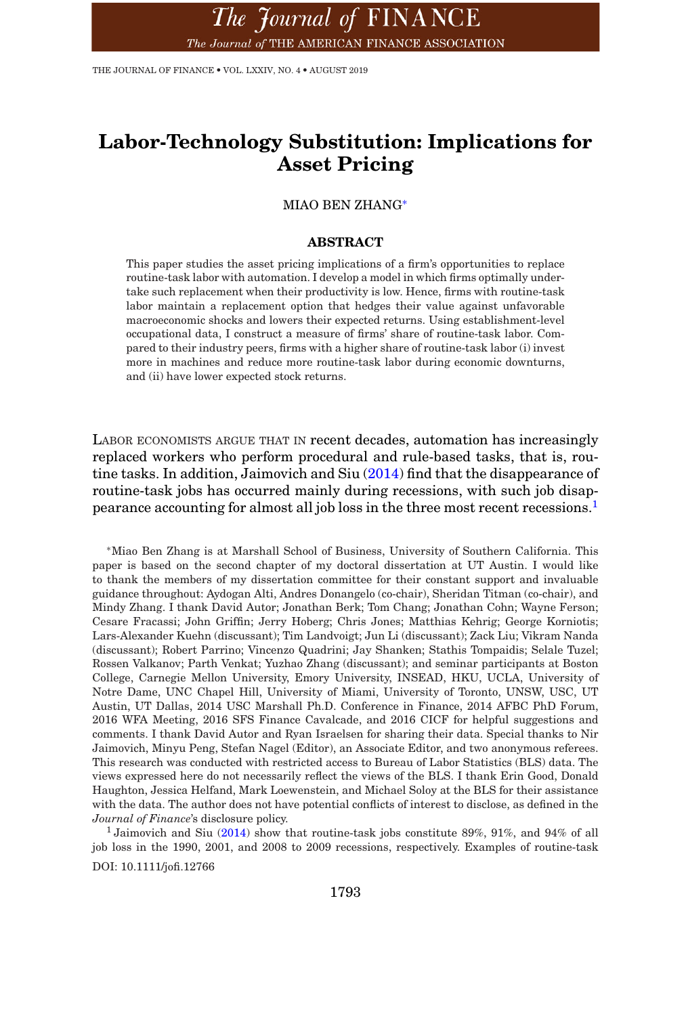THE JOURNAL OF FINANCE • VOL. LXXIV, NO. 4 • AUGUST 2019

# **Labor-Technology Substitution: Implications for Asset Pricing**

# MIAO BEN ZHANG[∗](#page-0-0)

# **ABSTRACT**

This paper studies the asset pricing implications of a firm's opportunities to replace routine-task labor with automation. I develop a model in which firms optimally undertake such replacement when their productivity is low. Hence, firms with routine-task labor maintain a replacement option that hedges their value against unfavorable macroeconomic shocks and lowers their expected returns. Using establishment-level occupational data, I construct a measure of firms' share of routine-task labor. Compared to their industry peers, firms with a higher share of routine-task labor (i) invest more in machines and reduce more routine-task labor during economic downturns, and (ii) have lower expected stock returns.

LABOR ECONOMISTS ARGUE THAT IN recent decades, automation has increasingly replaced workers who perform procedural and rule-based tasks, that is, routine tasks. In addition, Jaimovich and Siu [\(2014\)](#page-45-0) find that the disappearance of routine-task jobs has occurred mainly during recessions, with such job disappearance accounting for almost all job loss in the three most recent recessions[.1](#page-0-1)

<span id="page-0-0"></span><sup>∗</sup>Miao Ben Zhang is at Marshall School of Business, University of Southern California. This paper is based on the second chapter of my doctoral dissertation at UT Austin. I would like to thank the members of my dissertation committee for their constant support and invaluable guidance throughout: Aydogan Alti, Andres Donangelo (co-chair), Sheridan Titman (co-chair), and Mindy Zhang. I thank David Autor; Jonathan Berk; Tom Chang; Jonathan Cohn; Wayne Ferson; Cesare Fracassi; John Griffin; Jerry Hoberg; Chris Jones; Matthias Kehrig; George Korniotis; Lars-Alexander Kuehn (discussant); Tim Landvoigt; Jun Li (discussant); Zack Liu; Vikram Nanda (discussant); Robert Parrino; Vincenzo Quadrini; Jay Shanken; Stathis Tompaidis; Selale Tuzel; Rossen Valkanov; Parth Venkat; Yuzhao Zhang (discussant); and seminar participants at Boston College, Carnegie Mellon University, Emory University, INSEAD, HKU, UCLA, University of Notre Dame, UNC Chapel Hill, University of Miami, University of Toronto, UNSW, USC, UT Austin, UT Dallas, 2014 USC Marshall Ph.D. Conference in Finance, 2014 AFBC PhD Forum, 2016 WFA Meeting, 2016 SFS Finance Cavalcade, and 2016 CICF for helpful suggestions and comments. I thank David Autor and Ryan Israelsen for sharing their data. Special thanks to Nir Jaimovich, Minyu Peng, Stefan Nagel (Editor), an Associate Editor, and two anonymous referees. This research was conducted with restricted access to Bureau of Labor Statistics (BLS) data. The views expressed here do not necessarily reflect the views of the BLS. I thank Erin Good, Donald Haughton, Jessica Helfand, Mark Loewenstein, and Michael Soloy at the BLS for their assistance with the data. The author does not have potential conflicts of interest to disclose, as defined in the *Journal of Finance*'s disclosure policy.

<span id="page-0-1"></span><sup>1</sup> Jaimovich and Siu [\(2014\)](#page-45-0) show that routine-task jobs constitute 89%, 91%, and 94% of all job loss in the 1990, 2001, and 2008 to 2009 recessions, respectively. Examples of routine-task DOI: 10.1111/jofi.12766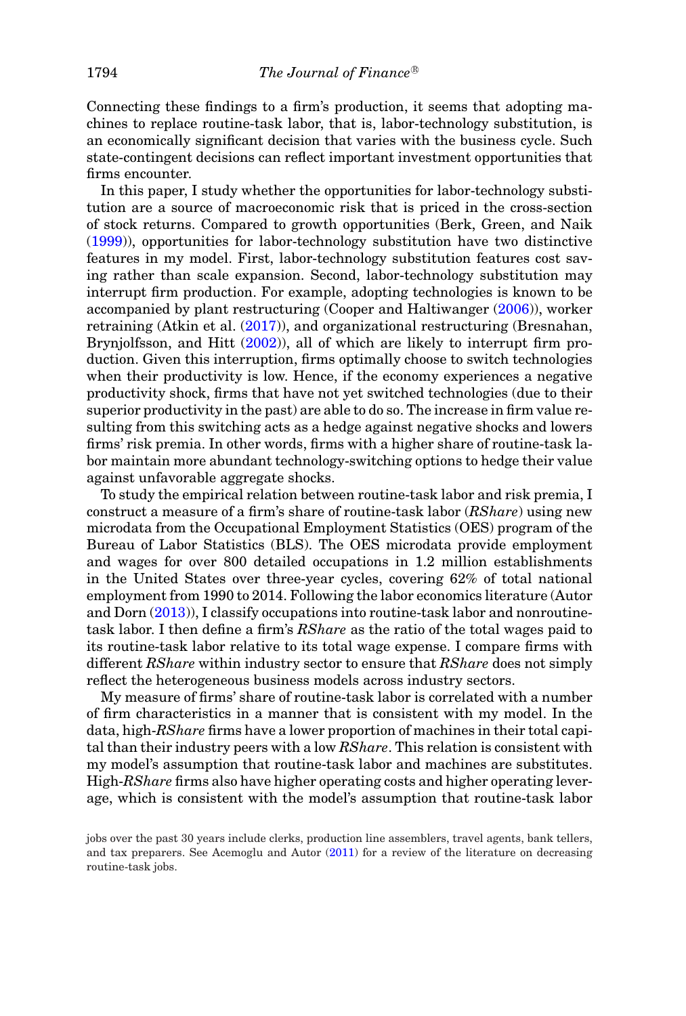Connecting these findings to a firm's production, it seems that adopting machines to replace routine-task labor, that is, labor-technology substitution, is an economically significant decision that varies with the business cycle. Such state-contingent decisions can reflect important investment opportunities that firms encounter.

In this paper, I study whether the opportunities for labor-technology substitution are a source of macroeconomic risk that is priced in the cross-section of stock returns. Compared to growth opportunities (Berk, Green, and Naik [\(1999\)](#page-44-0)), opportunities for labor-technology substitution have two distinctive features in my model. First, labor-technology substitution features cost saving rather than scale expansion. Second, labor-technology substitution may interrupt firm production. For example, adopting technologies is known to be accompanied by plant restructuring (Cooper and Haltiwanger [\(2006\)](#page-44-1)), worker retraining (Atkin et al. [\(2017\)](#page-43-0)), and organizational restructuring (Bresnahan, Brynjolfsson, and Hitt [\(2002\)](#page-44-2)), all of which are likely to interrupt firm production. Given this interruption, firms optimally choose to switch technologies when their productivity is low. Hence, if the economy experiences a negative productivity shock, firms that have not yet switched technologies (due to their superior productivity in the past) are able to do so. The increase in firm value resulting from this switching acts as a hedge against negative shocks and lowers firms' risk premia. In other words, firms with a higher share of routine-task labor maintain more abundant technology-switching options to hedge their value against unfavorable aggregate shocks.

To study the empirical relation between routine-task labor and risk premia, I construct a measure of a firm's share of routine-task labor (*RShare*) using new microdata from the Occupational Employment Statistics (OES) program of the Bureau of Labor Statistics (BLS). The OES microdata provide employment and wages for over 800 detailed occupations in 1.2 million establishments in the United States over three-year cycles, covering 62% of total national employment from 1990 to 2014. Following the labor economics literature (Autor and Dorn [\(2013\)](#page-44-3)), I classify occupations into routine-task labor and nonroutinetask labor. I then define a firm's *RShare* as the ratio of the total wages paid to its routine-task labor relative to its total wage expense. I compare firms with different *RShare* within industry sector to ensure that *RShare* does not simply reflect the heterogeneous business models across industry sectors.

My measure of firms' share of routine-task labor is correlated with a number of firm characteristics in a manner that is consistent with my model. In the data, high-*RShare* firms have a lower proportion of machines in their total capital than their industry peers with a low *RShare*. This relation is consistent with my model's assumption that routine-task labor and machines are substitutes. High-*RShare* firms also have higher operating costs and higher operating leverage, which is consistent with the model's assumption that routine-task labor

jobs over the past 30 years include clerks, production line assemblers, travel agents, bank tellers, and tax preparers. See Acemoglu and Autor [\(2011\)](#page-43-1) for a review of the literature on decreasing routine-task jobs.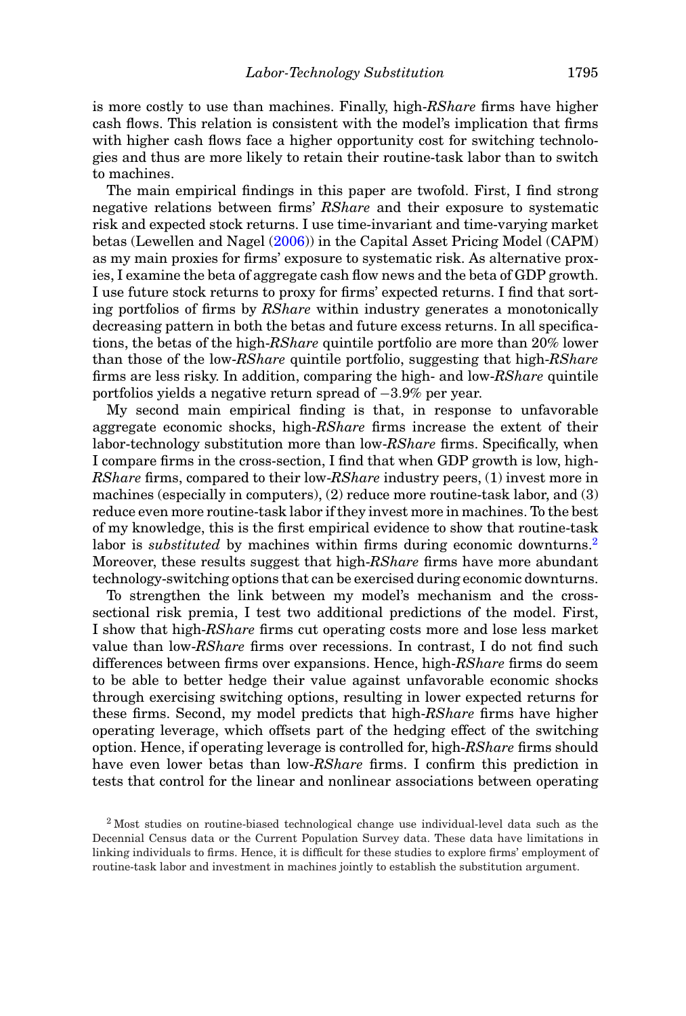is more costly to use than machines. Finally, high-*RShare* firms have higher cash flows. This relation is consistent with the model's implication that firms with higher cash flows face a higher opportunity cost for switching technologies and thus are more likely to retain their routine-task labor than to switch to machines.

The main empirical findings in this paper are twofold. First, I find strong negative relations between firms' *RShare* and their exposure to systematic risk and expected stock returns. I use time-invariant and time-varying market betas (Lewellen and Nagel [\(2006\)](#page-45-1)) in the Capital Asset Pricing Model (CAPM) as my main proxies for firms' exposure to systematic risk. As alternative proxies, I examine the beta of aggregate cash flow news and the beta of GDP growth. I use future stock returns to proxy for firms' expected returns. I find that sorting portfolios of firms by *RShare* within industry generates a monotonically decreasing pattern in both the betas and future excess returns. In all specifications, the betas of the high-*RShare* quintile portfolio are more than 20% lower than those of the low-*RShare* quintile portfolio, suggesting that high-*RShare* firms are less risky. In addition, comparing the high- and low-*RShare* quintile portfolios yields a negative return spread of −3.9% per year.

My second main empirical finding is that, in response to unfavorable aggregate economic shocks, high-*RShare* firms increase the extent of their labor-technology substitution more than low-*RShare* firms. Specifically, when I compare firms in the cross-section, I find that when GDP growth is low, high-*RShare* firms, compared to their low-*RShare* industry peers, (1) invest more in machines (especially in computers), (2) reduce more routine-task labor, and (3) reduce even more routine-task labor if they invest more in machines. To the best of my knowledge, this is the first empirical evidence to show that routine-task labor is *substituted* by machines within firms during economic downturns.<sup>[2](#page-2-0)</sup> Moreover, these results suggest that high-*RShare* firms have more abundant technology-switching options that can be exercised during economic downturns.

To strengthen the link between my model's mechanism and the crosssectional risk premia, I test two additional predictions of the model. First, I show that high-*RShare* firms cut operating costs more and lose less market value than low-*RShare* firms over recessions. In contrast, I do not find such differences between firms over expansions. Hence, high-*RShare* firms do seem to be able to better hedge their value against unfavorable economic shocks through exercising switching options, resulting in lower expected returns for these firms. Second, my model predicts that high-*RShare* firms have higher operating leverage, which offsets part of the hedging effect of the switching option. Hence, if operating leverage is controlled for, high-*RShare* firms should have even lower betas than low-*RShare* firms. I confirm this prediction in tests that control for the linear and nonlinear associations between operating

<span id="page-2-0"></span><sup>2</sup> Most studies on routine-biased technological change use individual-level data such as the Decennial Census data or the Current Population Survey data. These data have limitations in linking individuals to firms. Hence, it is difficult for these studies to explore firms' employment of routine-task labor and investment in machines jointly to establish the substitution argument.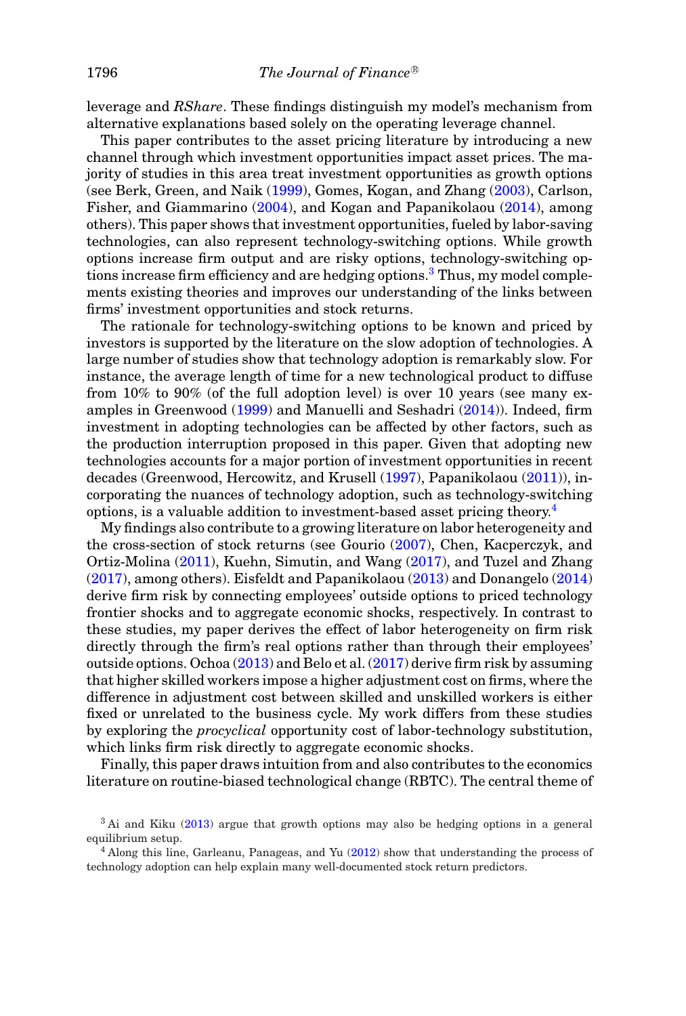leverage and *RShare*. These findings distinguish my model's mechanism from alternative explanations based solely on the operating leverage channel.

This paper contributes to the asset pricing literature by introducing a new channel through which investment opportunities impact asset prices. The majority of studies in this area treat investment opportunities as growth options (see Berk, Green, and Naik [\(1999\)](#page-44-0), Gomes, Kogan, and Zhang [\(2003\)](#page-44-4), Carlson, Fisher, and Giammarino [\(2004\)](#page-44-5), and Kogan and Papanikolaou [\(2014\)](#page-45-2), among others). This paper shows that investment opportunities, fueled by labor-saving technologies, can also represent technology-switching options. While growth options increase firm output and are risky options, technology-switching op-tions increase firm efficiency and are hedging options.<sup>[3](#page-3-0)</sup> Thus, my model complements existing theories and improves our understanding of the links between firms' investment opportunities and stock returns.

The rationale for technology-switching options to be known and priced by investors is supported by the literature on the slow adoption of technologies. A large number of studies show that technology adoption is remarkably slow. For instance, the average length of time for a new technological product to diffuse from 10% to 90% (of the full adoption level) is over 10 years (see many examples in Greenwood [\(1999\)](#page-45-3) and Manuelli and Seshadri [\(2014\)](#page-45-4)). Indeed, firm investment in adopting technologies can be affected by other factors, such as the production interruption proposed in this paper. Given that adopting new technologies accounts for a major portion of investment opportunities in recent decades (Greenwood, Hercowitz, and Krusell [\(1997\)](#page-45-5), Papanikolaou [\(2011\)](#page-45-6)), incorporating the nuances of technology adoption, such as technology-switching options, is a valuable addition to investment-based asset pricing theory.[4](#page-3-1)

My findings also contribute to a growing literature on labor heterogeneity and the cross-section of stock returns (see Gourio [\(2007\)](#page-45-7), Chen, Kacperczyk, and Ortiz-Molina [\(2011\)](#page-44-6), Kuehn, Simutin, and Wang [\(2017\)](#page-45-8), and Tuzel and Zhang [\(2017\)](#page-45-9), among others). Eisfeldt and Papanikolaou [\(2013\)](#page-44-7) and Donangelo [\(2014\)](#page-44-8) derive firm risk by connecting employees' outside options to priced technology frontier shocks and to aggregate economic shocks, respectively. In contrast to these studies, my paper derives the effect of labor heterogeneity on firm risk directly through the firm's real options rather than through their employees' outside options. Ochoa [\(2013\)](#page-45-10) and Belo et al. [\(2017\)](#page-44-9) derive firm risk by assuming that higher skilled workers impose a higher adjustment cost on firms, where the difference in adjustment cost between skilled and unskilled workers is either fixed or unrelated to the business cycle. My work differs from these studies by exploring the *procyclical* opportunity cost of labor-technology substitution, which links firm risk directly to aggregate economic shocks.

Finally, this paper draws intuition from and also contributes to the economics literature on routine-biased technological change (RBTC). The central theme of

<span id="page-3-0"></span> $3$  Ai and Kiku [\(2013\)](#page-43-2) argue that growth options may also be hedging options in a general equilibrium setup.

<span id="page-3-1"></span><sup>4</sup> Along this line, Garleanu, Panageas, and Yu [\(2012\)](#page-44-10) show that understanding the process of technology adoption can help explain many well-documented stock return predictors.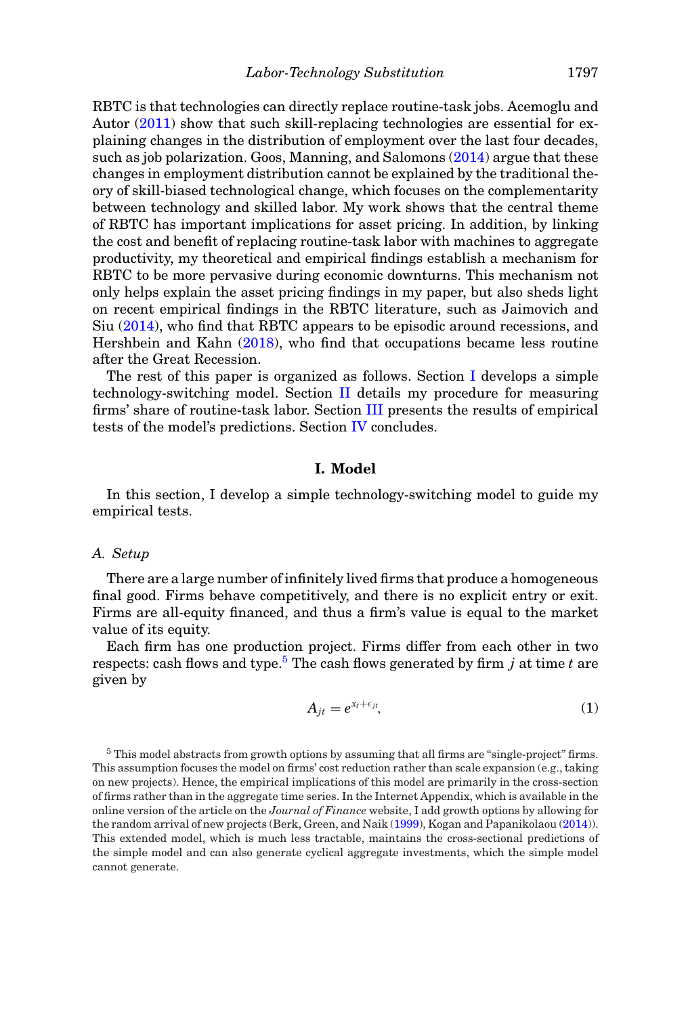RBTC is that technologies can directly replace routine-task jobs. Acemoglu and Autor [\(2011\)](#page-43-1) show that such skill-replacing technologies are essential for explaining changes in the distribution of employment over the last four decades, such as job polarization. Goos, Manning, and Salomons [\(2014\)](#page-44-11) argue that these changes in employment distribution cannot be explained by the traditional theory of skill-biased technological change, which focuses on the complementarity between technology and skilled labor. My work shows that the central theme of RBTC has important implications for asset pricing. In addition, by linking the cost and benefit of replacing routine-task labor with machines to aggregate productivity, my theoretical and empirical findings establish a mechanism for RBTC to be more pervasive during economic downturns. This mechanism not only helps explain the asset pricing findings in my paper, but also sheds light on recent empirical findings in the RBTC literature, such as Jaimovich and Siu [\(2014\)](#page-45-0), who find that RBTC appears to be episodic around recessions, and Hershbein and Kahn [\(2018\)](#page-45-11), who find that occupations became less routine after the Great Recession.

The rest of this paper is organized as follows. Section I develops a simple technology-switching model. Section II details my procedure for measuring firms' share of routine-task labor. Section III presents the results of empirical tests of the model's predictions. Section IV concludes.

# **I. Model**

In this section, I develop a simple technology-switching model to guide my empirical tests.

# *A. Setup*

There are a large number of infinitely lived firms that produce a homogeneous final good. Firms behave competitively, and there is no explicit entry or exit. Firms are all-equity financed, and thus a firm's value is equal to the market value of its equity.

Each firm has one production project. Firms differ from each other in two respects: cash flows and type.<sup>5</sup> The cash flows generated by firm  $j$  at time  $t$  are given by

$$
A_{jt} = e^{x_t + \epsilon_{jt}},\tag{1}
$$

<span id="page-4-0"></span><sup>5</sup> This model abstracts from growth options by assuming that all firms are "single-project" firms. This assumption focuses the model on firms' cost reduction rather than scale expansion (e.g., taking on new projects). Hence, the empirical implications of this model are primarily in the cross-section of firms rather than in the aggregate time series. In the Internet Appendix, which is available in the online version of the article on the *Journal of Finance* website, I add growth options by allowing for the random arrival of new projects (Berk, Green, and Naik [\(1999\)](#page-44-0), Kogan and Papanikolaou [\(2014\)](#page-45-2)). This extended model, which is much less tractable, maintains the cross-sectional predictions of the simple model and can also generate cyclical aggregate investments, which the simple model cannot generate.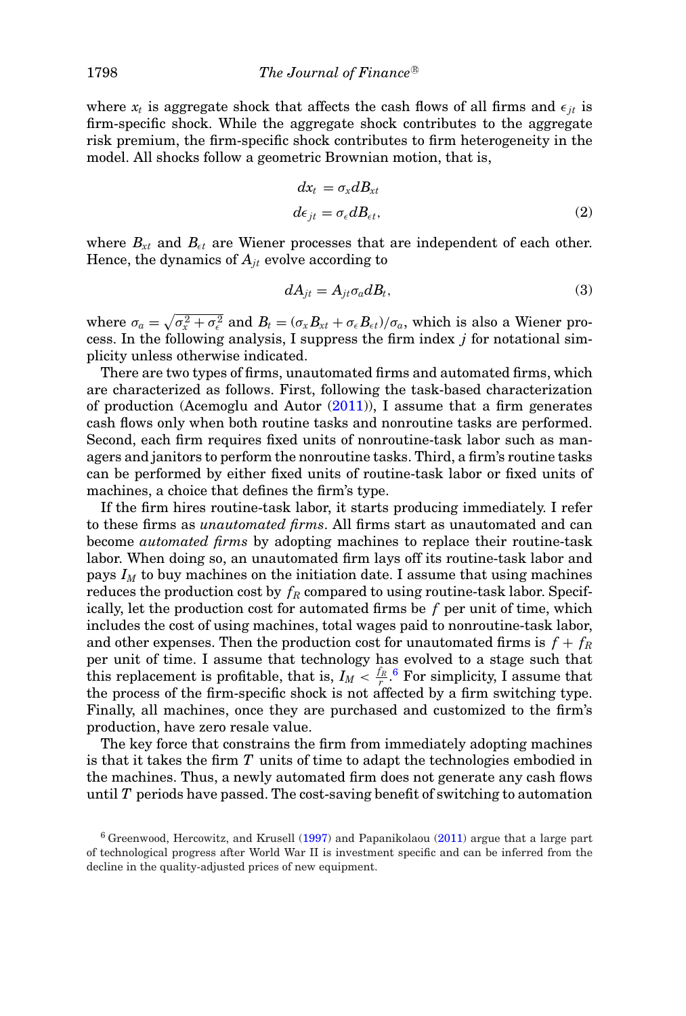where  $x_t$  is aggregate shock that affects the cash flows of all firms and  $\epsilon_{jt}$  is firm-specific shock. While the aggregate shock contributes to the aggregate risk premium, the firm-specific shock contributes to firm heterogeneity in the model. All shocks follow a geometric Brownian motion, that is,

$$
dx_t = \sigma_x dB_{xt}
$$
  
\n
$$
d\epsilon_{jt} = \sigma_{\epsilon} dB_{\epsilon t},
$$
\n(2)

where  $B_{xt}$  and  $B_{\epsilon t}$  are Wiener processes that are independent of each other. Hence, the dynamics of *Ajt* evolve according to

$$
dA_{jt} = A_{jt} \sigma_a dB_t,\tag{3}
$$

where  $\sigma_a = \sqrt{\sigma_x^2 + \sigma_\epsilon^2}$  and  $B_t = (\sigma_x B_{xt} + \sigma_\epsilon B_{\epsilon t})/\sigma_a$ , which is also a Wiener process. In the following analysis, I suppress the firm index *j* for notational simplicity unless otherwise indicated.

There are two types of firms, unautomated firms and automated firms, which are characterized as follows. First, following the task-based characterization of production (Acemoglu and Autor  $(2011)$ ), I assume that a firm generates cash flows only when both routine tasks and nonroutine tasks are performed. Second, each firm requires fixed units of nonroutine-task labor such as managers and janitors to perform the nonroutine tasks. Third, a firm's routine tasks can be performed by either fixed units of routine-task labor or fixed units of machines, a choice that defines the firm's type.

If the firm hires routine-task labor, it starts producing immediately. I refer to these firms as *unautomated firms*. All firms start as unautomated and can become *automated firms* by adopting machines to replace their routine-task labor. When doing so, an unautomated firm lays off its routine-task labor and pays  $I_M$  to buy machines on the initiation date. I assume that using machines reduces the production cost by  $f_R$  compared to using routine-task labor. Specifically, let the production cost for automated firms be *f* per unit of time, which includes the cost of using machines, total wages paid to nonroutine-task labor, and other expenses. Then the production cost for unautomated firms is  $f + f_R$ per unit of time. I assume that technology has evolved to a stage such that this replacement is profitable, that is,  $I_M < \frac{f_R}{r}$ , <sup>[6](#page-5-0)</sup> For simplicity, I assume that the process of the firm-specific shock is not affected by a firm switching type. Finally, all machines, once they are purchased and customized to the firm's production, have zero resale value.

The key force that constrains the firm from immediately adopting machines is that it takes the firm *T* units of time to adapt the technologies embodied in the machines. Thus, a newly automated firm does not generate any cash flows until *T* periods have passed. The cost-saving benefit of switching to automation

<span id="page-5-0"></span> $6$  Greenwood, Hercowitz, and Krusell [\(1997\)](#page-45-5) and Papanikolaou [\(2011\)](#page-45-6) argue that a large part of technological progress after World War II is investment specific and can be inferred from the decline in the quality-adjusted prices of new equipment.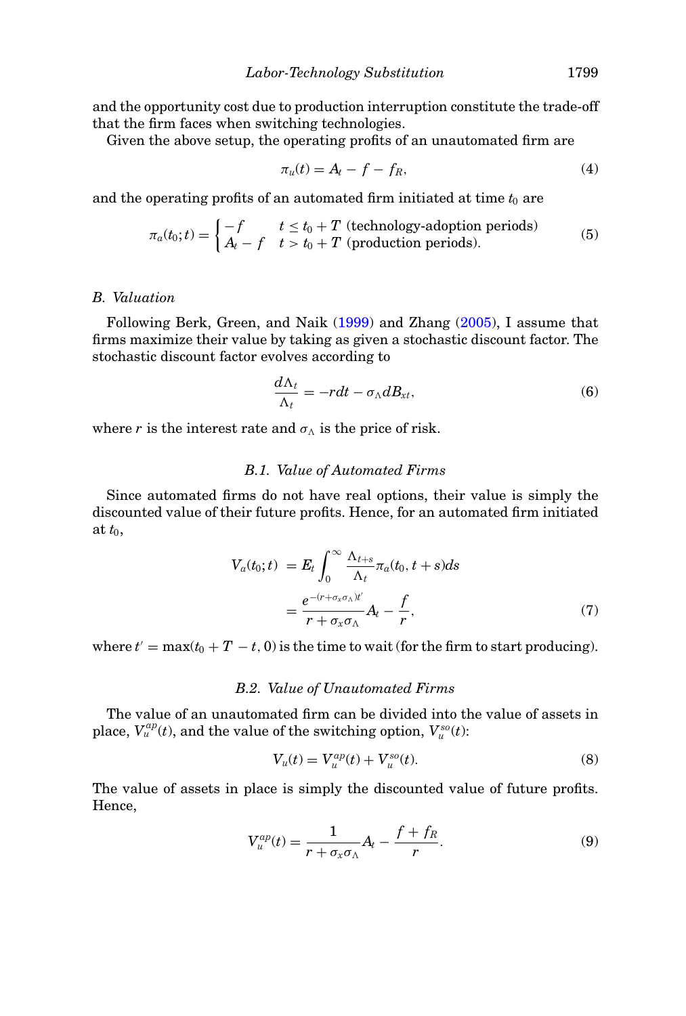and the opportunity cost due to production interruption constitute the trade-off that the firm faces when switching technologies.

Given the above setup, the operating profits of an unautomated firm are

$$
\pi_u(t) = A_t - f - f_R,\tag{4}
$$

and the operating profits of an automated firm initiated at time  $t_0$  are

$$
\pi_a(t_0; t) = \begin{cases}\n-f & t \le t_0 + T \text{ (technology-adoption periods)} \\
A_t - f & t > t_0 + T \text{ (production periods)}\n\end{cases}
$$
\n(5)

# *B. Valuation*

Following Berk, Green, and Naik [\(1999\)](#page-44-0) and Zhang [\(2005\)](#page-45-12), I assume that firms maximize their value by taking as given a stochastic discount factor. The stochastic discount factor evolves according to

$$
\frac{d\Lambda_t}{\Lambda_t} = -rdt - \sigma_{\Lambda} dB_{xt},\tag{6}
$$

where *r* is the interest rate and  $\sigma_{\Lambda}$  is the price of risk.

# *B.1. Value of Automated Firms*

Since automated firms do not have real options, their value is simply the discounted value of their future profits. Hence, for an automated firm initiated at *t*0,

$$
V_a(t_0;t) = E_t \int_0^\infty \frac{\Lambda_{t+s}}{\Lambda_t} \pi_a(t_0, t+s) ds
$$
  
= 
$$
\frac{e^{-(r+\sigma_x \sigma_\Lambda)t'}}{r+\sigma_x \sigma_\Lambda} A_t - \frac{f}{r},
$$
 (7)

where  $t' = \max(t_0 + T - t, 0)$  is the time to wait (for the firm to start producing).

# *B.2. Value of Unautomated Firms*

The value of an unautomated firm can be divided into the value of assets in place,  $V_u^{ap}(t)$ , and the value of the switching option,  $V_u^{so}(t)$ :

$$
V_u(t) = V_u^{ap}(t) + V_u^{so}(t).
$$
 (8)

The value of assets in place is simply the discounted value of future profits. Hence,

$$
V_u^{ap}(t) = \frac{1}{r + \sigma_x \sigma_\Lambda} A_t - \frac{f + f_R}{r}.
$$
 (9)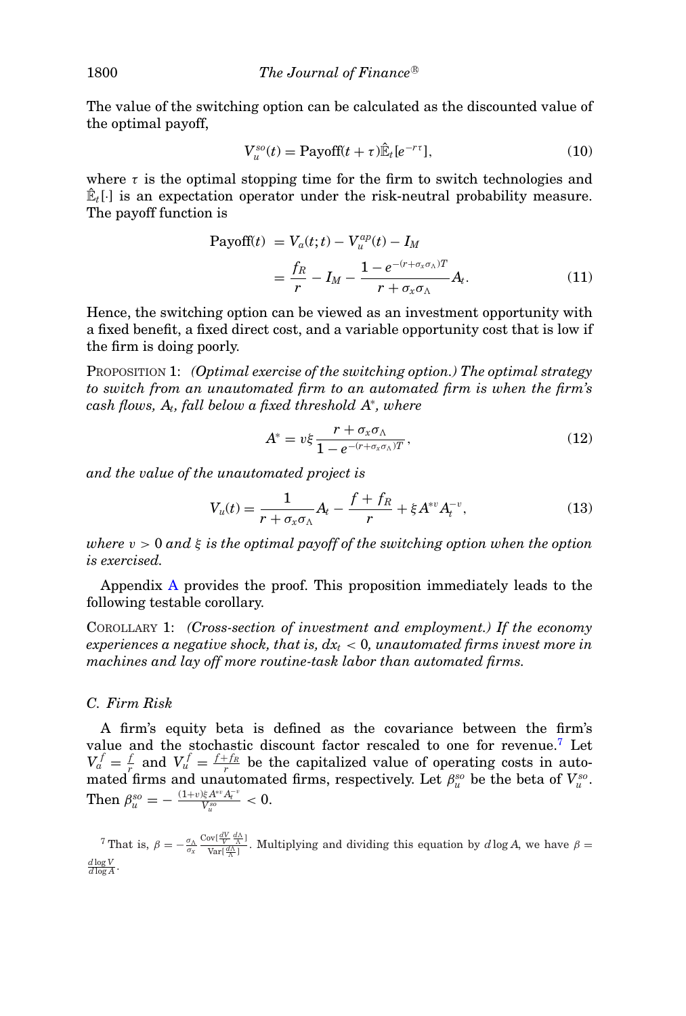The value of the switching option can be calculated as the discounted value of the optimal payoff,

$$
V_u^{so}(t) = \text{Payoff}(t+\tau)\hat{\mathbb{E}}_t[e^{-r\tau}],\tag{10}
$$

where  $\tau$  is the optimal stopping time for the firm to switch technologies and  $\mathbb{E}_{t}[\cdot]$  is an expectation operator under the risk-neutral probability measure. The payoff function is

<span id="page-7-2"></span>
$$
\begin{aligned} \text{Payoff}(t) \ &= V_a(t;t) - V_u^{ap}(t) - I_M \\ &= \frac{f_R}{r} - I_M - \frac{1 - e^{-(r + \sigma_x \sigma_\Lambda)T}}{r + \sigma_x \sigma_\Lambda} A_t. \end{aligned} \tag{11}
$$

Hence, the switching option can be viewed as an investment opportunity with a fixed benefit, a fixed direct cost, and a variable opportunity cost that is low if the firm is doing poorly.

<span id="page-7-1"></span>PROPOSITION 1: *(Optimal exercise of the switching option.) The optimal strategy to switch from an unautomated firm to an automated firm is when the firm's cash flows, At, fall below a fixed threshold A*<sup>∗</sup>*, where*

$$
A^* = v\xi \frac{r + \sigma_x \sigma_{\Lambda}}{1 - e^{-(r + \sigma_x \sigma_{\Lambda})T}},
$$
\n(12)

*and the value of the unautomated project is*

$$
V_u(t) = \frac{1}{r + \sigma_x \sigma_{\Lambda}} A_t - \frac{f + f_R}{r} + \xi A^{*v} A_t^{-v},
$$
\n(13)

*where* v > 0 *and* ξ *is the optimal payoff of the switching option when the option is exercised.*

Appendix A provides the proof. This proposition immediately leads to the following testable corollary.

COROLLARY 1: *(Cross-section of investment and employment.) If the economy experiences a negative shock, that is, dxt* < 0*, unautomated firms invest more in machines and lay off more routine-task labor than automated firms.*

# *C. Firm Risk*

A firm's equity beta is defined as the covariance between the firm's value and the stochastic discount factor rescaled to one for revenue.<sup>[7](#page-7-0)</sup> Let  $V_a^f = f_a$  and  $V_a^f = f_{r} + f_R$  be the capitalized value of operating costs in automated firms and unautomated firms, respectively. Let  $\beta_u^{so}$  be the beta of  $V_u^{so}$ .  $\text{Then } \beta_u^{so} = -\frac{(1+v)\xi A^{*v}A_t^{-v}}{V_u^{so}} < 0.$ 

<span id="page-7-0"></span><sup>7</sup> That is,  $\beta = -\frac{\sigma_{\Lambda}}{\sigma_x}$  $\frac{\text{Cov}[\frac{dV}{V}\frac{d\Lambda}{\Lambda}]}{\text{Var}[\frac{d\Lambda}{\Lambda}]}$ . Multiplying and dividing this equation by  $d \log A$ , we have  $\beta =$  $\frac{d \log V}{d \log A}$ .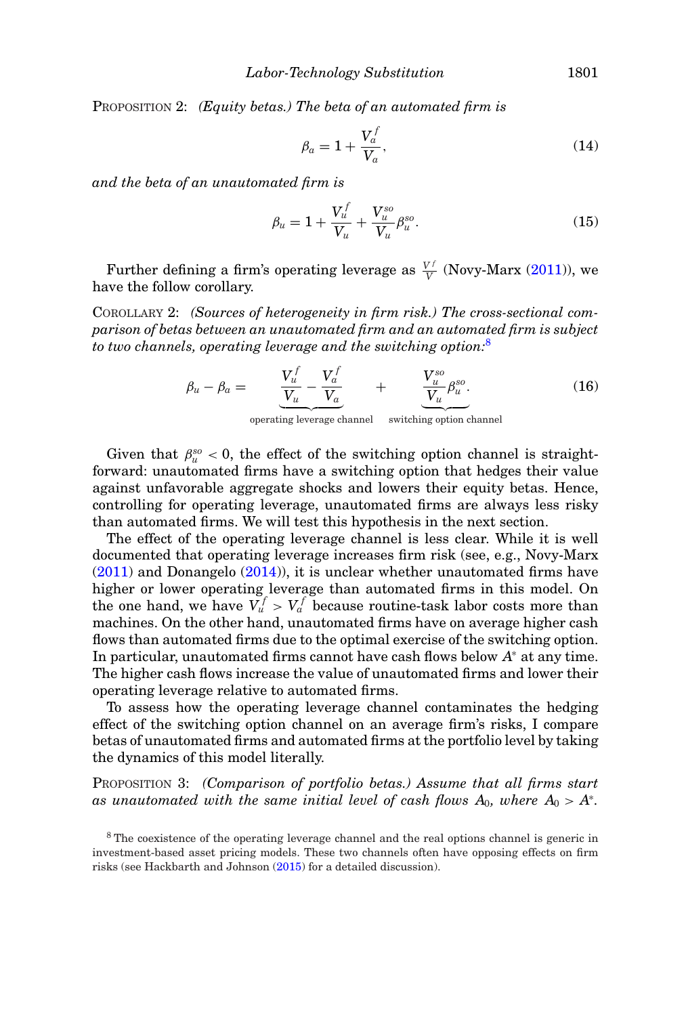PROPOSITION 2: *(Equity betas.) The beta of an automated firm is*

$$
\beta_a = 1 + \frac{V_a^f}{V_a},\tag{14}
$$

*and the beta of an unautomated firm is*

$$
\beta_u = 1 + \frac{V_u^f}{V_u} + \frac{V_u^{so}}{V_u} \beta_u^{so}.
$$
\n(15)

Further defining a firm's operating leverage as  $\frac{V^f}{V}$  (Novy-Marx [\(2011\)](#page-45-13)), we have the follow corollary.

COROLLARY 2: *(Sources of heterogeneity in firm risk.) The cross-sectional comparison of betas between an unautomated firm and an automated firm is subject to two channels, operating leverage and the switching option:*[8](#page-8-0)

<span id="page-8-1"></span>
$$
\beta_u - \beta_a = \frac{V_u^f}{V_u} - \frac{V_a^f}{V_a} + \frac{V_u^{so}}{V_u} \beta_u^{so}.
$$
\n(16)

operating leverage channel switching option channel

Given that  $\beta_u^{so} < 0$ , the effect of the switching option channel is straightforward: unautomated firms have a switching option that hedges their value against unfavorable aggregate shocks and lowers their equity betas. Hence, controlling for operating leverage, unautomated firms are always less risky than automated firms. We will test this hypothesis in the next section.

The effect of the operating leverage channel is less clear. While it is well documented that operating leverage increases firm risk (see, e.g., Novy-Marx [\(2011\)](#page-45-13) and Donangelo [\(2014\)](#page-44-8)), it is unclear whether unautomated firms have higher or lower operating leverage than automated firms in this model. On the one hand, we have  $V_u^f > V_a^f$  because routine-task labor costs more than machines. On the other hand, unautomated firms have on average higher cash flows than automated firms due to the optimal exercise of the switching option. In particular, unautomated firms cannot have cash flows below *A*<sup>∗</sup> at any time. The higher cash flows increase the value of unautomated firms and lower their operating leverage relative to automated firms.

To assess how the operating leverage channel contaminates the hedging effect of the switching option channel on an average firm's risks, I compare betas of unautomated firms and automated firms at the portfolio level by taking the dynamics of this model literally.

<span id="page-8-2"></span>PROPOSITION 3: *(Comparison of portfolio betas.) Assume that all firms start* as unautomated with the same initial level of cash flows  $A_0$ , where  $A_0 > A^*$ .

<span id="page-8-0"></span><sup>&</sup>lt;sup>8</sup> The coexistence of the operating leverage channel and the real options channel is generic in investment-based asset pricing models. These two channels often have opposing effects on firm risks (see Hackbarth and Johnson [\(2015\)](#page-45-14) for a detailed discussion).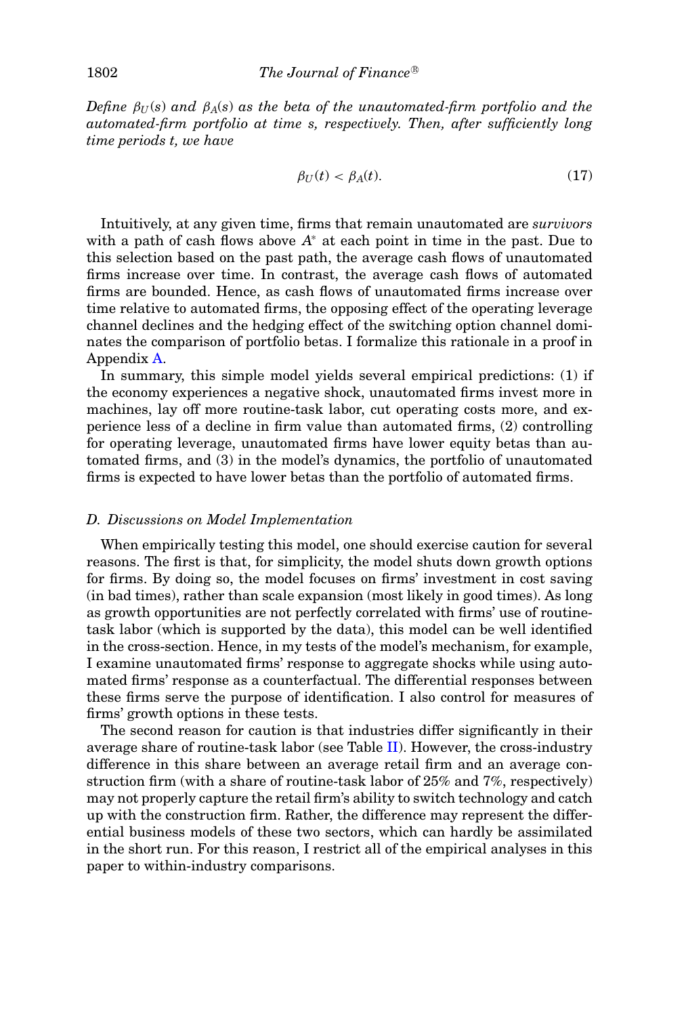*Define*  $\beta_U(s)$  *and*  $\beta_A(s)$  *as the beta of the unautomated-firm portfolio and the automated-firm portfolio at time s, respectively. Then, after sufficiently long time periods t, we have*

$$
\beta_U(t) < \beta_A(t). \tag{17}
$$

Intuitively, at any given time, firms that remain unautomated are *survivors* with a path of cash flows above *A*<sup>∗</sup> at each point in time in the past. Due to this selection based on the past path, the average cash flows of unautomated firms increase over time. In contrast, the average cash flows of automated firms are bounded. Hence, as cash flows of unautomated firms increase over time relative to automated firms, the opposing effect of the operating leverage channel declines and the hedging effect of the switching option channel dominates the comparison of portfolio betas. I formalize this rationale in a proof in Appendix A.

In summary, this simple model yields several empirical predictions: (1) if the economy experiences a negative shock, unautomated firms invest more in machines, lay off more routine-task labor, cut operating costs more, and experience less of a decline in firm value than automated firms, (2) controlling for operating leverage, unautomated firms have lower equity betas than automated firms, and (3) in the model's dynamics, the portfolio of unautomated firms is expected to have lower betas than the portfolio of automated firms.

# *D. Discussions on Model Implementation*

When empirically testing this model, one should exercise caution for several reasons. The first is that, for simplicity, the model shuts down growth options for firms. By doing so, the model focuses on firms' investment in cost saving (in bad times), rather than scale expansion (most likely in good times). As long as growth opportunities are not perfectly correlated with firms' use of routinetask labor (which is supported by the data), this model can be well identified in the cross-section. Hence, in my tests of the model's mechanism, for example, I examine unautomated firms' response to aggregate shocks while using automated firms' response as a counterfactual. The differential responses between these firms serve the purpose of identification. I also control for measures of firms' growth options in these tests.

The second reason for caution is that industries differ significantly in their average share of routine-task labor (see Table [II\)](#page-16-0). However, the cross-industry difference in this share between an average retail firm and an average construction firm (with a share of routine-task labor of 25% and 7%, respectively) may not properly capture the retail firm's ability to switch technology and catch up with the construction firm. Rather, the difference may represent the differential business models of these two sectors, which can hardly be assimilated in the short run. For this reason, I restrict all of the empirical analyses in this paper to within-industry comparisons.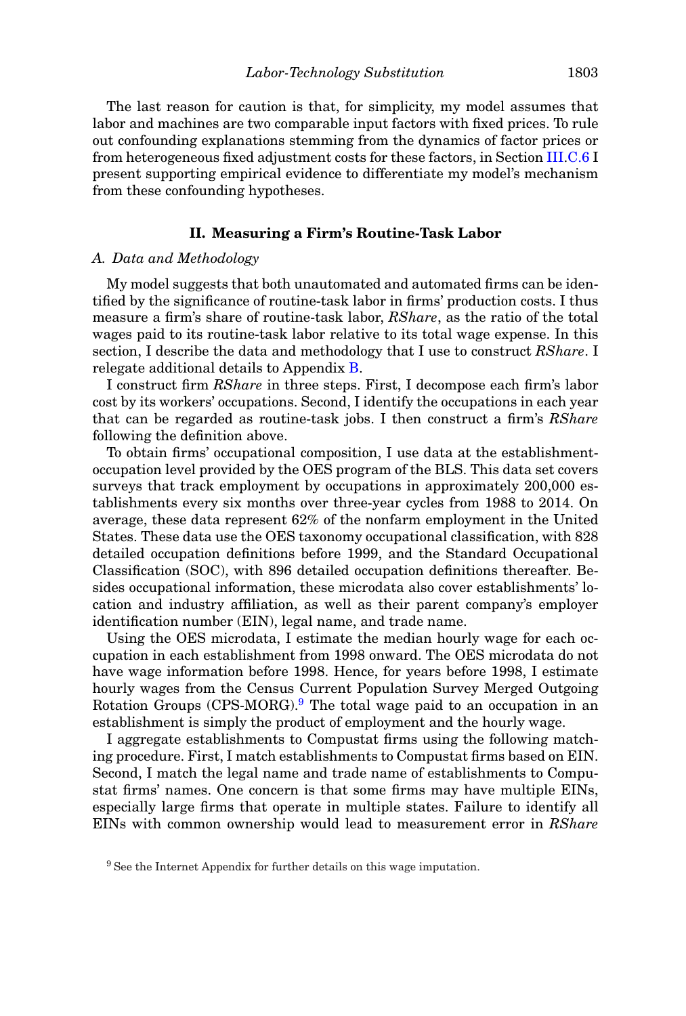The last reason for caution is that, for simplicity, my model assumes that labor and machines are two comparable input factors with fixed prices. To rule out confounding explanations stemming from the dynamics of factor prices or from heterogeneous fixed adjustment costs for these factors, in Section III.C.6 I present supporting empirical evidence to differentiate my model's mechanism from these confounding hypotheses.

# **II. Measuring a Firm's Routine-Task Labor**

# *A. Data and Methodology*

My model suggests that both unautomated and automated firms can be identified by the significance of routine-task labor in firms' production costs. I thus measure a firm's share of routine-task labor, *RShare*, as the ratio of the total wages paid to its routine-task labor relative to its total wage expense. In this section, I describe the data and methodology that I use to construct *RShare*. I relegate additional details to Appendix B.

I construct firm *RShare* in three steps. First, I decompose each firm's labor cost by its workers' occupations. Second, I identify the occupations in each year that can be regarded as routine-task jobs. I then construct a firm's *RShare* following the definition above.

To obtain firms' occupational composition, I use data at the establishmentoccupation level provided by the OES program of the BLS. This data set covers surveys that track employment by occupations in approximately 200,000 establishments every six months over three-year cycles from 1988 to 2014. On average, these data represent 62% of the nonfarm employment in the United States. These data use the OES taxonomy occupational classification, with 828 detailed occupation definitions before 1999, and the Standard Occupational Classification (SOC), with 896 detailed occupation definitions thereafter. Besides occupational information, these microdata also cover establishments' location and industry affiliation, as well as their parent company's employer identification number (EIN), legal name, and trade name.

Using the OES microdata, I estimate the median hourly wage for each occupation in each establishment from 1998 onward. The OES microdata do not have wage information before 1998. Hence, for years before 1998, I estimate hourly wages from the Census Current Population Survey Merged Outgoing Rotation Groups (CPS-MORG)[.9](#page-10-0) The total wage paid to an occupation in an establishment is simply the product of employment and the hourly wage.

I aggregate establishments to Compustat firms using the following matching procedure. First, I match establishments to Compustat firms based on EIN. Second, I match the legal name and trade name of establishments to Compustat firms' names. One concern is that some firms may have multiple EINs, especially large firms that operate in multiple states. Failure to identify all EINs with common ownership would lead to measurement error in *RShare*

<span id="page-10-0"></span><sup>&</sup>lt;sup>9</sup> See the Internet Appendix for further details on this wage imputation.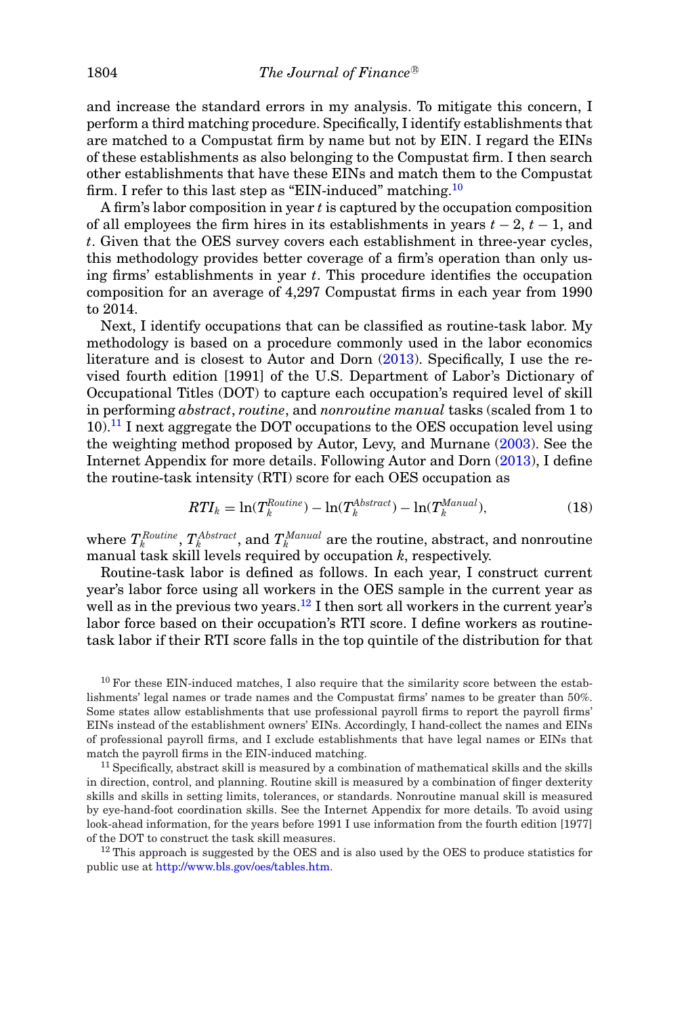and increase the standard errors in my analysis. To mitigate this concern, I perform a third matching procedure. Specifically, I identify establishments that are matched to a Compustat firm by name but not by EIN. I regard the EINs of these establishments as also belonging to the Compustat firm. I then search other establishments that have these EINs and match them to the Compustat firm. I refer to this last step as "EIN-induced" matching.<sup>[10](#page-11-0)</sup>

A firm's labor composition in year *t* is captured by the occupation composition of all employees the firm hires in its establishments in years  $t - 2$ ,  $t - 1$ , and *t*. Given that the OES survey covers each establishment in three-year cycles, this methodology provides better coverage of a firm's operation than only using firms' establishments in year *t*. This procedure identifies the occupation composition for an average of 4,297 Compustat firms in each year from 1990 to 2014.

Next, I identify occupations that can be classified as routine-task labor. My methodology is based on a procedure commonly used in the labor economics literature and is closest to Autor and Dorn [\(2013\)](#page-44-3). Specifically, I use the revised fourth edition [1991] of the U.S. Department of Labor's Dictionary of Occupational Titles (DOT) to capture each occupation's required level of skill in performing *abstract*, *routine*, and *nonroutine manual* tasks (scaled from 1 to  $10$ <sup>[11](#page-11-1)</sup>. I next aggregate the DOT occupations to the OES occupation level using the weighting method proposed by Autor, Levy, and Murnane [\(2003\)](#page-44-12). See the Internet Appendix for more details. Following Autor and Dorn [\(2013\)](#page-44-3), I define the routine-task intensity (RTI) score for each OES occupation as

<span id="page-11-3"></span>
$$
RTI_k = \ln(T_k^{Routine}) - \ln(T_k^{Abstract}) - \ln(T_k^{Manual}),\tag{18}
$$

where  $T_k^{Routine}, T_k^{Abstract},$  and  $T_k^{Manual}$  are the routine, abstract, and nonroutine manual task skill levels required by occupation *k*, respectively.

Routine-task labor is defined as follows. In each year, I construct current year's labor force using all workers in the OES sample in the current year as well as in the previous two years.<sup>12</sup> I then sort all workers in the current year's labor force based on their occupation's RTI score. I define workers as routinetask labor if their RTI score falls in the top quintile of the distribution for that

<span id="page-11-0"></span> $10$  For these EIN-induced matches, I also require that the similarity score between the establishments' legal names or trade names and the Compustat firms' names to be greater than 50%. Some states allow establishments that use professional payroll firms to report the payroll firms' EINs instead of the establishment owners' EINs. Accordingly, I hand-collect the names and EINs of professional payroll firms, and I exclude establishments that have legal names or EINs that match the payroll firms in the EIN-induced matching.

<span id="page-11-1"></span> $11$  Specifically, abstract skill is measured by a combination of mathematical skills and the skills in direction, control, and planning. Routine skill is measured by a combination of finger dexterity skills and skills in setting limits, tolerances, or standards. Nonroutine manual skill is measured by eye-hand-foot coordination skills. See the Internet Appendix for more details. To avoid using look-ahead information, for the years before 1991 I use information from the fourth edition [1977] of the DOT to construct the task skill measures.

<span id="page-11-2"></span><sup>12</sup> This approach is suggested by the OES and is also used by the OES to produce statistics for public use at [http://www.bls.gov/oes/tables.htm.](http://www.bls.gov/oes/tables.htm)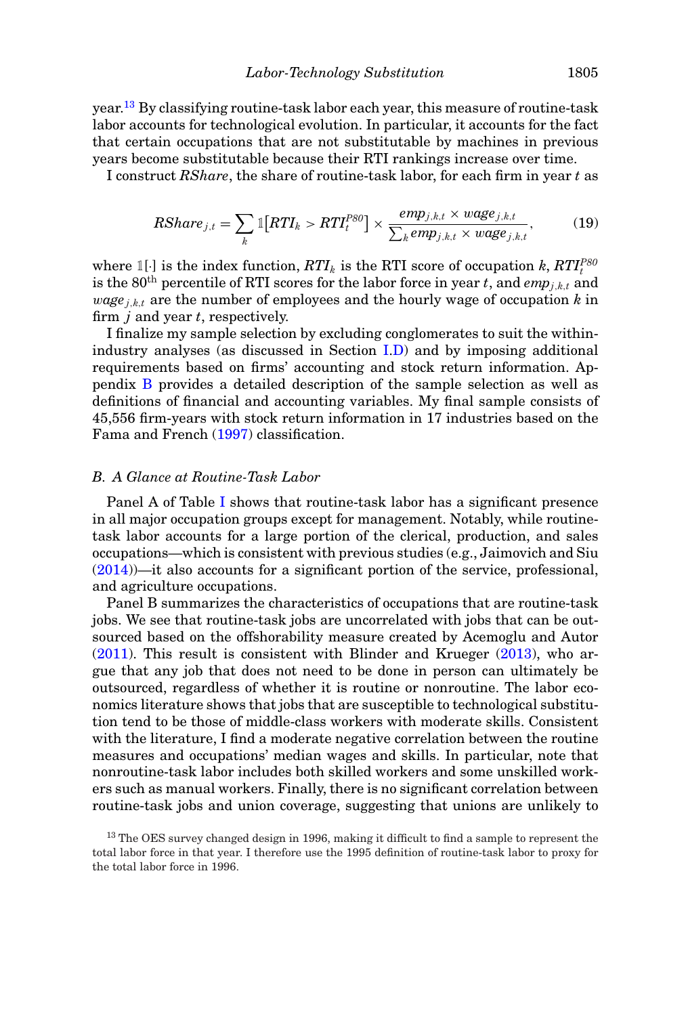year.[13](#page-12-0) By classifying routine-task labor each year, this measure of routine-task labor accounts for technological evolution. In particular, it accounts for the fact that certain occupations that are not substitutable by machines in previous years become substitutable because their RTI rankings increase over time.

I construct *RShare*, the share of routine-task labor, for each firm in year *t* as

<span id="page-12-1"></span>
$$
RShare_{j,t} = \sum_{k} \mathbb{1}[RTI_k > RTI_t^{PSO}] \times \frac{emp_{j,k,t} \times wage_{j,k,t}}{\sum_{k}emp_{j,k,t} \times wage_{j,k,t}},
$$
(19)

where  $\mathbb{1}[\cdot]$  is the index function,  $RTI_k$  is the RTI score of occupation  $k, RTI^{PSO}_t$ is the 80<sup>th</sup> percentile of RTI scores for the labor force in year *t*, and *emp<sub>j,k,t</sub>* and  $wage_{j,k,t}$  are the number of employees and the hourly wage of occupation  $k$  in firm *j* and year *t*, respectively.

I finalize my sample selection by excluding conglomerates to suit the withinindustry analyses (as discussed in Section I.D) and by imposing additional requirements based on firms' accounting and stock return information. Appendix B provides a detailed description of the sample selection as well as definitions of financial and accounting variables. My final sample consists of 45,556 firm-years with stock return information in 17 industries based on the Fama and French [\(1997\)](#page-44-13) classification.

## *B. A Glance at Routine-Task Labor*

Panel A of Table [I](#page-13-0) shows that routine-task labor has a significant presence in all major occupation groups except for management. Notably, while routinetask labor accounts for a large portion of the clerical, production, and sales occupations—which is consistent with previous studies (e.g., Jaimovich and Siu [\(2014\)](#page-45-0))—it also accounts for a significant portion of the service, professional, and agriculture occupations.

Panel B summarizes the characteristics of occupations that are routine-task jobs. We see that routine-task jobs are uncorrelated with jobs that can be outsourced based on the offshorability measure created by Acemoglu and Autor  $(2011)$ . This result is consistent with Blinder and Krueger  $(2013)$ , who argue that any job that does not need to be done in person can ultimately be outsourced, regardless of whether it is routine or nonroutine. The labor economics literature shows that jobs that are susceptible to technological substitution tend to be those of middle-class workers with moderate skills. Consistent with the literature, I find a moderate negative correlation between the routine measures and occupations' median wages and skills. In particular, note that nonroutine-task labor includes both skilled workers and some unskilled workers such as manual workers. Finally, there is no significant correlation between routine-task jobs and union coverage, suggesting that unions are unlikely to

<span id="page-12-0"></span><sup>&</sup>lt;sup>13</sup> The OES survey changed design in 1996, making it difficult to find a sample to represent the total labor force in that year. I therefore use the 1995 definition of routine-task labor to proxy for the total labor force in 1996.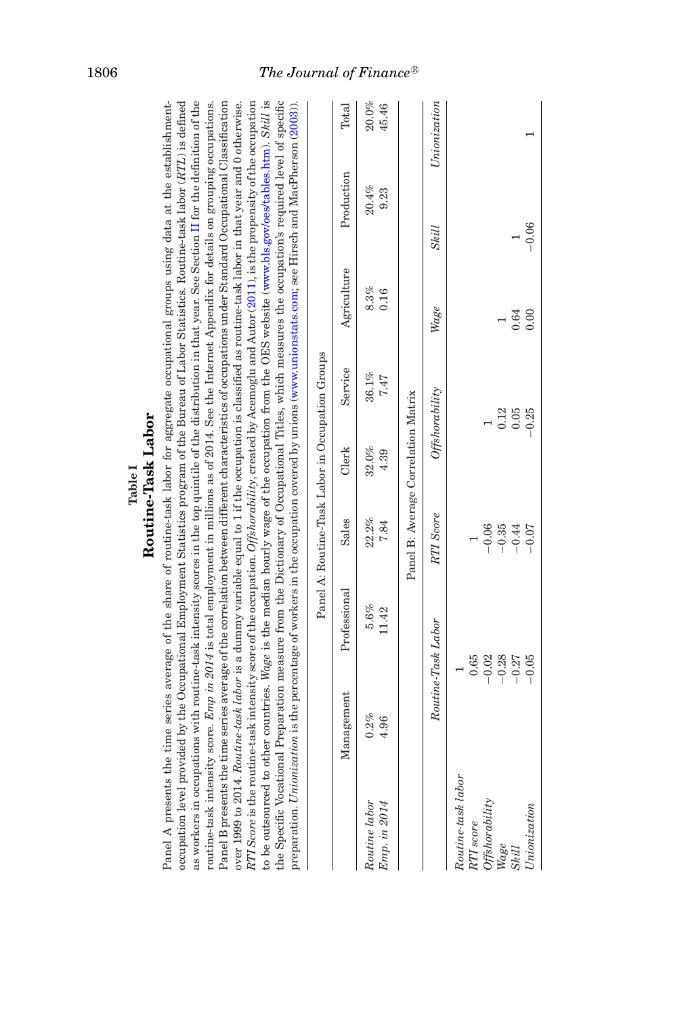<span id="page-13-0"></span>

|                                                                                                                                                                                                                                                                                                                                                                                                                                                                                                                                                                                                                                                                                                                                                                                                                                                                                                                                                                                                                                                                                                         |                 |                                                                                                                                                                                                                                                                                                                                                                                                                                                                                                                      |                                                  | Routine-Task Labor<br>Table I |                         |              |               |                   |
|---------------------------------------------------------------------------------------------------------------------------------------------------------------------------------------------------------------------------------------------------------------------------------------------------------------------------------------------------------------------------------------------------------------------------------------------------------------------------------------------------------------------------------------------------------------------------------------------------------------------------------------------------------------------------------------------------------------------------------------------------------------------------------------------------------------------------------------------------------------------------------------------------------------------------------------------------------------------------------------------------------------------------------------------------------------------------------------------------------|-----------------|----------------------------------------------------------------------------------------------------------------------------------------------------------------------------------------------------------------------------------------------------------------------------------------------------------------------------------------------------------------------------------------------------------------------------------------------------------------------------------------------------------------------|--------------------------------------------------|-------------------------------|-------------------------|--------------|---------------|-------------------|
| Panel A presents the time series average of the share of routine-task labor for aggregate occupational groups using data at the establishment-<br>as workers in occupations with routine-task intensity scores in the top quintile of the distribution in that year. See Section II for the definition of the<br>Panel B presents the time series average of the correlation between different characteristics of occupations under Standard Occupational Classification<br>over 1999 to 2014. Routine-task labor is a dummy variable equal to 1 if the occupation is classified as routine-task labor in that year and 0 otherwise.<br>$RTI$ Score is the routine-task intensity score of the occupation. $O\!f\!\!\!\!f\!\!\!\!s\!hovability$ , created by Acemoglu and Autor (2011), is the propensity of the occupation<br>the Specific Vocational Preparation measure from the Dictionary of Occupational Titles, which measures the occupation's required level of specific<br>routine-task intensity scor<br>preparation. Unionization<br>to be outsourced to other<br>occupation level provided |                 | by the Occupational Employment Statistics program of the Bureau of Labor Statistics. Routine-task labor (RTL) is defined<br>re. <i>Emp in 2014</i> is total employment in millions as of 2014. See the Internet Appendix for details on grouping occupations.<br>countries. Wage is the median hourly wage of the occupation from the OES website (www.bls.gov/oes/tables.htm). Skill is<br>is the percentage of workers in the occupation covered by unions (www.unionstats.com; see Hirsch and MacPherson (2003)). |                                                  |                               |                         |              |               |                   |
|                                                                                                                                                                                                                                                                                                                                                                                                                                                                                                                                                                                                                                                                                                                                                                                                                                                                                                                                                                                                                                                                                                         |                 |                                                                                                                                                                                                                                                                                                                                                                                                                                                                                                                      | Panel A: Routine-Task Labor in Occupation Groups |                               |                         |              |               |                   |
|                                                                                                                                                                                                                                                                                                                                                                                                                                                                                                                                                                                                                                                                                                                                                                                                                                                                                                                                                                                                                                                                                                         | Management      | Professional                                                                                                                                                                                                                                                                                                                                                                                                                                                                                                         | Sales                                            | Clerk                         | Service                 | Agriculture  | Production    | Total             |
| Routine labor<br>Emp. in 2014                                                                                                                                                                                                                                                                                                                                                                                                                                                                                                                                                                                                                                                                                                                                                                                                                                                                                                                                                                                                                                                                           | $0.2\%$<br>4.96 | 5.6%<br>11.42                                                                                                                                                                                                                                                                                                                                                                                                                                                                                                        | 22.2%<br>7.84                                    | 32.0%<br>4.39                 | 36.1%<br>7.47           | 8.3%<br>0.16 | 20.4%<br>9.23 | $20.0\%$<br>45.46 |
|                                                                                                                                                                                                                                                                                                                                                                                                                                                                                                                                                                                                                                                                                                                                                                                                                                                                                                                                                                                                                                                                                                         |                 |                                                                                                                                                                                                                                                                                                                                                                                                                                                                                                                      | Panel B: Average Correlation Matrix              |                               |                         |              |               |                   |
|                                                                                                                                                                                                                                                                                                                                                                                                                                                                                                                                                                                                                                                                                                                                                                                                                                                                                                                                                                                                                                                                                                         |                 | Routine-Task Labor                                                                                                                                                                                                                                                                                                                                                                                                                                                                                                   | RTI Score                                        |                               | Offshorability          | Wage         | Skill         | Unionization      |
| Routine-task labor<br>Offshorability<br>Unionization<br>$RTI$ score<br>Wage<br>Skill                                                                                                                                                                                                                                                                                                                                                                                                                                                                                                                                                                                                                                                                                                                                                                                                                                                                                                                                                                                                                    |                 | $-0.02$<br>0.65<br>$-0.28$<br>$-0.27$<br>$-0.05$                                                                                                                                                                                                                                                                                                                                                                                                                                                                     | $-0.06$<br>$-0.35$<br>$-0.44$<br>$-0.07$         |                               | 0.12<br>$-0.25$<br>0.05 | 0.64<br>0.00 | $-0.06$       |                   |

# 1806 **The Journal of Finance**®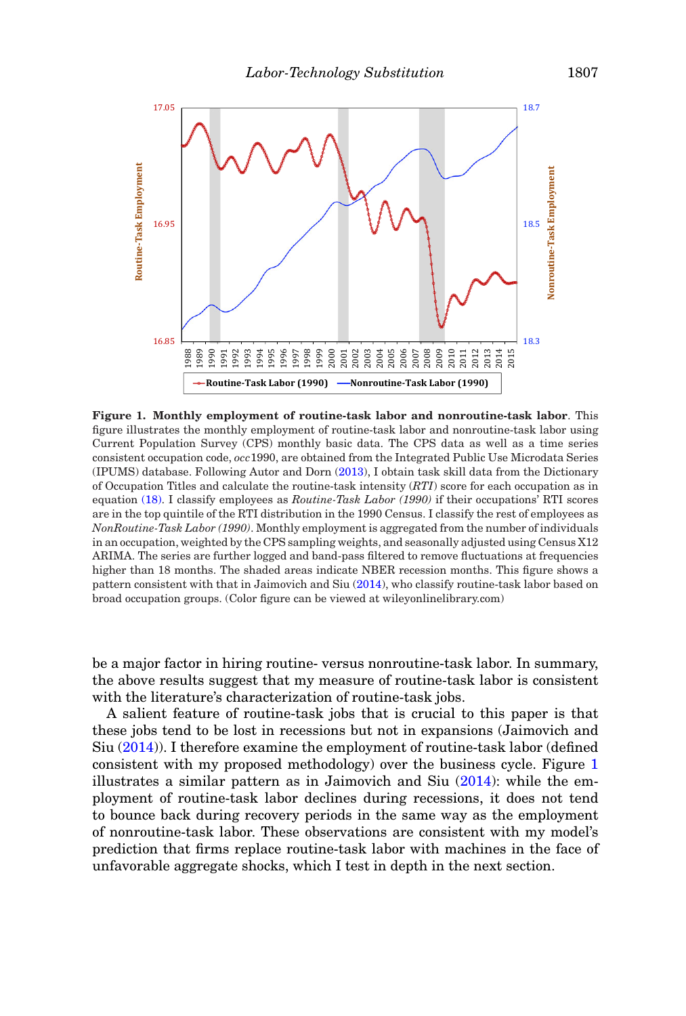

<span id="page-14-0"></span>**Figure 1. Monthly employment of routine-task labor and nonroutine-task labor**. This figure illustrates the monthly employment of routine-task labor and nonroutine-task labor using Current Population Survey (CPS) monthly basic data. The CPS data as well as a time series consistent occupation code, *occ*1990, are obtained from the Integrated Public Use Microdata Series (IPUMS) database. Following Autor and Dorn [\(2013\)](#page-44-3), I obtain task skill data from the Dictionary of Occupation Titles and calculate the routine-task intensity (*RTI*) score for each occupation as in equation [\(18\).](#page-11-3) I classify employees as *Routine-Task Labor (1990)* if their occupations' RTI scores are in the top quintile of the RTI distribution in the 1990 Census. I classify the rest of employees as *NonRoutine-Task Labor (1990)*. Monthly employment is aggregated from the number of individuals in an occupation, weighted by the CPS sampling weights, and seasonally adjusted using Census X12 ARIMA. The series are further logged and band-pass filtered to remove fluctuations at frequencies higher than 18 months. The shaded areas indicate NBER recession months. This figure shows a pattern consistent with that in Jaimovich and Siu [\(2014\)](#page-45-0), who classify routine-task labor based on broad occupation groups. (Color figure can be viewed at wileyonlinelibrary.com)

be a major factor in hiring routine- versus nonroutine-task labor. In summary, the above results suggest that my measure of routine-task labor is consistent with the literature's characterization of routine-task jobs.

A salient feature of routine-task jobs that is crucial to this paper is that these jobs tend to be lost in recessions but not in expansions (Jaimovich and Siu [\(2014\)](#page-45-0)). I therefore examine the employment of routine-task labor (defined consistent with my proposed methodology) over the business cycle. Figure [1](#page-14-0) illustrates a similar pattern as in Jaimovich and Siu [\(2014\)](#page-45-0): while the employment of routine-task labor declines during recessions, it does not tend to bounce back during recovery periods in the same way as the employment of nonroutine-task labor. These observations are consistent with my model's prediction that firms replace routine-task labor with machines in the face of unfavorable aggregate shocks, which I test in depth in the next section.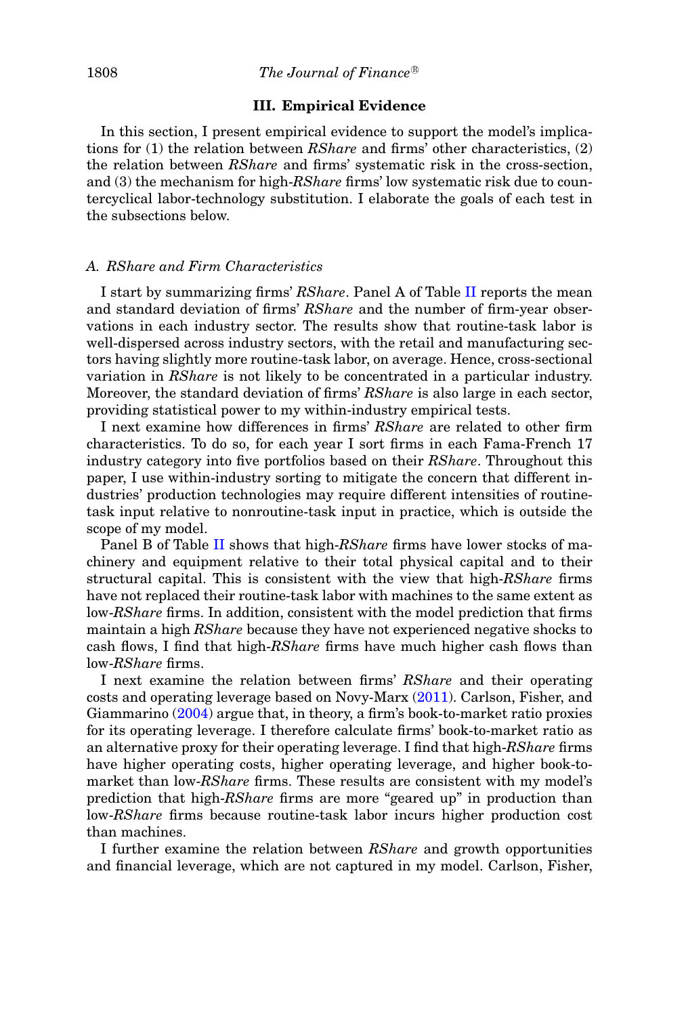# **III. Empirical Evidence**

In this section, I present empirical evidence to support the model's implications for (1) the relation between *RShare* and firms' other characteristics, (2) the relation between *RShare* and firms' systematic risk in the cross-section, and (3) the mechanism for high-*RShare* firms' low systematic risk due to countercyclical labor-technology substitution. I elaborate the goals of each test in the subsections below.

# *A. RShare and Firm Characteristics*

I start by summarizing firms' *RShare*. Panel A of Table [II](#page-16-0) reports the mean and standard deviation of firms' *RShare* and the number of firm-year observations in each industry sector. The results show that routine-task labor is well-dispersed across industry sectors, with the retail and manufacturing sectors having slightly more routine-task labor, on average. Hence, cross-sectional variation in *RShare* is not likely to be concentrated in a particular industry. Moreover, the standard deviation of firms' *RShare* is also large in each sector, providing statistical power to my within-industry empirical tests.

I next examine how differences in firms' *RShare* are related to other firm characteristics. To do so, for each year I sort firms in each Fama-French 17 industry category into five portfolios based on their *RShare*. Throughout this paper, I use within-industry sorting to mitigate the concern that different industries' production technologies may require different intensities of routinetask input relative to nonroutine-task input in practice, which is outside the scope of my model.

Panel B of Table [II](#page-16-0) shows that high-*RShare* firms have lower stocks of machinery and equipment relative to their total physical capital and to their structural capital. This is consistent with the view that high-*RShare* firms have not replaced their routine-task labor with machines to the same extent as low-*RShare* firms. In addition, consistent with the model prediction that firms maintain a high *RShare* because they have not experienced negative shocks to cash flows, I find that high-*RShare* firms have much higher cash flows than low-*RShare* firms.

I next examine the relation between firms' *RShare* and their operating costs and operating leverage based on Novy-Marx [\(2011\)](#page-45-13). Carlson, Fisher, and Giammarino [\(2004\)](#page-44-5) argue that, in theory, a firm's book-to-market ratio proxies for its operating leverage. I therefore calculate firms' book-to-market ratio as an alternative proxy for their operating leverage. I find that high-*RShare* firms have higher operating costs, higher operating leverage, and higher book-tomarket than low-*RShare* firms. These results are consistent with my model's prediction that high-*RShare* firms are more "geared up" in production than low-*RShare* firms because routine-task labor incurs higher production cost than machines.

I further examine the relation between *RShare* and growth opportunities and financial leverage, which are not captured in my model. Carlson, Fisher,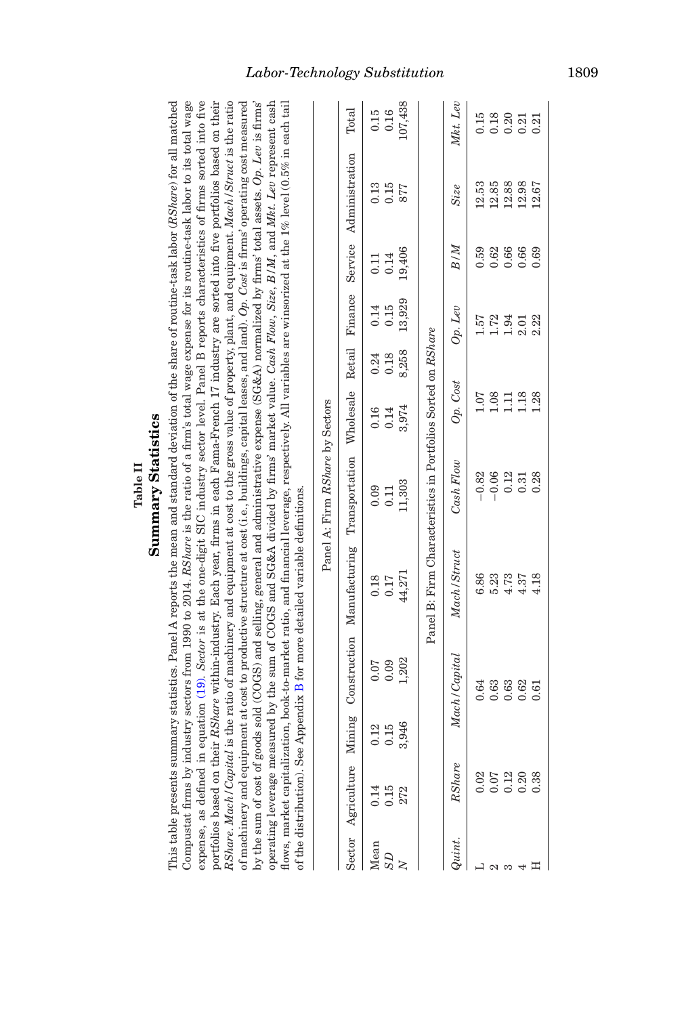<span id="page-16-0"></span>

|            | This table presents summ                                                                                                                           |                                                      |                       | ary statistics. Panel A reports the mean and standard deviation of the share of routine-task labor (RShare) for all matched                                                                                                                                                                                                                                                                                                                                                                                                                                                                                                                                                                                                                                                                                                                                                                                                                                                                                                                                                                                                                                                                                                        | Summary Statistics<br>Table II  |                       |                       |                        |                        |                     |                         |
|------------|----------------------------------------------------------------------------------------------------------------------------------------------------|------------------------------------------------------|-----------------------|------------------------------------------------------------------------------------------------------------------------------------------------------------------------------------------------------------------------------------------------------------------------------------------------------------------------------------------------------------------------------------------------------------------------------------------------------------------------------------------------------------------------------------------------------------------------------------------------------------------------------------------------------------------------------------------------------------------------------------------------------------------------------------------------------------------------------------------------------------------------------------------------------------------------------------------------------------------------------------------------------------------------------------------------------------------------------------------------------------------------------------------------------------------------------------------------------------------------------------|---------------------------------|-----------------------|-----------------------|------------------------|------------------------|---------------------|-------------------------|
|            | portfolios based on their I<br>RShare. Mach / Capital is<br>by the sum of cost of good<br>of the distribution). See A<br>expense, as defined in eq |                                                      |                       | Compustat firms by industry sectors from 1990 to 2014. RShare is the ratio of a firm's total wage expense for its routine-task labor to its total wage<br>uation (19). Sector is at the one-digit SIC industry sector level. Panel B reports characteristics of firms sorted into five<br>RShare within-industry. Each year, firms in each Fama-French 17 industry are sorted into five portfolios based on their<br>the ratio of machinery and equipment at cost to the gross value of property, plant, and equipment. $\textit{Match}/\textit{Struct}$ is the ratio<br>s sold (COGS) and selling, general and administrative expense (SG&A) normalized by firms' total assets. Op. Lev is firms'<br>of machinery and equipment at cost to productive structure at cost (i.e., buildings, capital leases, and land). $O$ a. Gost is firms' operating cost measured<br>operating leverage measured by the sum of COGS and SG&A divided by firms' market value. Cash Flow, Size, B/M, and Mht. Lev represent cash<br>flows, market capitalization, book-to-market ratio, and financial leverage, respectively. All variables are winsorized at the 1% level (0.5% in each tail<br>ppendix B for more detailed variable definitions. |                                 |                       |                       |                        |                        |                     |                         |
|            |                                                                                                                                                    |                                                      |                       |                                                                                                                                                                                                                                                                                                                                                                                                                                                                                                                                                                                                                                                                                                                                                                                                                                                                                                                                                                                                                                                                                                                                                                                                                                    | Panel A: Firm RShare by Sectors |                       |                       |                        |                        |                     |                         |
| Sector     | Agriculture                                                                                                                                        | ning<br>Min                                          | Construction          | Manufacturing                                                                                                                                                                                                                                                                                                                                                                                                                                                                                                                                                                                                                                                                                                                                                                                                                                                                                                                                                                                                                                                                                                                                                                                                                      | Transportation                  | Wholesale             | Retail                | Finance                | Service                | Administration      | Total                   |
| Mean<br>SD | 0.14<br>0.15<br>272                                                                                                                                | 3,946<br>$\begin{array}{c} 0.12 \\ 0.15 \end{array}$ | 1,202<br>0.09<br>0.07 | 44,271<br>0.18<br>0.17                                                                                                                                                                                                                                                                                                                                                                                                                                                                                                                                                                                                                                                                                                                                                                                                                                                                                                                                                                                                                                                                                                                                                                                                             | 11,303<br>0.09<br>0.11          | 3,974<br>0.16<br>0.14 | 8,258<br>0.24<br>0.18 | 13,929<br>0.15<br>0.14 | 19,406<br>0.14<br>0.11 | 0.15<br>0.13<br>877 | 107,438<br>0.16<br>0.15 |
|            |                                                                                                                                                    |                                                      |                       | Panel B: Firm Characteristics in Portfolios Sorted on RShare                                                                                                                                                                                                                                                                                                                                                                                                                                                                                                                                                                                                                                                                                                                                                                                                                                                                                                                                                                                                                                                                                                                                                                       |                                 |                       |                       |                        |                        |                     |                         |
| Quint.     | RShare                                                                                                                                             |                                                      | Mach / Capital        | Mach / Struct                                                                                                                                                                                                                                                                                                                                                                                                                                                                                                                                                                                                                                                                                                                                                                                                                                                                                                                                                                                                                                                                                                                                                                                                                      | Cash Flow                       | Op. Cost              |                       | $Op.$ Lev              | B/M                    | Size                | Mkt. Lev                |
|            | 0.02                                                                                                                                               |                                                      | 0.64                  | 6.86                                                                                                                                                                                                                                                                                                                                                                                                                                                                                                                                                                                                                                                                                                                                                                                                                                                                                                                                                                                                                                                                                                                                                                                                                               | $-0.82$                         | 1.07                  |                       | 1.57                   | 0.59                   | 12.53               | 0.15                    |
| $\infty$   | $\begin{array}{c} 0.07 \\ 0.12 \end{array}$                                                                                                        |                                                      | 0.63                  | 5.23                                                                                                                                                                                                                                                                                                                                                                                                                                                                                                                                                                                                                                                                                                                                                                                                                                                                                                                                                                                                                                                                                                                                                                                                                               | $-0.06$                         | 1.08                  |                       | 1.72                   | 0.62                   | 12.85               | 0.18                    |
|            |                                                                                                                                                    |                                                      | 0.63<br>0.62          | 4.73<br>4.37                                                                                                                                                                                                                                                                                                                                                                                                                                                                                                                                                                                                                                                                                                                                                                                                                                                                                                                                                                                                                                                                                                                                                                                                                       | 0.12<br>0.31                    | 1.18<br>1.11          |                       | 1.94<br>2.01           | 0.66<br>0.66           | 12.88<br>12.98      | 0.20<br>0.21            |
|            | $0.20$<br>$0.38$                                                                                                                                   |                                                      | 0.61                  | 4.18                                                                                                                                                                                                                                                                                                                                                                                                                                                                                                                                                                                                                                                                                                                                                                                                                                                                                                                                                                                                                                                                                                                                                                                                                               | 0.28                            | 1.28                  |                       | 2.22                   | 0.69                   | 12.67               | 0.21                    |

*Labor-Technology Substitution* 1809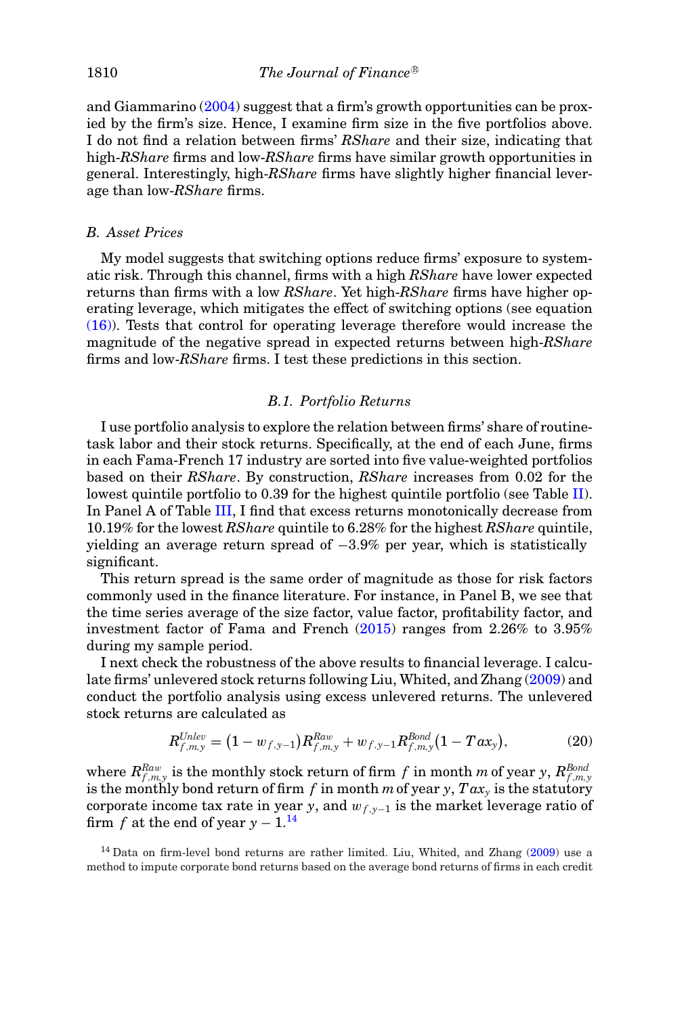and Giammarino [\(2004\)](#page-44-5) suggest that a firm's growth opportunities can be proxied by the firm's size. Hence, I examine firm size in the five portfolios above. I do not find a relation between firms' *RShare* and their size, indicating that high-*RShare* firms and low-*RShare* firms have similar growth opportunities in general. Interestingly, high-*RShare* firms have slightly higher financial leverage than low-*RShare* firms.

#### *B. Asset Prices*

My model suggests that switching options reduce firms' exposure to systematic risk. Through this channel, firms with a high *RShare* have lower expected returns than firms with a low *RShare*. Yet high-*RShare* firms have higher operating leverage, which mitigates the effect of switching options (see equation [\(16\)\)](#page-8-1). Tests that control for operating leverage therefore would increase the magnitude of the negative spread in expected returns between high-*RShare* firms and low-*RShare* firms. I test these predictions in this section.

# *B.1. Portfolio Returns*

I use portfolio analysis to explore the relation between firms' share of routinetask labor and their stock returns. Specifically, at the end of each June, firms in each Fama-French 17 industry are sorted into five value-weighted portfolios based on their *RShare*. By construction, *RShare* increases from 0.02 for the lowest quintile portfolio to 0.39 for the highest quintile portfolio (see Table [II\)](#page-16-0). In Panel A of Table [III,](#page-18-0) I find that excess returns monotonically decrease from 10.19% for the lowest *RShare* quintile to 6.28% for the highest *RShare* quintile, yielding an average return spread of  $-3.9\%$  per year, which is statistically significant.

This return spread is the same order of magnitude as those for risk factors commonly used in the finance literature. For instance, in Panel B, we see that the time series average of the size factor, value factor, profitability factor, and investment factor of Fama and French [\(2015\)](#page-44-15) ranges from 2.26% to 3.95% during my sample period.

I next check the robustness of the above results to financial leverage. I calculate firms' unlevered stock returns following Liu, Whited, and Zhang [\(2009\)](#page-45-16) and conduct the portfolio analysis using excess unlevered returns. The unlevered stock returns are calculated as

<span id="page-17-1"></span>
$$
R_{f,m,y}^{Unlev} = (1 - w_{f,y-1})R_{f,m,y}^{Raw} + w_{f,y-1}R_{f,m,y}^{Bond} (1 - Tax_y),
$$
 (20)

where  $R_{f,m,y}^{Raw}$  is the monthly stock return of firm  $f$  in month  $m$  of year  $y$ ,  $R_{f,m,y}^{Bond}$ is the monthly bond return of firm *f* in month *m*of year *y*, *T axy* is the statutory corporate income tax rate in year *y*, and w *<sup>f</sup>*,*y*−<sup>1</sup> is the market leverage ratio of firm *f* at the end of year  $y - 1$ .<sup>14</sup>

<span id="page-17-0"></span><sup>14</sup> Data on firm-level bond returns are rather limited. Liu, Whited, and Zhang [\(2009\)](#page-45-16) use a method to impute corporate bond returns based on the average bond returns of firms in each credit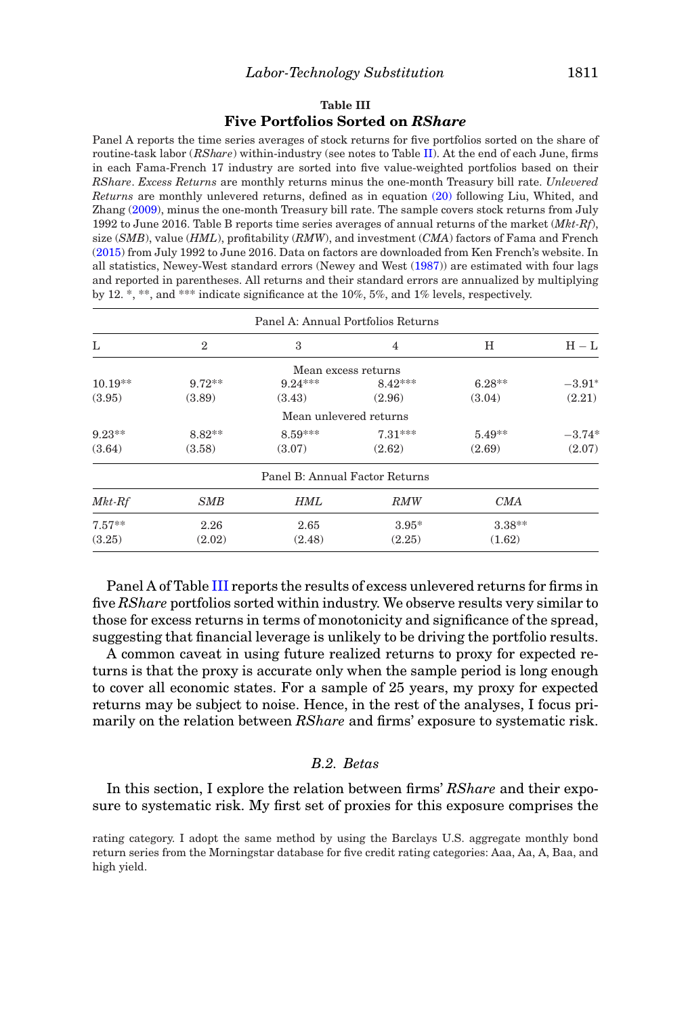# **Table III Five Portfolios Sorted on** *RShare*

<span id="page-18-0"></span>Panel A reports the time series averages of stock returns for five portfolios sorted on the share of routine-task labor (*RShare*) within-industry (see notes to Table [II\)](#page-16-0). At the end of each June, firms in each Fama-French 17 industry are sorted into five value-weighted portfolios based on their *RShare*. *Excess Returns* are monthly returns minus the one-month Treasury bill rate. *Unlevered Returns* are monthly unlevered returns, defined as in equation [\(20\)](#page-17-1) following Liu, Whited, and Zhang [\(2009\)](#page-45-16), minus the one-month Treasury bill rate. The sample covers stock returns from July 1992 to June 2016. Table B reports time series averages of annual returns of the market (*Mkt-Rf*), size (*SMB*), value (*HML*), profitability (*RMW*), and investment (*CMA*) factors of Fama and French [\(2015\)](#page-44-15) from July 1992 to June 2016. Data on factors are downloaded from Ken French's website. In all statistics, Newey-West standard errors (Newey and West [\(1987\)](#page-45-17)) are estimated with four lags and reported in parentheses. All returns and their standard errors are annualized by multiplying by 12. \*, \*\*, and \*\*\* indicate significance at the 10%, 5%, and 1% levels, respectively.

|              |              |                                | Panel A: Annual Portfolios Returns |            |          |
|--------------|--------------|--------------------------------|------------------------------------|------------|----------|
| L            | $\mathbf{2}$ | 3                              | 4                                  | Η          | $H - L$  |
|              |              |                                | Mean excess returns                |            |          |
| $10.19**$    | $9.72**$     | $9.24***$                      | $8.42***$                          | $6.28**$   | $-3.91*$ |
| (3.95)       | (3.89)       | (3.43)                         | (2.96)                             | (3.04)     | (2.21)   |
|              |              | Mean unlevered returns         |                                    |            |          |
| $9.23**$     | $8.82**$     | $8.59***$                      | $7.31***$                          | $5.49**$   | $-3.74*$ |
| (3.64)       | (3.58)       | (3.07)                         | (2.62)                             | (2.69)     | (2.07)   |
|              |              | Panel B: Annual Factor Returns |                                    |            |          |
| $Mkt$ - $Rf$ | <b>SMB</b>   | <b>HML</b>                     | RMW                                | <b>CMA</b> |          |
| $7.57**$     | 2.26         | 2.65                           | $3.95*$                            | $3.38**$   |          |
| (3.25)       | (2.02)       | (2.48)                         | (2.25)                             | (1.62)     |          |

Panel A of Table [III](#page-18-0) reports the results of excess unlevered returns for firms in five *RShare* portfolios sorted within industry. We observe results very similar to those for excess returns in terms of monotonicity and significance of the spread, suggesting that financial leverage is unlikely to be driving the portfolio results.

A common caveat in using future realized returns to proxy for expected returns is that the proxy is accurate only when the sample period is long enough to cover all economic states. For a sample of 25 years, my proxy for expected returns may be subject to noise. Hence, in the rest of the analyses, I focus primarily on the relation between *RShare* and firms' exposure to systematic risk.

# *B.2. Betas*

In this section, I explore the relation between firms' *RShare* and their exposure to systematic risk. My first set of proxies for this exposure comprises the

rating category. I adopt the same method by using the Barclays U.S. aggregate monthly bond return series from the Morningstar database for five credit rating categories: Aaa, Aa, A, Baa, and high yield.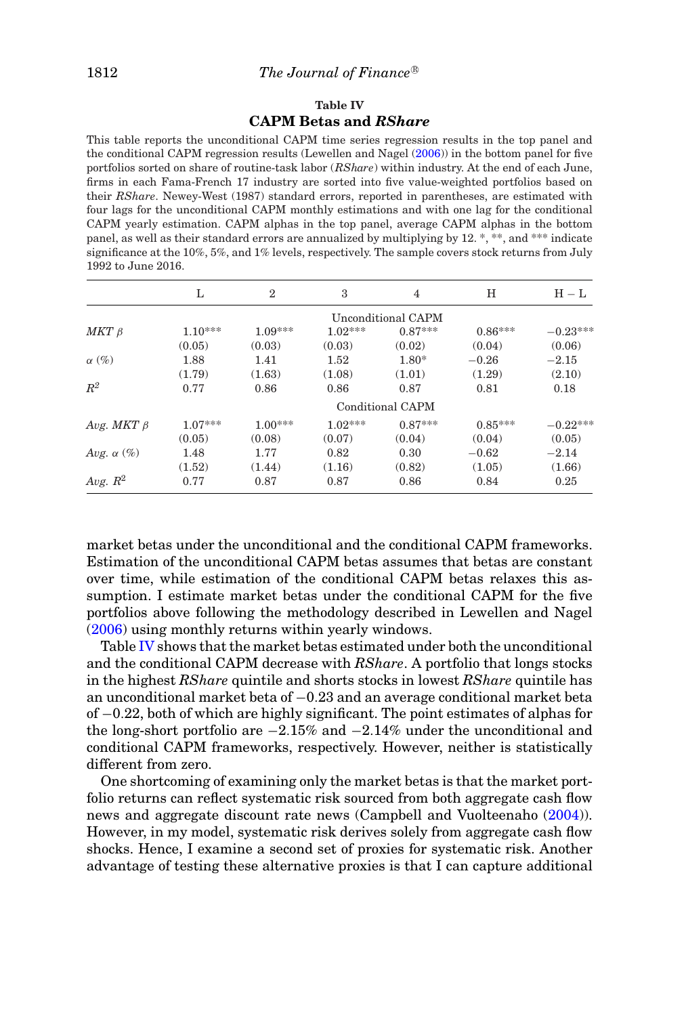# **Table IV CAPM Betas and** *RShare*

<span id="page-19-0"></span>This table reports the unconditional CAPM time series regression results in the top panel and the conditional CAPM regression results (Lewellen and Nagel [\(2006\)](#page-45-1)) in the bottom panel for five portfolios sorted on share of routine-task labor (*RShare*) within industry. At the end of each June, firms in each Fama-French 17 industry are sorted into five value-weighted portfolios based on their *RShare*. Newey-West (1987) standard errors, reported in parentheses, are estimated with four lags for the unconditional CAPM monthly estimations and with one lag for the conditional CAPM yearly estimation. CAPM alphas in the top panel, average CAPM alphas in the bottom panel, as well as their standard errors are annualized by multiplying by 12. \*, \*\*, and \*\*\* indicate significance at the 10%, 5%, and 1% levels, respectively. The sample covers stock returns from July 1992 to June 2016.

|                   | L         | $\mathbf{2}$     | 3         | 4                  | н         | $H - L$    |  |  |  |
|-------------------|-----------|------------------|-----------|--------------------|-----------|------------|--|--|--|
|                   |           |                  |           | Unconditional CAPM |           |            |  |  |  |
| $MKT$ $\beta$     | $1.10***$ | $1.09***$        | $1.02***$ | $0.87***$          | $0.86***$ | $-0.23***$ |  |  |  |
|                   | (0.05)    | (0.03)           | (0.03)    | (0.02)             | (0.04)    | (0.06)     |  |  |  |
| $\alpha$ (%)      | 1.88      | 1.41             | 1.52      | $1.80*$            | $-0.26$   | $-2.15$    |  |  |  |
|                   | (1.79)    | (1.63)           | (1.08)    | (1.01)             | (1.29)    | (2.10)     |  |  |  |
| $R^2$             | 0.77      | 0.86             | 0.86      | 0.87               | 0.81      | 0.18       |  |  |  |
|                   |           | Conditional CAPM |           |                    |           |            |  |  |  |
| Avg. MKT $\beta$  | $1.07***$ | $1.00***$        | $1.02***$ | $0.87***$          | $0.85***$ | $-0.22***$ |  |  |  |
|                   | (0.05)    | (0.08)           | (0.07)    | (0.04)             | (0.04)    | (0.05)     |  |  |  |
| Avg. $\alpha$ (%) | 1.48      | 1.77             | 0.82      | 0.30               | $-0.62$   | $-2.14$    |  |  |  |
|                   | (1.52)    | (1.44)           | (1.16)    | (0.82)             | (1.05)    | (1.66)     |  |  |  |
| Avg. $R^2$        | 0.77      | 0.87             | 0.87      | 0.86               | 0.84      | 0.25       |  |  |  |

market betas under the unconditional and the conditional CAPM frameworks. Estimation of the unconditional CAPM betas assumes that betas are constant over time, while estimation of the conditional CAPM betas relaxes this assumption. I estimate market betas under the conditional CAPM for the five portfolios above following the methodology described in Lewellen and Nagel [\(2006\)](#page-45-1) using monthly returns within yearly windows.

Table [IV](#page-19-0) shows that the market betas estimated under both the unconditional and the conditional CAPM decrease with *RShare*. A portfolio that longs stocks in the highest *RShare* quintile and shorts stocks in lowest *RShare* quintile has an unconditional market beta of −0.23 and an average conditional market beta of −0.22, both of which are highly significant. The point estimates of alphas for the long-short portfolio are −2.15% and −2.14% under the unconditional and conditional CAPM frameworks, respectively. However, neither is statistically different from zero.

One shortcoming of examining only the market betas is that the market portfolio returns can reflect systematic risk sourced from both aggregate cash flow news and aggregate discount rate news (Campbell and Vuolteenaho [\(2004\)](#page-44-16)). However, in my model, systematic risk derives solely from aggregate cash flow shocks. Hence, I examine a second set of proxies for systematic risk. Another advantage of testing these alternative proxies is that I can capture additional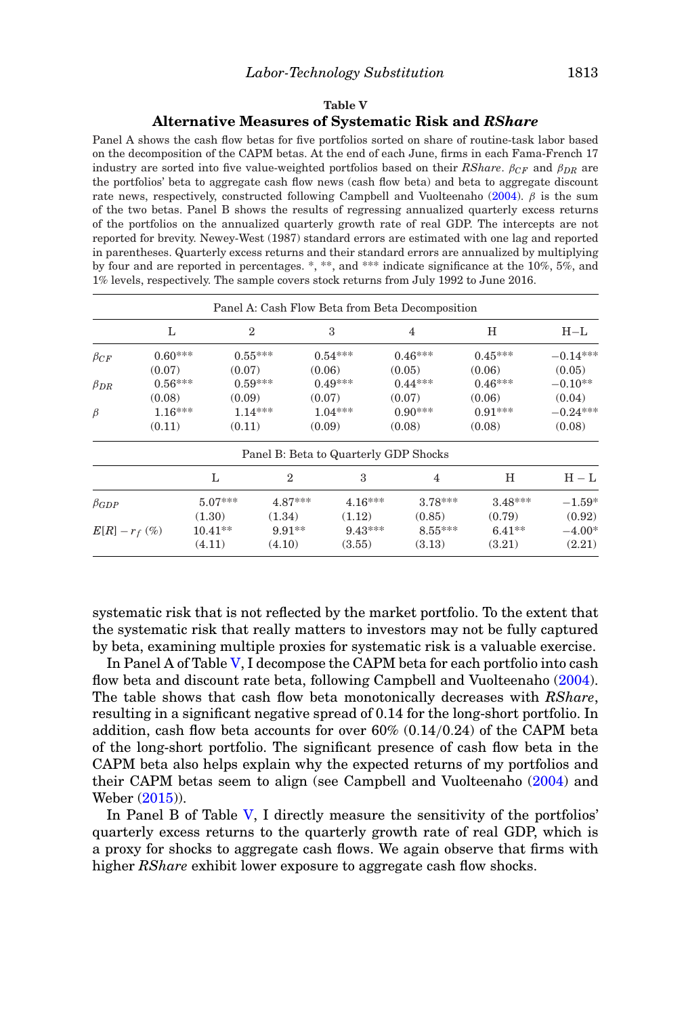# **Table V Alternative Measures of Systematic Risk and** *RShare*

<span id="page-20-0"></span>Panel A shows the cash flow betas for five portfolios sorted on share of routine-task labor based on the decomposition of the CAPM betas. At the end of each June, firms in each Fama-French 17 industry are sorted into five value-weighted portfolios based on their *RShare*. β*C F* and β*DR* are the portfolios' beta to aggregate cash flow news (cash flow beta) and beta to aggregate discount rate news, respectively, constructed following Campbell and Vuolteenaho [\(2004\)](#page-44-16).  $\beta$  is the sum of the two betas. Panel B shows the results of regressing annualized quarterly excess returns of the portfolios on the annualized quarterly growth rate of real GDP. The intercepts are not reported for brevity. Newey-West (1987) standard errors are estimated with one lag and reported in parentheses. Quarterly excess returns and their standard errors are annualized by multiplying by four and are reported in percentages. \*, \*\*, and \*\*\* indicate significance at the 10%, 5%, and 1% levels, respectively. The sample covers stock returns from July 1992 to June 2016.

|                     |           |                |             |           |           | Panel A: Cash Flow Beta from Beta Decomposition |           |            |  |
|---------------------|-----------|----------------|-------------|-----------|-----------|-------------------------------------------------|-----------|------------|--|
|                     | L         | $\overline{2}$ |             | 3         |           | 4                                               | Н         | $H-L$      |  |
| $\beta_{CF}$        | $0.60***$ | $0.55***$      |             | $0.54***$ |           | $0.46***$                                       | $0.45***$ | $-0.14***$ |  |
|                     | (0.07)    | (0.07)         |             | (0.06)    |           | (0.05)                                          | (0.06)    | (0.05)     |  |
| $\beta_{DR}$        | $0.56***$ | $0.59***$      |             | $0.49***$ |           | $0.44***$                                       | $0.46***$ | $-0.10**$  |  |
|                     | (0.08)    | (0.09)         |             | (0.07)    |           | (0.07)                                          | (0.06)    | (0.04)     |  |
| $\beta$             | $1.16***$ |                | $1.14***$   | $1.04***$ |           | $0.90***$                                       | $0.91***$ | $-0.24***$ |  |
|                     | (0.11)    | (0.11)         |             | (0.09)    |           | (0.08)                                          | (0.08)    | (0.08)     |  |
|                     |           |                |             |           |           | Panel B: Beta to Quarterly GDP Shocks           |           |            |  |
|                     |           | L              | $\mathbf 2$ |           | 3         | 4                                               | Н         | $H - L$    |  |
| $\beta_{GDP}$       |           | $5.07***$      | $4.87***$   |           | $4.16***$ | $3.78***$                                       | $3.48***$ | $-1.59*$   |  |
|                     | (1.30)    |                | (1.34)      |           | (1.12)    | (0.85)                                          | (0.79)    | (0.92)     |  |
| $E[R] - r_f \ (\%)$ |           | $10.41**$      | $9.91**$    |           | $9.43***$ | $8.55***$                                       | $6.41**$  | $-4.00*$   |  |
|                     | (4.11)    |                | (4.10)      |           | (3.55)    | (3.13)                                          | (3.21)    | (2.21)     |  |

systematic risk that is not reflected by the market portfolio. To the extent that the systematic risk that really matters to investors may not be fully captured by beta, examining multiple proxies for systematic risk is a valuable exercise.

In Panel A of Table [V,](#page-20-0) I decompose the CAPM beta for each portfolio into cash flow beta and discount rate beta, following Campbell and Vuolteenaho [\(2004\)](#page-44-16). The table shows that cash flow beta monotonically decreases with *RShare*, resulting in a significant negative spread of 0.14 for the long-short portfolio. In addition, cash flow beta accounts for over  $60\%$   $(0.14/0.24)$  of the CAPM beta of the long-short portfolio. The significant presence of cash flow beta in the CAPM beta also helps explain why the expected returns of my portfolios and their CAPM betas seem to align (see Campbell and Vuolteenaho [\(2004\)](#page-44-16) and Weber [\(2015\)](#page-45-18)).

In Panel B of Table [V,](#page-20-0) I directly measure the sensitivity of the portfolios' quarterly excess returns to the quarterly growth rate of real GDP, which is a proxy for shocks to aggregate cash flows. We again observe that firms with higher *RShare* exhibit lower exposure to aggregate cash flow shocks.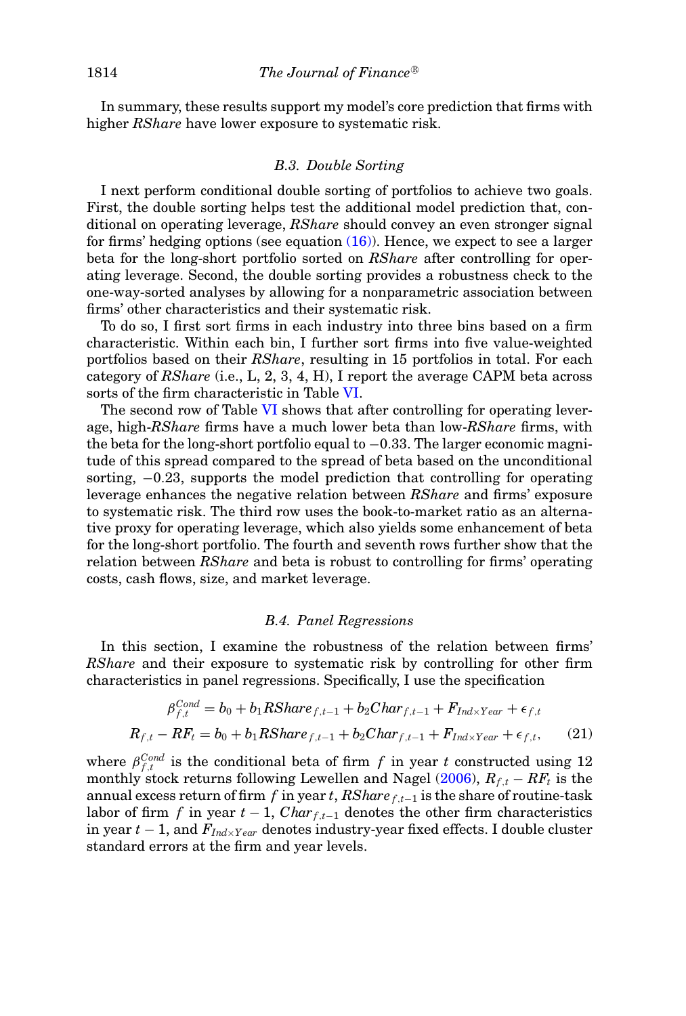In summary, these results support my model's core prediction that firms with higher *RShare* have lower exposure to systematic risk.

# *B.3. Double Sorting*

I next perform conditional double sorting of portfolios to achieve two goals. First, the double sorting helps test the additional model prediction that, conditional on operating leverage, *RShare* should convey an even stronger signal for firms' hedging options (see equation  $(16)$ ). Hence, we expect to see a larger beta for the long-short portfolio sorted on *RShare* after controlling for operating leverage. Second, the double sorting provides a robustness check to the one-way-sorted analyses by allowing for a nonparametric association between firms' other characteristics and their systematic risk.

To do so, I first sort firms in each industry into three bins based on a firm characteristic. Within each bin, I further sort firms into five value-weighted portfolios based on their *RShare*, resulting in 15 portfolios in total. For each category of *RShare* (i.e., L, 2, 3, 4, H), I report the average CAPM beta across sorts of the firm characteristic in Table [VI.](#page-22-0)

The second row of Table [VI](#page-22-0) shows that after controlling for operating leverage, high-*RShare* firms have a much lower beta than low-*RShare* firms, with the beta for the long-short portfolio equal to −0.33. The larger economic magnitude of this spread compared to the spread of beta based on the unconditional sorting,  $-0.23$ , supports the model prediction that controlling for operating leverage enhances the negative relation between *RShare* and firms' exposure to systematic risk. The third row uses the book-to-market ratio as an alternative proxy for operating leverage, which also yields some enhancement of beta for the long-short portfolio. The fourth and seventh rows further show that the relation between *RShare* and beta is robust to controlling for firms' operating costs, cash flows, size, and market leverage.

#### *B.4. Panel Regressions*

In this section, I examine the robustness of the relation between firms' *RShare* and their exposure to systematic risk by controlling for other firm characteristics in panel regressions. Specifically, I use the specification

$$
\beta_{f,t}^{Cond} = b_0 + b_1 R \operatorname{Share}_{f,t-1} + b_2 \operatorname{Char}_{f,t-1} + F_{\operatorname{Ind} \times \operatorname{Year}} + \epsilon_{f,t}
$$
\n
$$
R_{f,t} - RF_t = b_0 + b_1 R \operatorname{Share}_{f,t-1} + b_2 \operatorname{Char}_{f,t-1} + F_{\operatorname{Ind} \times \operatorname{Year}} + \epsilon_{f,t},\tag{21}
$$

where  $\beta_{f,t}^{Cond}$  is the conditional beta of firm  $f$  in year  $t$  constructed using 12 monthly stock returns following Lewellen and Nagel [\(2006\)](#page-45-1),  $R_{f,t} - RF_t$  is the annual excess return of firm *f* in year *t*, *RShare <sup>f</sup>*,*t*−<sup>1</sup> is the share of routine-task labor of firm *f* in year  $t - 1$ , *Char*<sub>*f*,*t*−1</sub> denotes the other firm characteristics in year *t* − 1, and *FInd*<sup>×</sup>*Y ear* denotes industry-year fixed effects. I double cluster standard errors at the firm and year levels.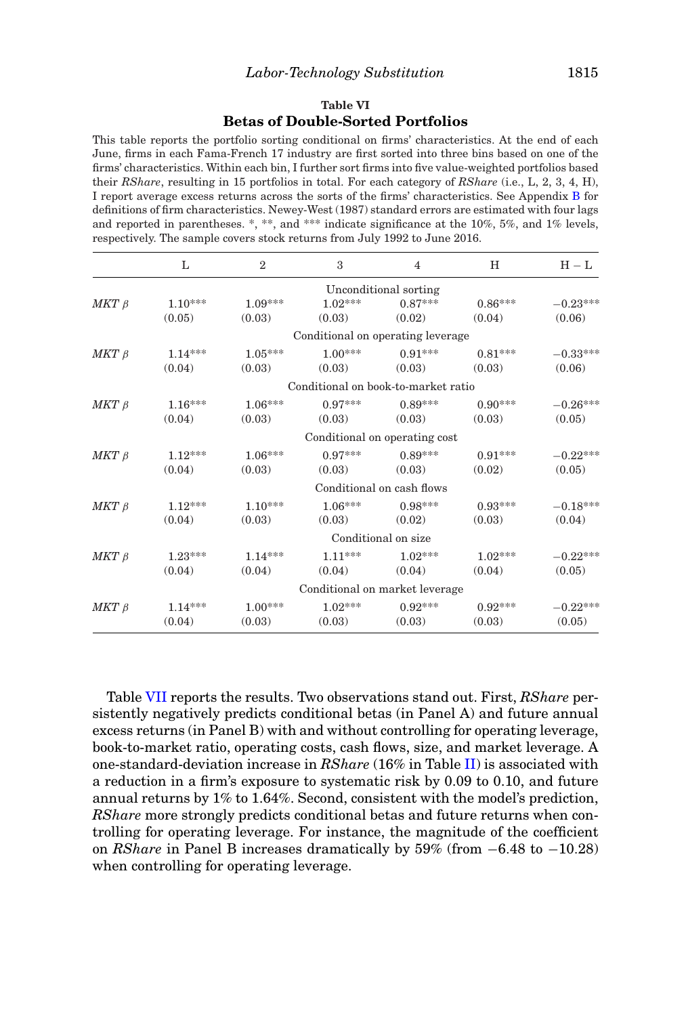# **Table VI Betas of Double-Sorted Portfolios**

<span id="page-22-0"></span>This table reports the portfolio sorting conditional on firms' characteristics. At the end of each June, firms in each Fama-French 17 industry are first sorted into three bins based on one of the firms' characteristics. Within each bin, I further sort firms into five value-weighted portfolios based their *RShare*, resulting in 15 portfolios in total. For each category of *RShare* (i.e., L, 2, 3, 4, H), I report average excess returns across the sorts of the firms' characteristics. See Appendix B for definitions of firm characteristics. Newey-West (1987) standard errors are estimated with four lags and reported in parentheses. \*, \*\*, and \*\*\* indicate significance at the 10%, 5%, and 1% levels, respectively. The sample covers stock returns from July 1992 to June 2016.

|               | L         | $\overline{2}$ | 3                                   | $\overline{4}$                | Н         | $H - L$    |
|---------------|-----------|----------------|-------------------------------------|-------------------------------|-----------|------------|
|               |           |                |                                     | Unconditional sorting         |           |            |
| $MKT$ $\beta$ | $1.10***$ | $1.09***$      | $1.02***$                           | $0.87***$                     | $0.86***$ | $-0.23***$ |
|               | (0.05)    | (0.03)         | (0.03)                              | (0.02)                        | (0.04)    | (0.06)     |
|               |           |                | Conditional on operating leverage   |                               |           |            |
| $MKT$ $\beta$ | $1.14***$ | $1.05***$      | $1.00***$                           | $0.91***$                     | $0.81***$ | $-0.33***$ |
|               | (0.04)    | (0.03)         | (0.03)                              | (0.03)                        | (0.03)    | (0.06)     |
|               |           |                | Conditional on book-to-market ratio |                               |           |            |
| $MKT$ $\beta$ | $1.16***$ | $1.06***$      | $0.97***$                           | $0.89***$                     | $0.90***$ | $-0.26***$ |
|               | (0.04)    | (0.03)         | (0.03)                              | (0.03)                        | (0.03)    | (0.05)     |
|               |           |                |                                     | Conditional on operating cost |           |            |
| $MKT$ $\beta$ | $1.12***$ | $1.06***$      | $0.97***$                           | $0.89***$                     | $0.91***$ | $-0.22***$ |
|               | (0.04)    | (0.03)         | (0.03)                              | (0.03)                        | (0.02)    | (0.05)     |
|               |           |                |                                     | Conditional on cash flows     |           |            |
| $MKT$ $\beta$ | $1.12***$ | $1.10***$      | $1.06***$                           | $0.98***$                     | $0.93***$ | $-0.18***$ |
|               | (0.04)    | (0.03)         | (0.03)                              | (0.02)                        | (0.03)    | (0.04)     |
|               |           |                |                                     | Conditional on size           |           |            |
| $MKT$ $\beta$ | $1.23***$ | $1.14***$      | $1.11***$                           | $1.02***$                     | $1.02***$ | $-0.22***$ |
|               | (0.04)    | (0.04)         | (0.04)                              | (0.04)                        | (0.04)    | (0.05)     |
|               |           |                | Conditional on market leverage      |                               |           |            |
| $MKT$ $\beta$ | $1.14***$ | $1.00***$      | $1.02***$                           | $0.92***$                     | $0.92***$ | $-0.22***$ |
|               | (0.04)    | (0.03)         | (0.03)                              | (0.03)                        | (0.03)    | (0.05)     |

Table [VII](#page-23-0) reports the results. Two observations stand out. First, *RShare* persistently negatively predicts conditional betas (in Panel A) and future annual excess returns (in Panel B) with and without controlling for operating leverage, book-to-market ratio, operating costs, cash flows, size, and market leverage. A one-standard-deviation increase in *RShare* (16% in Table [II\)](#page-16-0) is associated with a reduction in a firm's exposure to systematic risk by 0.09 to 0.10, and future annual returns by 1% to 1.64%. Second, consistent with the model's prediction, *RShare* more strongly predicts conditional betas and future returns when controlling for operating leverage. For instance, the magnitude of the coefficient on *RShare* in Panel B increases dramatically by 59% (from −6.48 to −10.28) when controlling for operating leverage.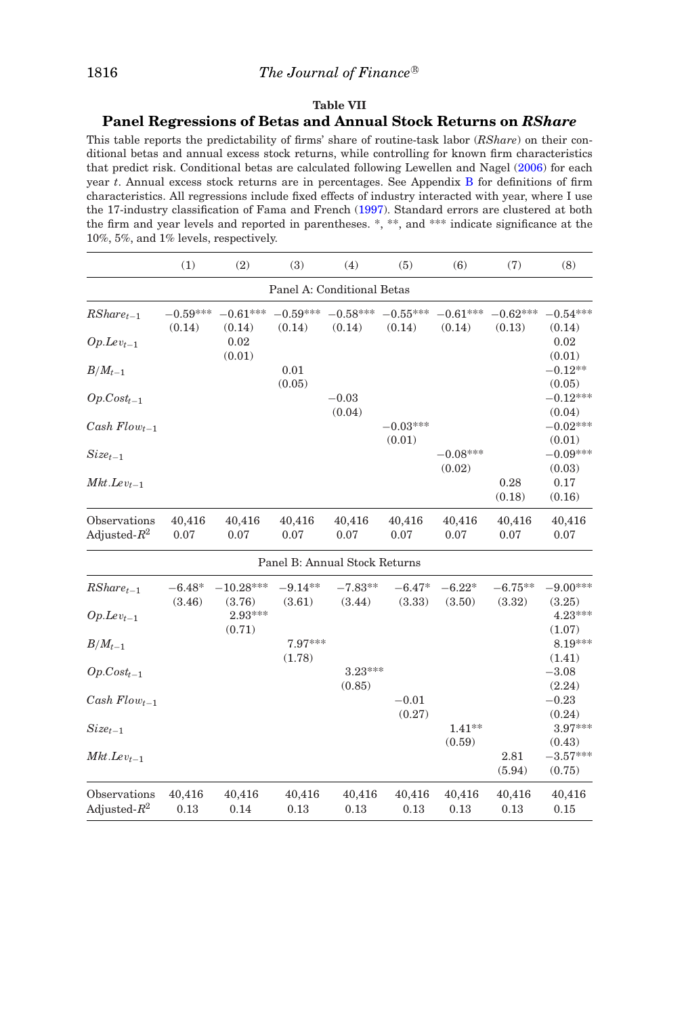# **Table VII**

# <span id="page-23-0"></span>**Panel Regressions of Betas and Annual Stock Returns on** *RShare*

This table reports the predictability of firms' share of routine-task labor (*RShare*) on their conditional betas and annual excess stock returns, while controlling for known firm characteristics that predict risk. Conditional betas are calculated following Lewellen and Nagel [\(2006\)](#page-45-1) for each year *t*. Annual excess stock returns are in percentages. See Appendix B for definitions of firm characteristics. All regressions include fixed effects of industry interacted with year, where I use the 17-industry classification of Fama and French [\(1997\)](#page-44-13). Standard errors are clustered at both the firm and year levels and reported in parentheses. \*, \*\*, and \*\*\* indicate significance at the 10%, 5%, and 1% levels, respectively.

|                                 | (1)                | (2)                      | (3)                 | (4)                           | (5)                  | (6)                  | (7)                 | (8)                      |
|---------------------------------|--------------------|--------------------------|---------------------|-------------------------------|----------------------|----------------------|---------------------|--------------------------|
|                                 |                    |                          |                     | Panel A: Conditional Betas    |                      |                      |                     |                          |
| $RShare_{t-1}$                  | $-0.59***$         | $-0.61***$               | $-0.59***$          | $-0.58***$                    | $-0.55***$           | $-0.61***$           | $-0.62***$          | $-0.54***$               |
| $Op.$ <i>Le</i> $v_{t-1}$       | (0.14)             | (0.14)<br>0.02<br>(0.01) | (0.14)              | (0.14)                        | (0.14)               | (0.14)               | (0.13)              | (0.14)<br>0.02<br>(0.01) |
| $B/M_{t-1}$                     |                    |                          | 0.01<br>(0.05)      |                               |                      |                      |                     | $-0.12**$<br>(0.05)      |
| $Op. Cost_{t-1}$                |                    |                          |                     | $-0.03$<br>(0.04)             |                      |                      |                     | $-0.12***$<br>(0.04)     |
| Cash $Flow_{t-1}$               |                    |                          |                     |                               | $-0.03***$<br>(0.01) |                      |                     | $-0.02***$<br>(0.01)     |
| $Size_{t-1}$                    |                    |                          |                     |                               |                      | $-0.08***$<br>(0.02) |                     | $-0.09***$<br>(0.03)     |
| $Mkt.Lev_{t-1}$                 |                    |                          |                     |                               |                      |                      | 0.28<br>(0.18)      | 0.17<br>(0.16)           |
| Observations<br>Adjusted- $R^2$ | 40,416<br>0.07     | 40,416<br>0.07           | 40,416<br>0.07      | 40,416<br>0.07                | 40,416<br>0.07       | 40,416<br>0.07       | 40,416<br>0.07      | 40,416<br>0.07           |
|                                 |                    |                          |                     | Panel B: Annual Stock Returns |                      |                      |                     |                          |
| $RShare_{t-1}$                  | $-6.48*$<br>(3.46) | $-10.28***$<br>(3.76)    | $-9.14**$<br>(3.61) | $-7.83**$<br>(3.44)           | $-6.47*$<br>(3.33)   | $-6.22*$<br>(3.50)   | $-6.75**$<br>(3.32) | $-9.00***$<br>(3.25)     |
| $Op.$ <i>Le</i> $v_{t-1}$       |                    | 2.93***<br>(0.71)        |                     |                               |                      |                      |                     | $4.23***$<br>(1.07)      |
| $B/M_{t-1}$                     |                    |                          | 7.97***<br>(1.78)   |                               |                      |                      |                     | $8.19***$<br>(1.41)      |
| $Op. Cost_{t-1}$                |                    |                          |                     | $3.23***$<br>(0.85)           |                      |                      |                     | $-3.08$<br>(2.24)        |
| Cash $Flow_{t-1}$               |                    |                          |                     |                               | $-0.01$<br>(0.27)    |                      |                     | $-0.23$<br>(0.24)        |
| $Size_{t-1}$                    |                    |                          |                     |                               |                      | $1.41**$<br>(0.59)   |                     | 3.97***<br>(0.43)        |
| $Mkt.Lev_{t-1}$                 |                    |                          |                     |                               |                      |                      | 2.81<br>(5.94)      | $-3.57***$<br>(0.75)     |
| Observations<br>Adjusted- $R^2$ | 40,416<br>0.13     | 40,416<br>0.14           | 40,416<br>0.13      | 40,416<br>0.13                | 40,416<br>0.13       | 40,416<br>0.13       | 40,416<br>0.13      | 40,416<br>0.15           |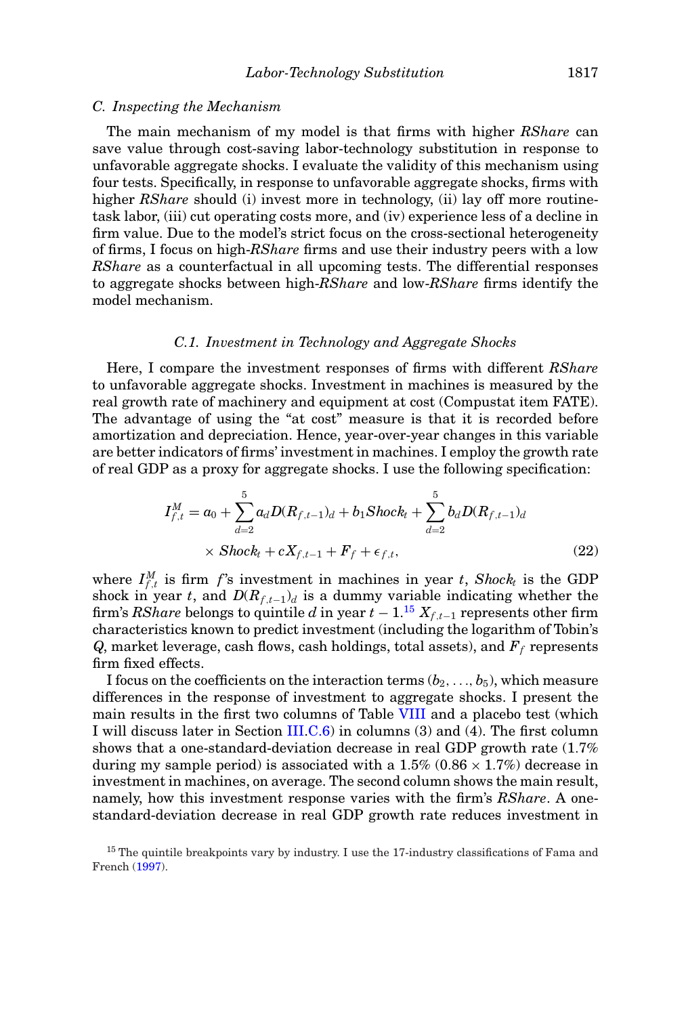#### *C. Inspecting the Mechanism*

The main mechanism of my model is that firms with higher *RShare* can save value through cost-saving labor-technology substitution in response to unfavorable aggregate shocks. I evaluate the validity of this mechanism using four tests. Specifically, in response to unfavorable aggregate shocks, firms with higher *RShare* should (i) invest more in technology, (ii) lay off more routinetask labor, (iii) cut operating costs more, and (iv) experience less of a decline in firm value. Due to the model's strict focus on the cross-sectional heterogeneity of firms, I focus on high-*RShare* firms and use their industry peers with a low *RShare* as a counterfactual in all upcoming tests. The differential responses to aggregate shocks between high-*RShare* and low-*RShare* firms identify the model mechanism.

# *C.1. Investment in Technology and Aggregate Shocks*

Here, I compare the investment responses of firms with different *RShare* to unfavorable aggregate shocks. Investment in machines is measured by the real growth rate of machinery and equipment at cost (Compustat item FATE). The advantage of using the "at cost" measure is that it is recorded before amortization and depreciation. Hence, year-over-year changes in this variable are better indicators of firms' investment in machines. I employ the growth rate of real GDP as a proxy for aggregate shocks. I use the following specification:

<span id="page-24-1"></span>
$$
I_{f,t}^M = a_0 + \sum_{d=2}^5 a_d D(R_{f,t-1})_d + b_1 Shock_t + \sum_{d=2}^5 b_d D(R_{f,t-1})_d
$$
  
× Shock\_t + cX<sub>f,t-1</sub> + F<sub>f</sub> + \epsilon<sub>f,t</sub>, (22)

where  $I_{f,t}^M$  is firm  $f$ 's investment in machines in year *t*, *Shock<sub>t</sub>* is the GDP shock in year *t*, and  $D(R_{f,t-1})$ <sup>d</sup> is a dummy variable indicating whether the firm's *RShare* belongs to quintile *d* in year  $t - 1$ .<sup>15</sup>  $X_{f,t-1}$  represents other firm characteristics known to predict investment (including the logarithm of Tobin's *Q*, market leverage, cash flows, cash holdings, total assets), and *Ff* represents firm fixed effects.

I focus on the coefficients on the interaction terms  $(b_2, \ldots, b_5)$ , which measure differences in the response of investment to aggregate shocks. I present the main results in the first two columns of Table [VIII](#page-25-0) and a placebo test (which I will discuss later in Section III.C.6) in columns (3) and (4). The first column shows that a one-standard-deviation decrease in real GDP growth rate (1.7% during my sample period) is associated with a  $1.5\%$  (0.86  $\times$  1.7%) decrease in investment in machines, on average. The second column shows the main result, namely, how this investment response varies with the firm's *RShare*. A onestandard-deviation decrease in real GDP growth rate reduces investment in

<span id="page-24-0"></span><sup>&</sup>lt;sup>15</sup> The quintile breakpoints vary by industry. I use the 17-industry classifications of Fama and French [\(1997\)](#page-44-13).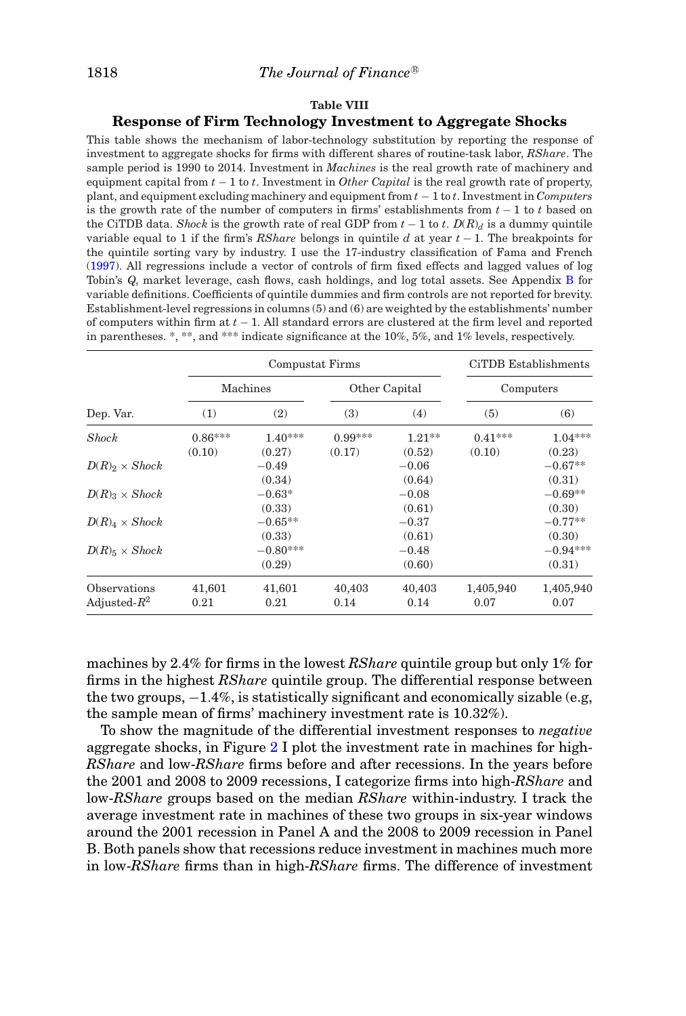# **Table VIII**

# **Response of Firm Technology Investment to Aggregate Shocks**

<span id="page-25-0"></span>This table shows the mechanism of labor-technology substitution by reporting the response of investment to aggregate shocks for firms with different shares of routine-task labor, *RShare*. The sample period is 1990 to 2014. Investment in *Machines* is the real growth rate of machinery and equipment capital from *t* − 1 to *t*. Investment in *Other Capital* is the real growth rate of property, plant, and equipment excluding machinery and equipment from *t* − 1 to *t*. Investment in *Computers* is the growth rate of the number of computers in firms' establishments from *t* − 1 to *t* based on the CiTDB data. *Shock* is the growth rate of real GDP from  $t - 1$  to  $t$ .  $D(R)<sub>d</sub>$  is a dummy quintile variable equal to 1 if the firm's *RShare* belongs in quintile *d* at year *t* − 1. The breakpoints for the quintile sorting vary by industry. I use the 17-industry classification of Fama and French [\(1997\)](#page-44-13). All regressions include a vector of controls of firm fixed effects and lagged values of log Tobin's *Q*, market leverage, cash flows, cash holdings, and log total assets. See Appendix B for variable definitions. Coefficients of quintile dummies and firm controls are not reported for brevity. Establishment-level regressions in columns (5) and (6) are weighted by the establishments' number of computers within firm at *t* − 1. All standard errors are clustered at the firm level and reported in parentheses. \*, \*\*, and \*\*\* indicate significance at the 10%, 5%, and 1% levels, respectively.

|                              |           | Compustat Firms |           |               | CiTDB Establishments |            |  |
|------------------------------|-----------|-----------------|-----------|---------------|----------------------|------------|--|
|                              |           | Machines        |           | Other Capital |                      | Computers  |  |
| Dep. Var.                    | (1)       | (2)             | (3)       | (4)           | (5)                  | (6)        |  |
| <b>Shock</b>                 | $0.86***$ | $1.40***$       | $0.99***$ | $1.21***$     | $0.41***$            | $1.04***$  |  |
|                              | (0.10)    | (0.27)          | (0.17)    | (0.52)        | (0.10)               | (0.23)     |  |
| $D(R)_{2} \times Shock$      |           | $-0.49$         |           | $-0.06$       |                      | $-0.67**$  |  |
|                              |           | (0.34)          |           | (0.64)        |                      | (0.31)     |  |
| $D(R)_{3} \times Shock$      |           | $-0.63*$        |           | $-0.08$       |                      | $-0.69**$  |  |
|                              |           | (0.33)          |           | (0.61)        |                      | (0.30)     |  |
| $D(R)_4 \times \text{Shock}$ |           | $-0.65**$       |           | $-0.37$       |                      | $-0.77**$  |  |
|                              | (0.33)    |                 |           | (0.61)        |                      | (0.30)     |  |
| $D(R)_{5} \times Shock$      |           | $-0.80***$      |           | $-0.48$       |                      | $-0.94***$ |  |
|                              |           | (0.29)          |           | (0.60)        |                      | (0.31)     |  |
| Observations                 | 41,601    | 41,601          | 40,403    | 40,403        | 1,405,940            | 1,405,940  |  |
| Adjusted- $R^2$              | 0.21      | 0.21            | 0.14      | 0.14          | 0.07                 | 0.07       |  |

machines by 2.4% for firms in the lowest *RShare* quintile group but only 1% for firms in the highest *RShare* quintile group. The differential response between the two groups, −1.4%, is statistically significant and economically sizable (e.g, the sample mean of firms' machinery investment rate is 10.32%).

To show the magnitude of the differential investment responses to *negative* aggregate shocks, in Figure [2](#page-26-0) I plot the investment rate in machines for high-*RShare* and low-*RShare* firms before and after recessions. In the years before the 2001 and 2008 to 2009 recessions, I categorize firms into high-*RShare* and low-*RShare* groups based on the median *RShare* within-industry. I track the average investment rate in machines of these two groups in six-year windows around the 2001 recession in Panel A and the 2008 to 2009 recession in Panel B. Both panels show that recessions reduce investment in machines much more in low-*RShare* firms than in high-*RShare* firms. The difference of investment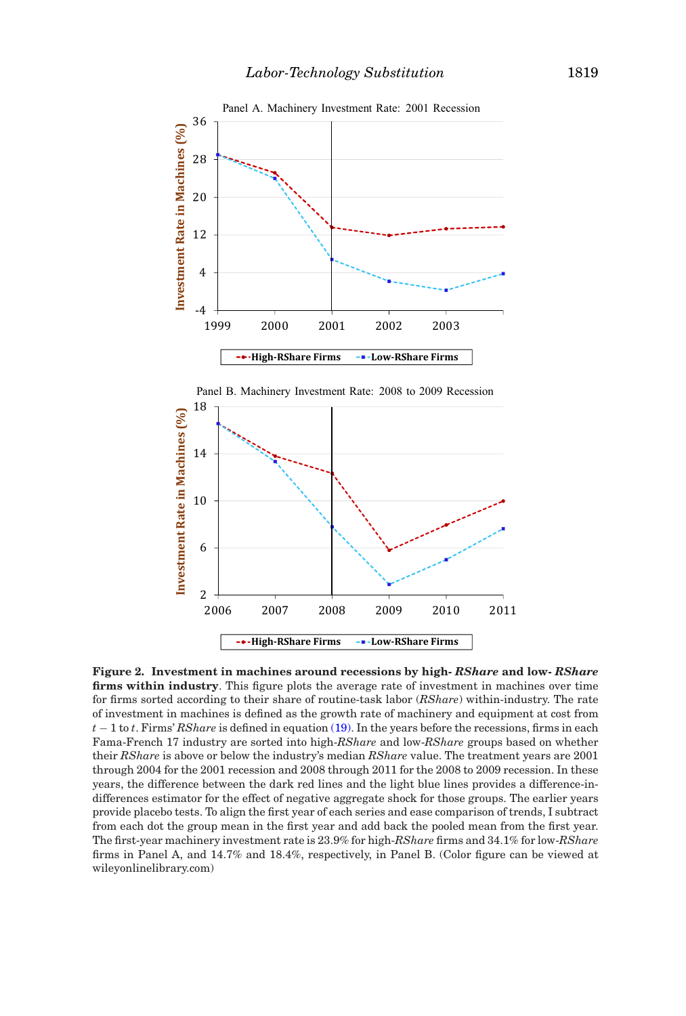



<span id="page-26-0"></span>**Figure 2. Investment in machines around recessions by high-** *RShare* **and low-** *RShare* **firms within industry**. This figure plots the average rate of investment in machines over time for firms sorted according to their share of routine-task labor (*RShare*) within-industry. The rate of investment in machines is defined as the growth rate of machinery and equipment at cost from *t* − 1 to *t*. Firms' *RShare* is defined in equation [\(19\).](#page-12-1) In the years before the recessions, firms in each Fama-French 17 industry are sorted into high-*RShare* and low-*RShare* groups based on whether their *RShare* is above or below the industry's median *RShare* value. The treatment years are 2001 through 2004 for the 2001 recession and 2008 through 2011 for the 2008 to 2009 recession. In these years, the difference between the dark red lines and the light blue lines provides a difference-indifferences estimator for the effect of negative aggregate shock for those groups. The earlier years provide placebo tests. To align the first year of each series and ease comparison of trends, I subtract from each dot the group mean in the first year and add back the pooled mean from the first year. The first-year machinery investment rate is 23.9% for high-*RShare* firms and 34.1% for low-*RShare* firms in Panel A, and 14.7% and 18.4%, respectively, in Panel B. (Color figure can be viewed at wileyonlinelibrary.com)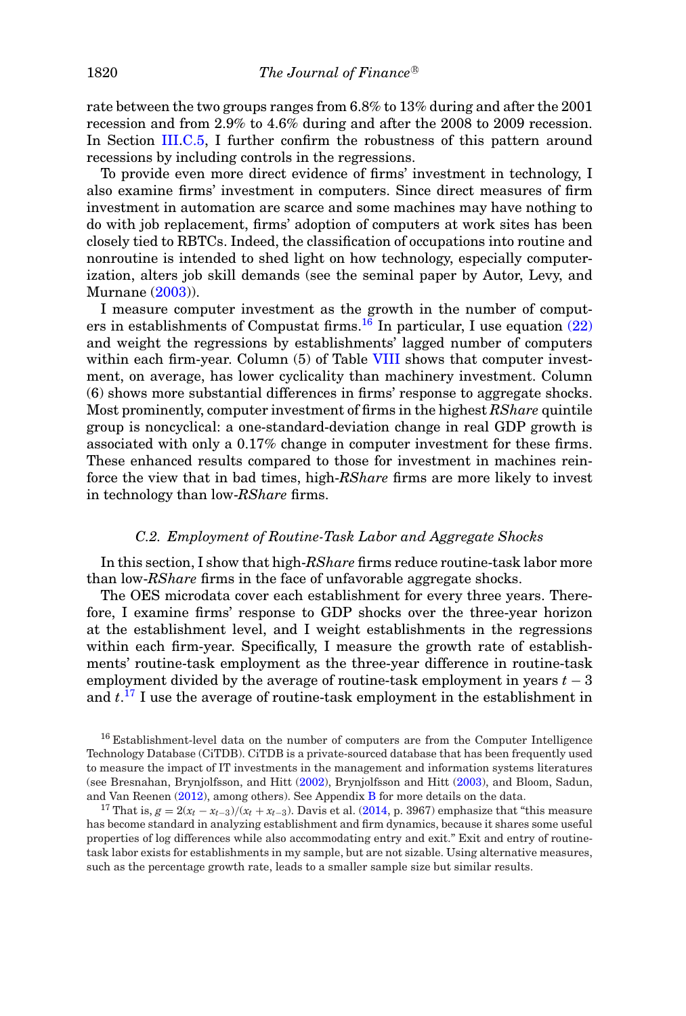rate between the two groups ranges from 6.8% to 13% during and after the 2001 recession and from 2.9% to 4.6% during and after the 2008 to 2009 recession. In Section III.C.5, I further confirm the robustness of this pattern around recessions by including controls in the regressions.

To provide even more direct evidence of firms' investment in technology, I also examine firms' investment in computers. Since direct measures of firm investment in automation are scarce and some machines may have nothing to do with job replacement, firms' adoption of computers at work sites has been closely tied to RBTCs. Indeed, the classification of occupations into routine and nonroutine is intended to shed light on how technology, especially computerization, alters job skill demands (see the seminal paper by Autor, Levy, and Murnane [\(2003\)](#page-44-12)).

I measure computer investment as the growth in the number of comput-ers in establishments of Compustat firms.<sup>[16](#page-27-0)</sup> In particular, I use equation  $(22)$ and weight the regressions by establishments' lagged number of computers within each firm-year. Column (5) of Table [VIII](#page-25-0) shows that computer investment, on average, has lower cyclicality than machinery investment. Column (6) shows more substantial differences in firms' response to aggregate shocks. Most prominently, computer investment of firms in the highest *RShare* quintile group is noncyclical: a one-standard-deviation change in real GDP growth is associated with only a 0.17% change in computer investment for these firms. These enhanced results compared to those for investment in machines reinforce the view that in bad times, high-*RShare* firms are more likely to invest in technology than low-*RShare* firms.

# *C.2. Employment of Routine-Task Labor and Aggregate Shocks*

In this section, I show that high-*RShare* firms reduce routine-task labor more than low-*RShare* firms in the face of unfavorable aggregate shocks.

The OES microdata cover each establishment for every three years. Therefore, I examine firms' response to GDP shocks over the three-year horizon at the establishment level, and I weight establishments in the regressions within each firm-year. Specifically, I measure the growth rate of establishments' routine-task employment as the three-year difference in routine-task employment divided by the average of routine-task employment in years  $t - 3$ and *t*. [17](#page-27-1) I use the average of routine-task employment in the establishment in

<span id="page-27-0"></span><sup>16</sup> Establishment-level data on the number of computers are from the Computer Intelligence Technology Database (CiTDB). CiTDB is a private-sourced database that has been frequently used to measure the impact of IT investments in the management and information systems literatures (see Bresnahan, Brynjolfsson, and Hitt [\(2002\)](#page-44-2), Brynjolfsson and Hitt [\(2003\)](#page-44-17), and Bloom, Sadun, and Van Reenen [\(2012\)](#page-44-18), among others). See Appendix B for more details on the data.

<span id="page-27-1"></span><sup>&</sup>lt;sup>17</sup> That is,  $g = 2(x_t - x_{t-3})/(x_t + x_{t-3})$ . Davis et al. [\(2014,](#page-44-19) p. 3967) emphasize that "this measure has become standard in analyzing establishment and firm dynamics, because it shares some useful properties of log differences while also accommodating entry and exit." Exit and entry of routinetask labor exists for establishments in my sample, but are not sizable. Using alternative measures, such as the percentage growth rate, leads to a smaller sample size but similar results.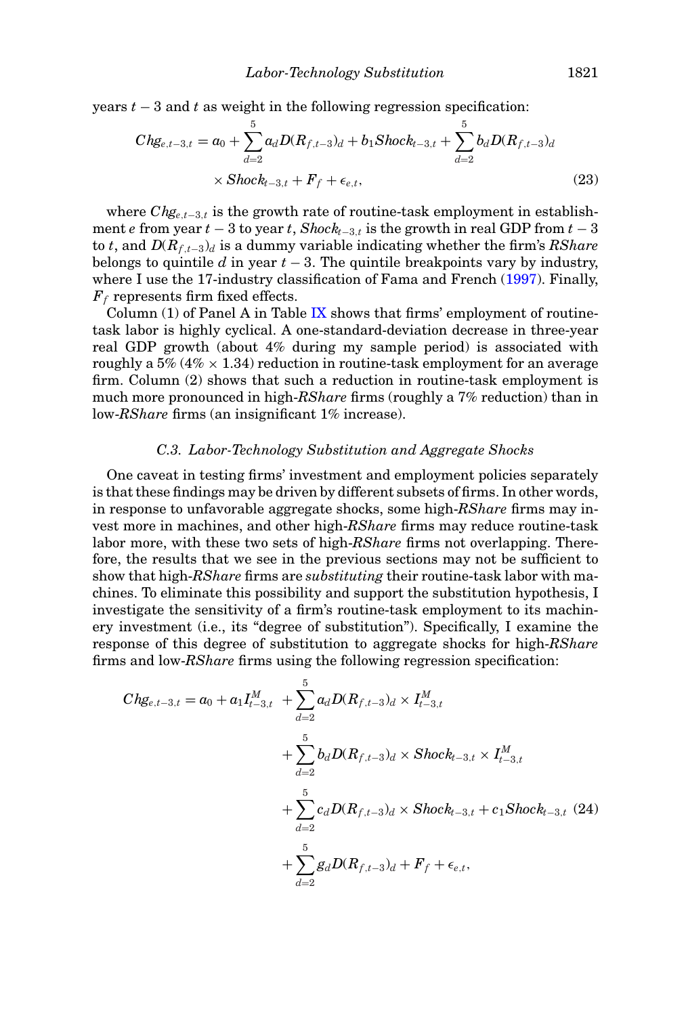years *t* − 3 and *t* as weight in the following regression specification:

<span id="page-28-0"></span>
$$
Chg_{e,t-3,t} = a_0 + \sum_{d=2}^{5} a_d D(R_{f,t-3})_d + b_1 Shock_{t-3,t} + \sum_{d=2}^{5} b_d D(R_{f,t-3})_d
$$
  
× Shock<sub>t-3,t</sub> + F<sub>f</sub> + \epsilon<sub>e,t</sub>, (23)

where *Chge*,*t*−3,*<sup>t</sup>* is the growth rate of routine-task employment in establishment *e* from year  $t - 3$  to year  $t$ ,  $Shock_{t-3,t}$  is the growth in real GDP from  $t - 3$ to *t*, and *D*(*Rf*,*t*<sup>−</sup>3)*<sup>d</sup>* is a dummy variable indicating whether the firm's *RShare* belongs to quintile  $d$  in year  $t - 3$ . The quintile breakpoints vary by industry, where I use the 17-industry classification of Fama and French [\(1997\)](#page-44-13). Finally,  $F_f$  represents firm fixed effects.

Column  $(1)$  of Panel A in Table [IX](#page-29-0) shows that firms' employment of routinetask labor is highly cyclical. A one-standard-deviation decrease in three-year real GDP growth (about 4% during my sample period) is associated with roughly a  $5\%$  ( $4\% \times 1.34$ ) reduction in routine-task employment for an average firm. Column (2) shows that such a reduction in routine-task employment is much more pronounced in high-*RShare* firms (roughly a 7% reduction) than in low-*RShare* firms (an insignificant 1% increase).

### *C.3. Labor-Technology Substitution and Aggregate Shocks*

One caveat in testing firms' investment and employment policies separately is that these findings may be driven by different subsets of firms. In other words, in response to unfavorable aggregate shocks, some high-*RShare* firms may invest more in machines, and other high-*RShare* firms may reduce routine-task labor more, with these two sets of high-*RShare* firms not overlapping. Therefore, the results that we see in the previous sections may not be sufficient to show that high-*RShare* firms are *substituting* their routine-task labor with machines. To eliminate this possibility and support the substitution hypothesis, I investigate the sensitivity of a firm's routine-task employment to its machinery investment (i.e., its "degree of substitution"). Specifically, I examine the response of this degree of substitution to aggregate shocks for high-*RShare* firms and low-*RShare* firms using the following regression specification:

$$
Chg_{e,t-3,t} = a_0 + a_1 I_{t-3,t}^M + \sum_{d=2}^5 a_d D(R_{f,t-3})_d \times I_{t-3,t}^M
$$
  
+ 
$$
\sum_{d=2}^5 b_d D(R_{f,t-3})_d \times Shock_{t-3,t} \times I_{t-3,t}^M
$$
  
+ 
$$
\sum_{d=2}^5 c_d D(R_{f,t-3})_d \times Shock_{t-3,t} + c_1 Shock_{t-3,t}
$$
 (24)  
+ 
$$
\sum_{d=2}^5 g_d D(R_{f,t-3})_d + F_f + \epsilon_{e,t},
$$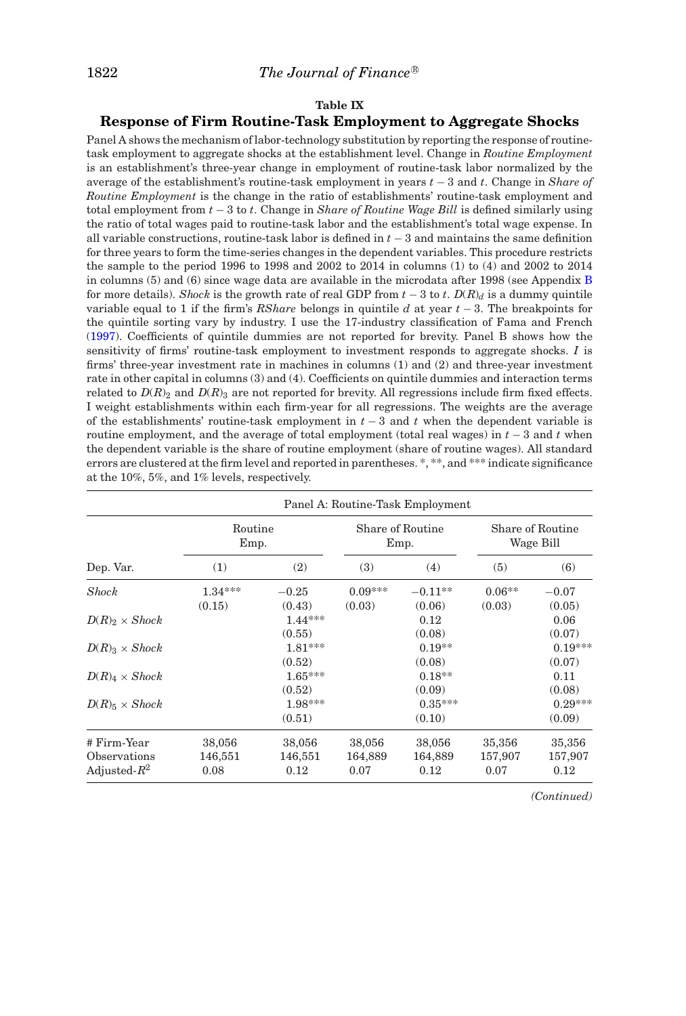# **Table IX**

# <span id="page-29-0"></span>**Response of Firm Routine-Task Employment to Aggregate Shocks**

Panel A shows the mechanism of labor-technology substitution by reporting the response of routinetask employment to aggregate shocks at the establishment level. Change in *Routine Employment* is an establishment's three-year change in employment of routine-task labor normalized by the average of the establishment's routine-task employment in years *t* − 3 and *t*. Change in *Share of Routine Employment* is the change in the ratio of establishments' routine-task employment and total employment from *t* − 3 to *t*. Change in *Share of Routine Wage Bill* is defined similarly using the ratio of total wages paid to routine-task labor and the establishment's total wage expense. In all variable constructions, routine-task labor is defined in *t* − 3 and maintains the same definition for three years to form the time-series changes in the dependent variables. This procedure restricts the sample to the period 1996 to 1998 and 2002 to 2014 in columns (1) to (4) and 2002 to 2014 in columns (5) and (6) since wage data are available in the microdata after 1998 (see Appendix B for more details). *Shock* is the growth rate of real GDP from  $t - 3$  to  $t$ .  $D(R)<sub>d</sub>$  is a dummy quintile variable equal to 1 if the firm's *RShare* belongs in quintile *d* at year *t* − 3. The breakpoints for the quintile sorting vary by industry. I use the 17-industry classification of Fama and French [\(1997\)](#page-44-13). Coefficients of quintile dummies are not reported for brevity. Panel B shows how the sensitivity of firms' routine-task employment to investment responds to aggregate shocks. *I* is firms' three-year investment rate in machines in columns (1) and (2) and three-year investment rate in other capital in columns (3) and (4). Coefficients on quintile dummies and interaction terms related to  $D(R)_2$  and  $D(R)_3$  are not reported for brevity. All regressions include firm fixed effects. I weight establishments within each firm-year for all regressions. The weights are the average of the establishments' routine-task employment in  $t-3$  and  $t$  when the dependent variable is routine employment, and the average of total employment (total real wages) in *t* − 3 and *t* when the dependent variable is the share of routine employment (share of routine wages). All standard errors are clustered at the firm level and reported in parentheses. \*, \*\*, and \*\*\* indicate significance at the 10%, 5%, and 1% levels, respectively.

|                                                |                           |                           |                           | Panel A: Routine-Task Employment |                           |                               |
|------------------------------------------------|---------------------------|---------------------------|---------------------------|----------------------------------|---------------------------|-------------------------------|
|                                                | Routine<br>Emp.           |                           |                           | Share of Routine<br>Emp.         |                           | Share of Routine<br>Wage Bill |
| Dep. Var.                                      | (1)                       | (2)                       | (3)                       | (4)                              | (5)                       | (6)                           |
| <b>Shock</b>                                   | $1.34***$<br>(0.15)       | $-0.25$<br>(0.43)         | $0.09***$<br>(0.03)       | $-0.11**$<br>(0.06)              | $0.06**$<br>(0.03)        | $-0.07$<br>(0.05)             |
| $D(R)_{2} \times Shock$                        |                           | $1.44***$<br>(0.55)       |                           | 0.12<br>(0.08)                   |                           | 0.06<br>(0.07)                |
| $D(R)_{3} \times Shock$                        |                           | $1.81***$<br>(0.52)       |                           | $0.19**$<br>(0.08)               |                           | $0.19***$<br>(0.07)           |
| $D(R)_4 \times \text{Shock}$                   |                           | $1.65***$<br>(0.52)       |                           | $0.18**$<br>(0.09)               |                           | 0.11<br>(0.08)                |
| $D(R)_{5} \times Shock$                        |                           | $1.98***$<br>(0.51)       |                           | $0.35***$<br>(0.10)              |                           | $0.29***$<br>(0.09)           |
| # Firm-Year<br>Observations<br>Adjusted- $R^2$ | 38,056<br>146,551<br>0.08 | 38,056<br>146,551<br>0.12 | 38,056<br>164,889<br>0.07 | 38,056<br>164,889<br>0.12        | 35,356<br>157,907<br>0.07 | 35,356<br>157,907<br>0.12     |

*(Continued)*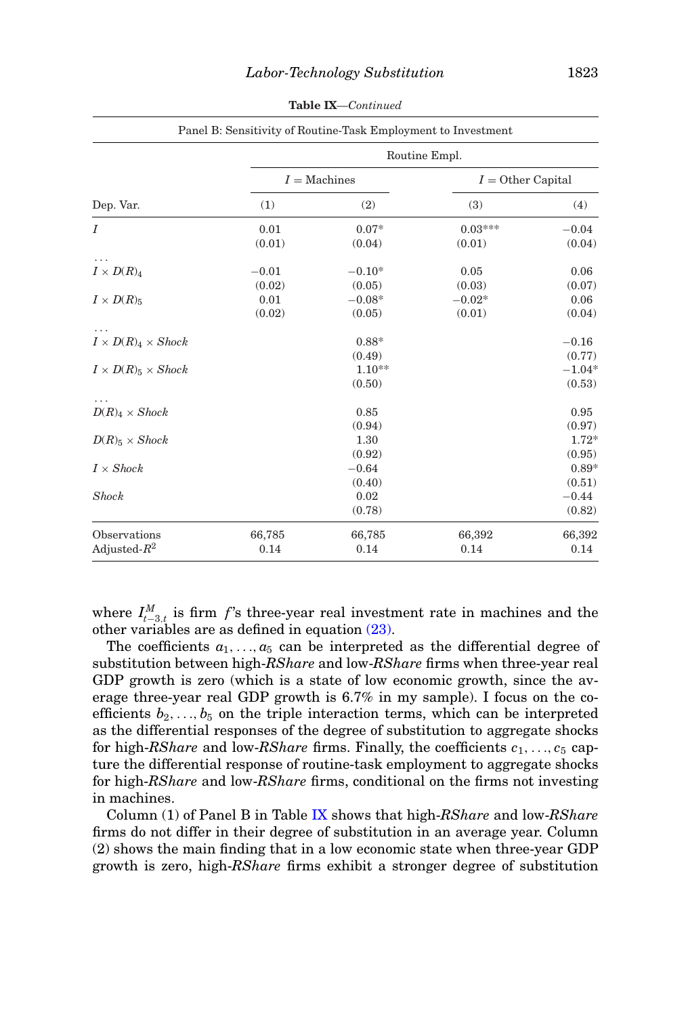|                                                    |         | Panel B: Sensitivity of Routine-Task Employment to Investment | Routine Empl.       |          |
|----------------------------------------------------|---------|---------------------------------------------------------------|---------------------|----------|
|                                                    |         | $I =$ Machines                                                | $I =$ Other Capital |          |
| Dep. Var.                                          | (1)     | (2)                                                           | (3)                 | (4)      |
| I                                                  | 0.01    | $0.07*$                                                       | $0.03***$           | $-0.04$  |
|                                                    | (0.01)  | (0.04)                                                        | (0.01)              | (0.04)   |
| $I \times D(R)_4$                                  | $-0.01$ | $-0.10*$                                                      | 0.05                | 0.06     |
|                                                    | (0.02)  | (0.05)                                                        | (0.03)              | (0.07)   |
| $I \times D(R)_{5}$                                | 0.01    | $-0.08*$                                                      | $-0.02*$            | 0.06     |
|                                                    | (0.02)  | (0.05)                                                        | (0.01)              | (0.04)   |
| $I \times D(R)_4 \times \text{Shock}$              |         | $0.88*$                                                       |                     | $-0.16$  |
|                                                    |         | (0.49)                                                        |                     | (0.77)   |
| $I \times D(R)$ <sub>5</sub> $\times$ <i>Shock</i> |         | $1.10**$                                                      |                     | $-1.04*$ |
|                                                    |         | (0.50)                                                        |                     | (0.53)   |
| $D(R)_4 \times Shock$                              |         | 0.85                                                          |                     | 0.95     |
|                                                    |         | (0.94)                                                        |                     | (0.97)   |
| $D(R)_5 \times Shock$                              |         | 1.30                                                          |                     | $1.72*$  |
|                                                    |         | (0.92)                                                        |                     | (0.95)   |
| $I \times Shock$                                   |         | $-0.64$                                                       |                     | $0.89*$  |
|                                                    |         | (0.40)                                                        |                     | (0.51)   |
| <b>Shock</b>                                       |         | 0.02                                                          |                     | $-0.44$  |
|                                                    |         | (0.78)                                                        |                     | (0.82)   |
| Observations                                       | 66,785  | 66,785                                                        | 66,392              | 66,392   |
| Adjusted- $R^2$                                    | 0.14    | 0.14                                                          | 0.14                | 0.14     |

**Table IX***—Continued*

where *I<sup>M</sup> <sup>t</sup>*−3,*<sup>t</sup>* is firm *f*'s three-year real investment rate in machines and the other variables are as defined in equation [\(23\).](#page-28-0)

The coefficients  $a_1, \ldots, a_5$  can be interpreted as the differential degree of substitution between high-*RShare* and low-*RShare* firms when three-year real GDP growth is zero (which is a state of low economic growth, since the average three-year real GDP growth is 6.7% in my sample). I focus on the coefficients  $b_2, \ldots, b_5$  on the triple interaction terms, which can be interpreted as the differential responses of the degree of substitution to aggregate shocks for high-*RShare* and low-*RShare* firms. Finally, the coefficients *c*1, . . ., *c*<sup>5</sup> capture the differential response of routine-task employment to aggregate shocks for high-*RShare* and low-*RShare* firms, conditional on the firms not investing in machines.

Column (1) of Panel B in Table [IX](#page-29-0) shows that high-*RShare* and low-*RShare* firms do not differ in their degree of substitution in an average year. Column (2) shows the main finding that in a low economic state when three-year GDP growth is zero, high-*RShare* firms exhibit a stronger degree of substitution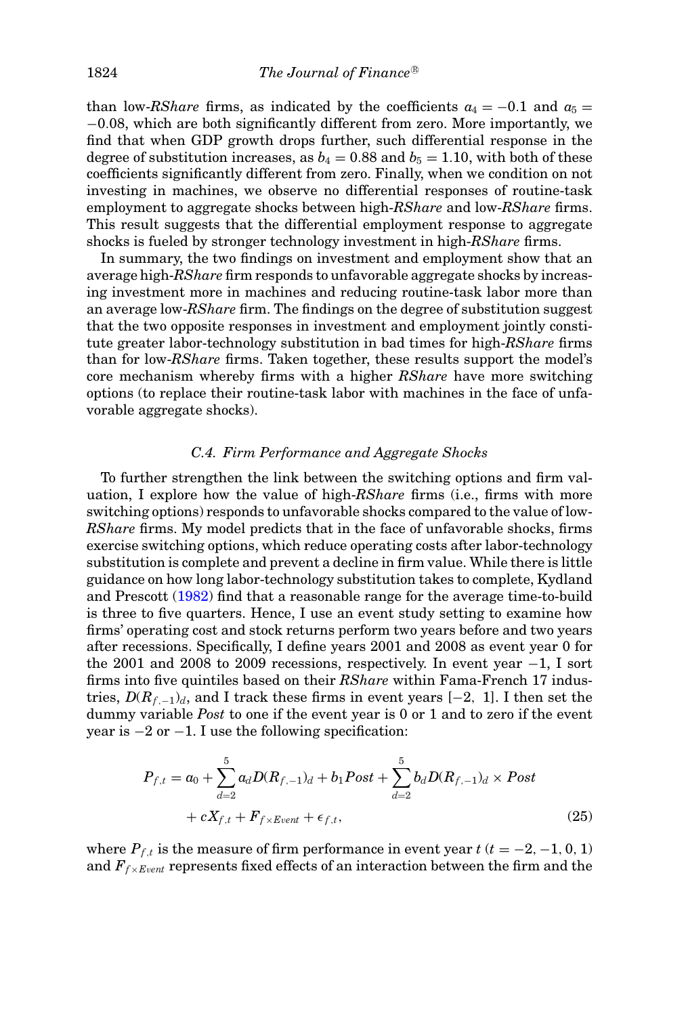than low-*RShare* firms, as indicated by the coefficients  $a_4 = -0.1$  and  $a_5 =$ −0.08, which are both significantly different from zero. More importantly, we find that when GDP growth drops further, such differential response in the degree of substitution increases, as  $b_4 = 0.88$  and  $b_5 = 1.10$ , with both of these coefficients significantly different from zero. Finally, when we condition on not investing in machines, we observe no differential responses of routine-task employment to aggregate shocks between high-*RShare* and low-*RShare* firms. This result suggests that the differential employment response to aggregate shocks is fueled by stronger technology investment in high-*RShare* firms.

In summary, the two findings on investment and employment show that an average high-*RShare* firm responds to unfavorable aggregate shocks by increasing investment more in machines and reducing routine-task labor more than an average low-*RShare* firm. The findings on the degree of substitution suggest that the two opposite responses in investment and employment jointly constitute greater labor-technology substitution in bad times for high-*RShare* firms than for low-*RShare* firms. Taken together, these results support the model's core mechanism whereby firms with a higher *RShare* have more switching options (to replace their routine-task labor with machines in the face of unfavorable aggregate shocks).

# *C.4. Firm Performance and Aggregate Shocks*

To further strengthen the link between the switching options and firm valuation, I explore how the value of high-*RShare* firms (i.e., firms with more switching options) responds to unfavorable shocks compared to the value of low-*RShare* firms. My model predicts that in the face of unfavorable shocks, firms exercise switching options, which reduce operating costs after labor-technology substitution is complete and prevent a decline in firm value. While there is little guidance on how long labor-technology substitution takes to complete, Kydland and Prescott [\(1982\)](#page-45-19) find that a reasonable range for the average time-to-build is three to five quarters. Hence, I use an event study setting to examine how firms' operating cost and stock returns perform two years before and two years after recessions. Specifically, I define years 2001 and 2008 as event year 0 for the 2001 and 2008 to 2009 recessions, respectively. In event year  $-1$ , I sort firms into five quintiles based on their *RShare* within Fama-French 17 industries, *D*(*Rf*,<sup>−</sup>1)*d*, and I track these firms in event years [−2, 1]. I then set the dummy variable *Post* to one if the event year is 0 or 1 and to zero if the event year is  $-2$  or  $-1$ . I use the following specification:

<span id="page-31-0"></span>
$$
P_{f,t} = a_0 + \sum_{d=2}^{5} a_d D(R_{f,-1})_d + b_1 Post + \sum_{d=2}^{5} b_d D(R_{f,-1})_d \times Post + cX_{f,t} + F_{f \times Event} + \epsilon_{f,t},
$$
\n(25)

where  $P_{f,t}$  is the measure of firm performance in event year  $t$  ( $t = -2, -1, 0, 1$ ) and  $F_{f \times Event}$  represents fixed effects of an interaction between the firm and the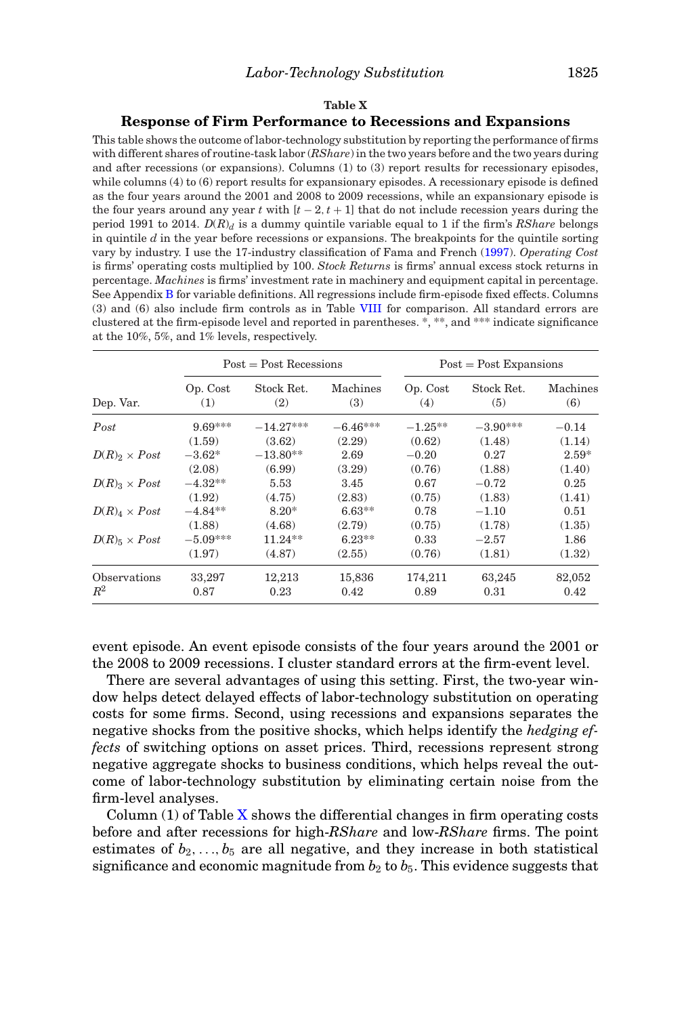#### **Table X**

#### **Response of Firm Performance to Recessions and Expansions**

<span id="page-32-0"></span>This table shows the outcome of labor-technology substitution by reporting the performance of firms with different shares of routine-task labor (*RShare*) in the two years before and the two years during and after recessions (or expansions). Columns (1) to (3) report results for recessionary episodes, while columns (4) to (6) report results for expansionary episodes. A recessionary episode is defined as the four years around the 2001 and 2008 to 2009 recessions, while an expansionary episode is the four years around any year *t* with  $[t-2, t+1]$  that do not include recession years during the period 1991 to 2014. *D*(*R*)*<sup>d</sup>* is a dummy quintile variable equal to 1 if the firm's *RShare* belongs in quintile *d* in the year before recessions or expansions. The breakpoints for the quintile sorting vary by industry. I use the 17-industry classification of Fama and French [\(1997\)](#page-44-13). *Operating Cost* is firms' operating costs multiplied by 100. *Stock Returns* is firms' annual excess stock returns in percentage. *Machines* is firms' investment rate in machinery and equipment capital in percentage. See Appendix B for variable definitions. All regressions include firm-episode fixed effects. Columns (3) and (6) also include firm controls as in Table [VIII](#page-25-0) for comparison. All standard errors are clustered at the firm-episode level and reported in parentheses. \*, \*\*, and \*\*\* indicate significance at the 10%, 5%, and 1% levels, respectively.

|                        |                 | $Post = Post$ Recessions |                 |                 | $Post = Post$ Expansions |                 |
|------------------------|-----------------|--------------------------|-----------------|-----------------|--------------------------|-----------------|
| Dep. Var.              | Op. Cost<br>(1) | Stock Ret.<br>(2)        | Machines<br>(3) | Op. Cost<br>(4) | Stock Ret.<br>(5)        | Machines<br>(6) |
| Post                   | $9.69***$       | $-14.27***$              | $-6.46***$      | $-1.25**$       | $-3.90***$               | $-0.14$         |
|                        | (1.59)          | (3.62)                   | (2.29)          | (0.62)          | (1.48)                   | (1.14)          |
| $D(R)_{2} \times Post$ | $-3.62*$        | $-13.80**$               | 2.69            | $-0.20$         | 0.27                     | $2.59*$         |
|                        | (2.08)          | (6.99)                   | (3.29)          | (0.76)          | (1.88)                   | (1.40)          |
| $D(R)_{3} \times Post$ | $-4.32**$       | 5.53                     | 3.45            | 0.67            | $-0.72$                  | 0.25            |
|                        | (1.92)          | (4.75)                   | (2.83)          | (0.75)          | (1.83)                   | (1.41)          |
| $D(R)_4 \times Post$   | $-4.84**$       | $8.20*$                  | $6.63**$        | 0.78            | $-1.10$                  | 0.51            |
|                        | (1.88)          | (4.68)                   | (2.79)          | (0.75)          | (1.78)                   | (1.35)          |
| $D(R)_{5} \times Post$ | $-5.09***$      | $11.24**$                | $6.23**$        | 0.33            | $-2.57$                  | 1.86            |
|                        | (1.97)          | (4.87)                   | (2.55)          | (0.76)          | (1.81)                   | (1.32)          |
| Observations           | 33,297          | 12,213                   | 15,836          | 174,211         | 63,245                   | 82,052          |
| $R^2$                  | 0.87            | 0.23                     | 0.42            | 0.89            | 0.31                     | 0.42            |

event episode. An event episode consists of the four years around the 2001 or the 2008 to 2009 recessions. I cluster standard errors at the firm-event level.

There are several advantages of using this setting. First, the two-year window helps detect delayed effects of labor-technology substitution on operating costs for some firms. Second, using recessions and expansions separates the negative shocks from the positive shocks, which helps identify the *hedging effects* of switching options on asset prices. Third, recessions represent strong negative aggregate shocks to business conditions, which helps reveal the outcome of labor-technology substitution by eliminating certain noise from the firm-level analyses.

Column  $(1)$  of Table [X](#page-32-0) shows the differential changes in firm operating costs before and after recessions for high-*RShare* and low-*RShare* firms. The point estimates of  $b_2, \ldots, b_5$  are all negative, and they increase in both statistical significance and economic magnitude from  $b_2$  to  $b_5$ . This evidence suggests that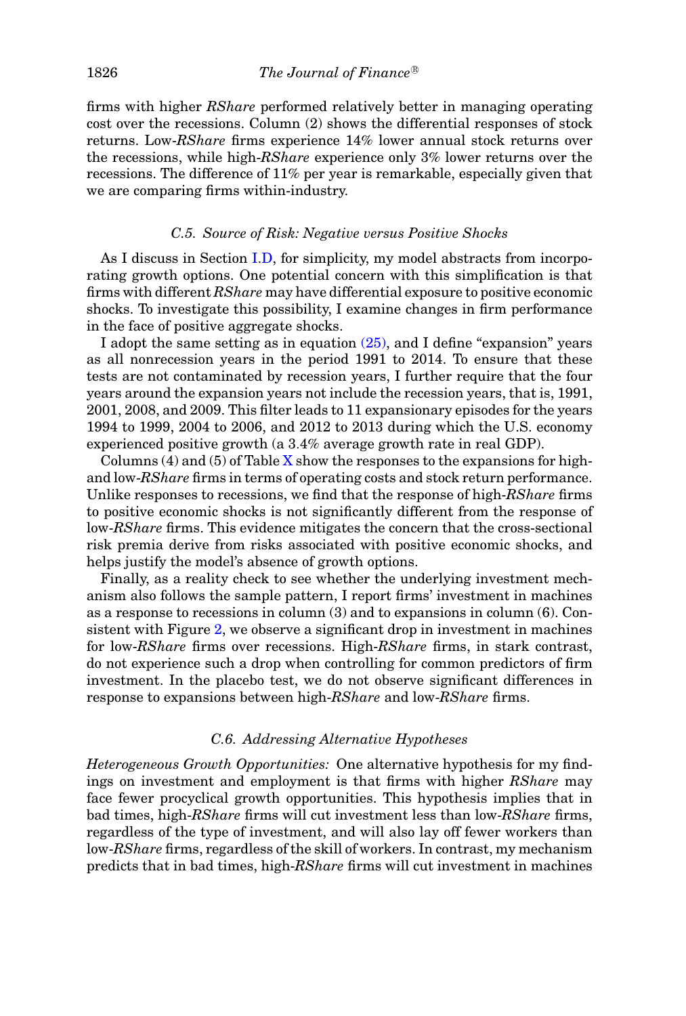firms with higher *RShare* performed relatively better in managing operating cost over the recessions. Column (2) shows the differential responses of stock returns. Low-*RShare* firms experience 14% lower annual stock returns over the recessions, while high-*RShare* experience only 3% lower returns over the recessions. The difference of 11% per year is remarkable, especially given that we are comparing firms within-industry.

# *C.5. Source of Risk: Negative versus Positive Shocks*

As I discuss in Section I.D, for simplicity, my model abstracts from incorporating growth options. One potential concern with this simplification is that firms with different *RShare* may have differential exposure to positive economic shocks. To investigate this possibility, I examine changes in firm performance in the face of positive aggregate shocks.

I adopt the same setting as in equation  $(25)$ , and I define "expansion" years as all nonrecession years in the period 1991 to 2014. To ensure that these tests are not contaminated by recession years, I further require that the four years around the expansion years not include the recession years, that is, 1991, 2001, 2008, and 2009. This filter leads to 11 expansionary episodes for the years 1994 to 1999, 2004 to 2006, and 2012 to 2013 during which the U.S. economy experienced positive growth (a 3.4% average growth rate in real GDP).

Columns (4) and (5) of Table  $\overline{X}$  $\overline{X}$  $\overline{X}$  show the responses to the expansions for highand low-*RShare* firms in terms of operating costs and stock return performance. Unlike responses to recessions, we find that the response of high-*RShare* firms to positive economic shocks is not significantly different from the response of low-*RShare* firms. This evidence mitigates the concern that the cross-sectional risk premia derive from risks associated with positive economic shocks, and helps justify the model's absence of growth options.

Finally, as a reality check to see whether the underlying investment mechanism also follows the sample pattern, I report firms' investment in machines as a response to recessions in column (3) and to expansions in column (6). Consistent with Figure [2,](#page-26-0) we observe a significant drop in investment in machines for low-*RShare* firms over recessions. High-*RShare* firms, in stark contrast, do not experience such a drop when controlling for common predictors of firm investment. In the placebo test, we do not observe significant differences in response to expansions between high-*RShare* and low-*RShare* firms.

# *C.6. Addressing Alternative Hypotheses*

*Heterogeneous Growth Opportunities:* One alternative hypothesis for my findings on investment and employment is that firms with higher *RShare* may face fewer procyclical growth opportunities. This hypothesis implies that in bad times, high-*RShare* firms will cut investment less than low-*RShare* firms, regardless of the type of investment, and will also lay off fewer workers than low-*RShare* firms, regardless of the skill of workers. In contrast, my mechanism predicts that in bad times, high-*RShare* firms will cut investment in machines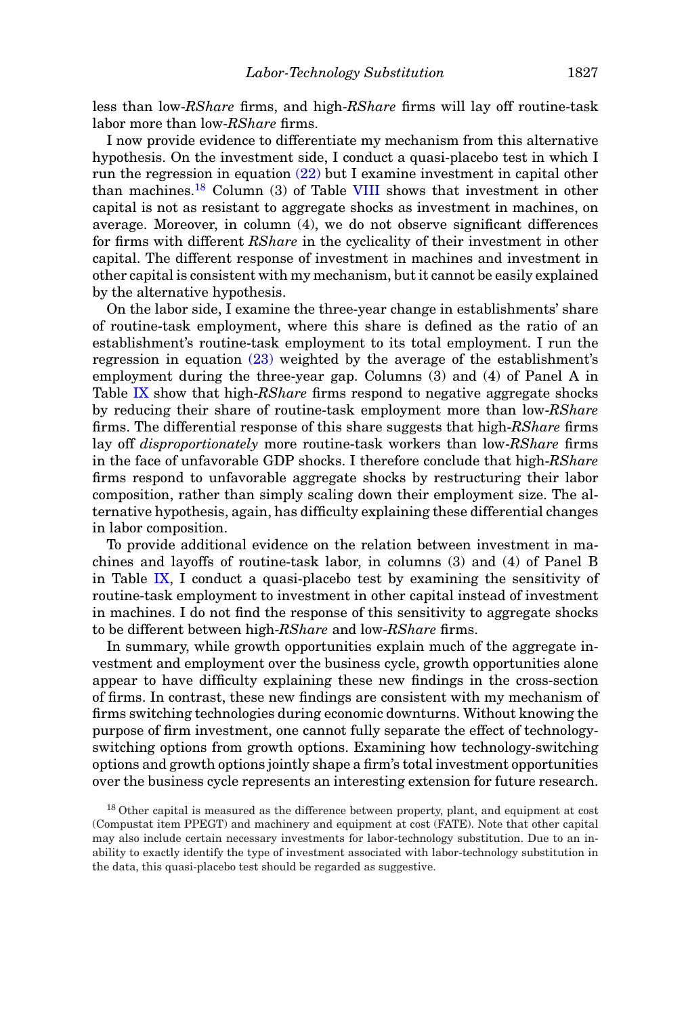less than low-*RShare* firms, and high-*RShare* firms will lay off routine-task labor more than low-*RShare* firms.

I now provide evidence to differentiate my mechanism from this alternative hypothesis. On the investment side, I conduct a quasi-placebo test in which I run the regression in equation [\(22\)](#page-24-1) but I examine investment in capital other than machines.<sup>[18](#page-34-0)</sup> Column (3) of Table [VIII](#page-25-0) shows that investment in other capital is not as resistant to aggregate shocks as investment in machines, on average. Moreover, in column (4), we do not observe significant differences for firms with different *RShare* in the cyclicality of their investment in other capital. The different response of investment in machines and investment in other capital is consistent with my mechanism, but it cannot be easily explained by the alternative hypothesis.

On the labor side, I examine the three-year change in establishments' share of routine-task employment, where this share is defined as the ratio of an establishment's routine-task employment to its total employment. I run the regression in equation [\(23\)](#page-28-0) weighted by the average of the establishment's employment during the three-year gap. Columns (3) and (4) of Panel A in Table [IX](#page-29-0) show that high-*RShare* firms respond to negative aggregate shocks by reducing their share of routine-task employment more than low-*RShare* firms. The differential response of this share suggests that high-*RShare* firms lay off *disproportionately* more routine-task workers than low-*RShare* firms in the face of unfavorable GDP shocks. I therefore conclude that high-*RShare* firms respond to unfavorable aggregate shocks by restructuring their labor composition, rather than simply scaling down their employment size. The alternative hypothesis, again, has difficulty explaining these differential changes in labor composition.

To provide additional evidence on the relation between investment in machines and layoffs of routine-task labor, in columns (3) and (4) of Panel B in Table [IX,](#page-29-0) I conduct a quasi-placebo test by examining the sensitivity of routine-task employment to investment in other capital instead of investment in machines. I do not find the response of this sensitivity to aggregate shocks to be different between high-*RShare* and low-*RShare* firms.

In summary, while growth opportunities explain much of the aggregate investment and employment over the business cycle, growth opportunities alone appear to have difficulty explaining these new findings in the cross-section of firms. In contrast, these new findings are consistent with my mechanism of firms switching technologies during economic downturns. Without knowing the purpose of firm investment, one cannot fully separate the effect of technologyswitching options from growth options. Examining how technology-switching options and growth options jointly shape a firm's total investment opportunities over the business cycle represents an interesting extension for future research.

<span id="page-34-0"></span> $18$  Other capital is measured as the difference between property, plant, and equipment at cost (Compustat item PPEGT) and machinery and equipment at cost (FATE). Note that other capital may also include certain necessary investments for labor-technology substitution. Due to an inability to exactly identify the type of investment associated with labor-technology substitution in the data, this quasi-placebo test should be regarded as suggestive.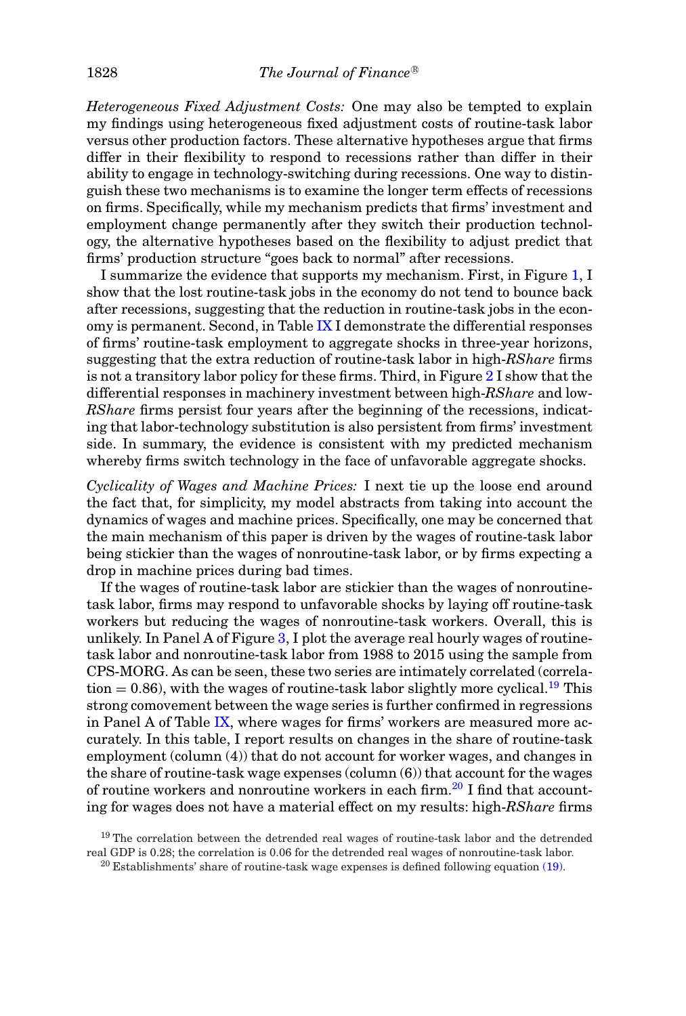*Heterogeneous Fixed Adjustment Costs:* One may also be tempted to explain my findings using heterogeneous fixed adjustment costs of routine-task labor versus other production factors. These alternative hypotheses argue that firms differ in their flexibility to respond to recessions rather than differ in their ability to engage in technology-switching during recessions. One way to distinguish these two mechanisms is to examine the longer term effects of recessions on firms. Specifically, while my mechanism predicts that firms' investment and employment change permanently after they switch their production technology, the alternative hypotheses based on the flexibility to adjust predict that firms' production structure "goes back to normal" after recessions.

I summarize the evidence that supports my mechanism. First, in Figure [1,](#page-14-0) I show that the lost routine-task jobs in the economy do not tend to bounce back after recessions, suggesting that the reduction in routine-task jobs in the economy is permanent. Second, in Table [IX](#page-29-0) I demonstrate the differential responses of firms' routine-task employment to aggregate shocks in three-year horizons, suggesting that the extra reduction of routine-task labor in high-*RShare* firms is not a transitory labor policy for these firms. Third, in Figure [2](#page-26-0) I show that the differential responses in machinery investment between high-*RShare* and low-*RShare* firms persist four years after the beginning of the recessions, indicating that labor-technology substitution is also persistent from firms' investment side. In summary, the evidence is consistent with my predicted mechanism whereby firms switch technology in the face of unfavorable aggregate shocks.

*Cyclicality of Wages and Machine Prices:* I next tie up the loose end around the fact that, for simplicity, my model abstracts from taking into account the dynamics of wages and machine prices. Specifically, one may be concerned that the main mechanism of this paper is driven by the wages of routine-task labor being stickier than the wages of nonroutine-task labor, or by firms expecting a drop in machine prices during bad times.

If the wages of routine-task labor are stickier than the wages of nonroutinetask labor, firms may respond to unfavorable shocks by laying off routine-task workers but reducing the wages of nonroutine-task workers. Overall, this is unlikely. In Panel A of Figure  $3$ , I plot the average real hourly wages of routinetask labor and nonroutine-task labor from 1988 to 2015 using the sample from CPS-MORG. As can be seen, these two series are intimately correlated (correlation  $= 0.86$ ), with the wages of routine-task labor slightly more cyclical.<sup>19</sup> This strong comovement between the wage series is further confirmed in regressions in Panel A of Table [IX,](#page-29-0) where wages for firms' workers are measured more accurately. In this table, I report results on changes in the share of routine-task employment (column (4)) that do not account for worker wages, and changes in the share of routine-task wage expenses (column (6)) that account for the wages of routine workers and nonroutine workers in each firm.<sup>[20](#page-35-1)</sup> I find that accounting for wages does not have a material effect on my results: high-*RShare* firms

<span id="page-35-0"></span><sup>&</sup>lt;sup>19</sup> The correlation between the detrended real wages of routine-task labor and the detrended real GDP is 0.28; the correlation is 0.06 for the detrended real wages of nonroutine-task labor.

<span id="page-35-1"></span> $20$  Establishments' share of routine-task wage expenses is defined following equation [\(19\).](#page-12-1)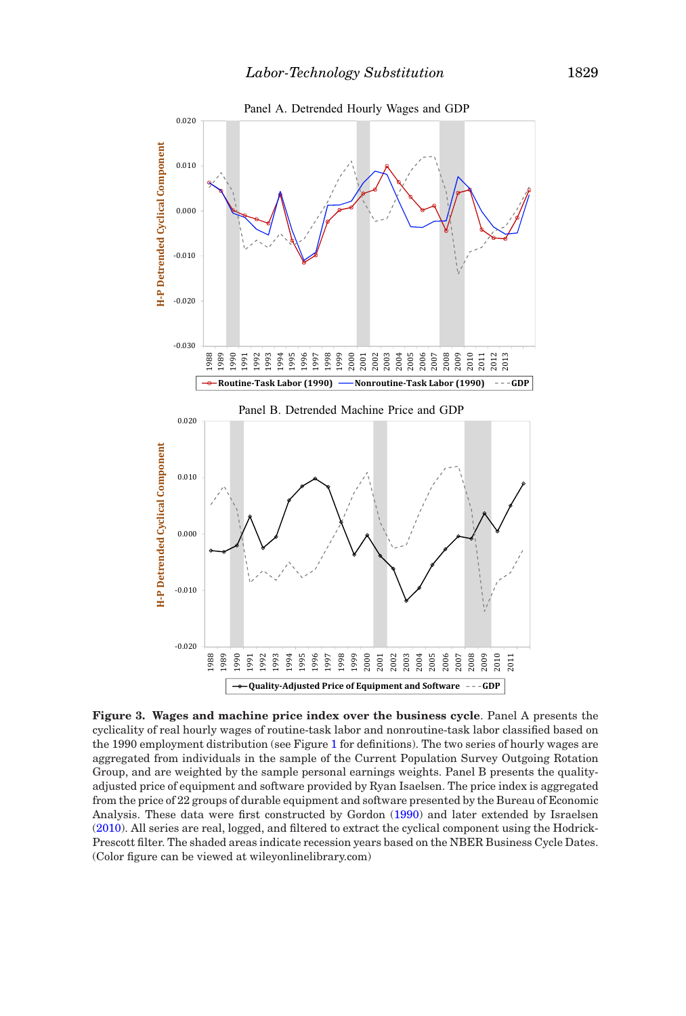

<span id="page-36-0"></span>**Figure 3. Wages and machine price index over the business cycle**. Panel A presents the cyclicality of real hourly wages of routine-task labor and nonroutine-task labor classified based on the 1990 employment distribution (see Figure [1](#page-14-0) for definitions). The two series of hourly wages are aggregated from individuals in the sample of the Current Population Survey Outgoing Rotation Group, and are weighted by the sample personal earnings weights. Panel B presents the qualityadjusted price of equipment and software provided by Ryan Isaelsen. The price index is aggregated from the price of 22 groups of durable equipment and software presented by the Bureau of Economic Analysis. These data were first constructed by Gordon [\(1990\)](#page-45-20) and later extended by Israelsen [\(2010\)](#page-45-21). All series are real, logged, and filtered to extract the cyclical component using the Hodrick-Prescott filter. The shaded areas indicate recession years based on the NBER Business Cycle Dates. (Color figure can be viewed at wileyonlinelibrary.com)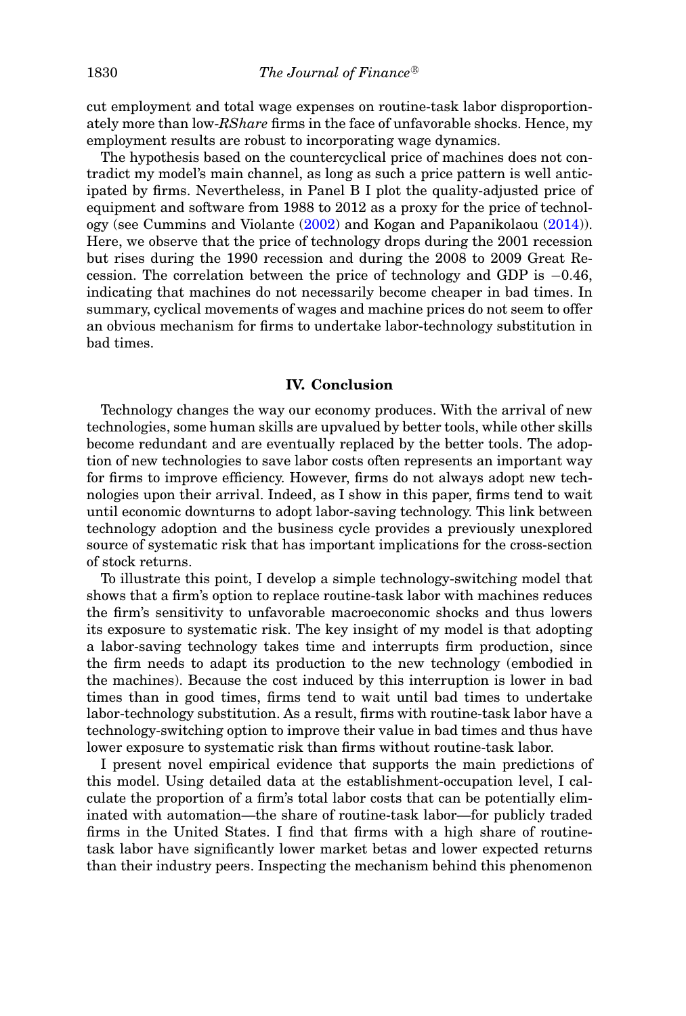cut employment and total wage expenses on routine-task labor disproportionately more than low-*RShare* firms in the face of unfavorable shocks. Hence, my employment results are robust to incorporating wage dynamics.

The hypothesis based on the countercyclical price of machines does not contradict my model's main channel, as long as such a price pattern is well anticipated by firms. Nevertheless, in Panel B I plot the quality-adjusted price of equipment and software from 1988 to 2012 as a proxy for the price of technology (see Cummins and Violante [\(2002\)](#page-44-20) and Kogan and Papanikolaou [\(2014\)](#page-45-2)). Here, we observe that the price of technology drops during the 2001 recession but rises during the 1990 recession and during the 2008 to 2009 Great Recession. The correlation between the price of technology and GDP is  $-0.46$ , indicating that machines do not necessarily become cheaper in bad times. In summary, cyclical movements of wages and machine prices do not seem to offer an obvious mechanism for firms to undertake labor-technology substitution in bad times.

# **IV. Conclusion**

Technology changes the way our economy produces. With the arrival of new technologies, some human skills are upvalued by better tools, while other skills become redundant and are eventually replaced by the better tools. The adoption of new technologies to save labor costs often represents an important way for firms to improve efficiency. However, firms do not always adopt new technologies upon their arrival. Indeed, as I show in this paper, firms tend to wait until economic downturns to adopt labor-saving technology. This link between technology adoption and the business cycle provides a previously unexplored source of systematic risk that has important implications for the cross-section of stock returns.

To illustrate this point, I develop a simple technology-switching model that shows that a firm's option to replace routine-task labor with machines reduces the firm's sensitivity to unfavorable macroeconomic shocks and thus lowers its exposure to systematic risk. The key insight of my model is that adopting a labor-saving technology takes time and interrupts firm production, since the firm needs to adapt its production to the new technology (embodied in the machines). Because the cost induced by this interruption is lower in bad times than in good times, firms tend to wait until bad times to undertake labor-technology substitution. As a result, firms with routine-task labor have a technology-switching option to improve their value in bad times and thus have lower exposure to systematic risk than firms without routine-task labor.

I present novel empirical evidence that supports the main predictions of this model. Using detailed data at the establishment-occupation level, I calculate the proportion of a firm's total labor costs that can be potentially eliminated with automation—the share of routine-task labor—for publicly traded firms in the United States. I find that firms with a high share of routinetask labor have significantly lower market betas and lower expected returns than their industry peers. Inspecting the mechanism behind this phenomenon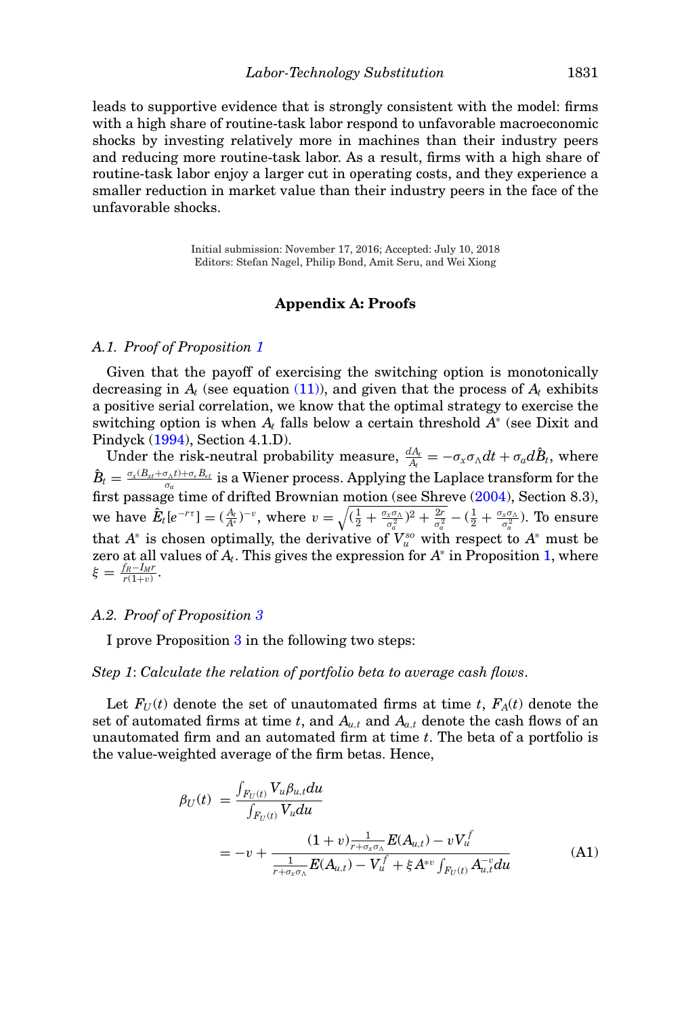leads to supportive evidence that is strongly consistent with the model: firms with a high share of routine-task labor respond to unfavorable macroeconomic shocks by investing relatively more in machines than their industry peers and reducing more routine-task labor. As a result, firms with a high share of routine-task labor enjoy a larger cut in operating costs, and they experience a smaller reduction in market value than their industry peers in the face of the unfavorable shocks.

> Initial submission: November 17, 2016; Accepted: July 10, 2018 Editors: Stefan Nagel, Philip Bond, Amit Seru, and Wei Xiong

# **Appendix A: Proofs**

# *A.1. Proof of Proposition [1](#page-7-1)*

Given that the payoff of exercising the switching option is monotonically decreasing in  $A_t$  (see equation [\(11\)\)](#page-7-2), and given that the process of  $A_t$  exhibits a positive serial correlation, we know that the optimal strategy to exercise the switching option is when *At* falls below a certain threshold *A*<sup>∗</sup> (see Dixit and Pindyck [\(1994\)](#page-44-21), Section 4.1.D).

Under the risk-neutral probability measure,  $\frac{dA_t}{A_t} = -\sigma_x \sigma_\Lambda dt + \sigma_a d\hat{B}_t$ , where  $\hat{B}_t=\frac{\sigma_x(B_{xt}+\sigma_{\Lambda}t)+\sigma_eB_{\epsilon t}}{\sigma_a}$  is a Wiener process. Applying the Laplace transform for the first passage time of drifted Brownian motion (see Shreve [\(2004\)](#page-45-22), Section 8.3), we have  $\hat{E}_t[e^{-r\tau}] = (\frac{A_t}{A^*})^{-\nu}$ , where  $\nu = \sqrt{(\frac{1}{2} + \frac{\sigma_x \sigma_A}{\sigma_a^2})^2 + \frac{2r}{\sigma_a^2}} - (\frac{1}{2} + \frac{\sigma_x \sigma_A}{\sigma_a^2})$ . To ensure that  $A^*$  is chosen optimally, the derivative of  $V_u^{so}$  with respect to  $A^*$  must be zero at all values of *At*. This gives the expression for *A*<sup>∗</sup> in Proposition [1,](#page-7-1) where  $\xi = \frac{f_R - I_M r}{r(1+v)}$ .

# *A.2. Proof of Proposition [3](#page-8-2)*

I prove Proposition [3](#page-8-2) in the following two steps:

# *Step 1*: *Calculate the relation of portfolio beta to average cash flows*.

Let  $F_U(t)$  denote the set of unautomated firms at time *t*,  $F_A(t)$  denote the set of automated firms at time *t*, and  $A_{u,t}$  and  $A_{a,t}$  denote the cash flows of an unautomated firm and an automated firm at time *t*. The beta of a portfolio is the value-weighted average of the firm betas. Hence,

$$
\beta_{U}(t) = \frac{\int_{F_{U}(t)} V_{u} \beta_{u,t} du}{\int_{F_{U}(t)} V_{u} du}
$$
\n
$$
= -v + \frac{(1+v) \frac{1}{r + \sigma_{x} \sigma_{\Lambda}} E(A_{u,t}) - vV_{u}^{f}}{\frac{1}{r + \sigma_{x} \sigma_{\Lambda}} E(A_{u,t}) - V_{u}^{f} + \xi A^{*v} \int_{F_{U}(t)} A_{u,t}^{-v} du}
$$
\n(A1)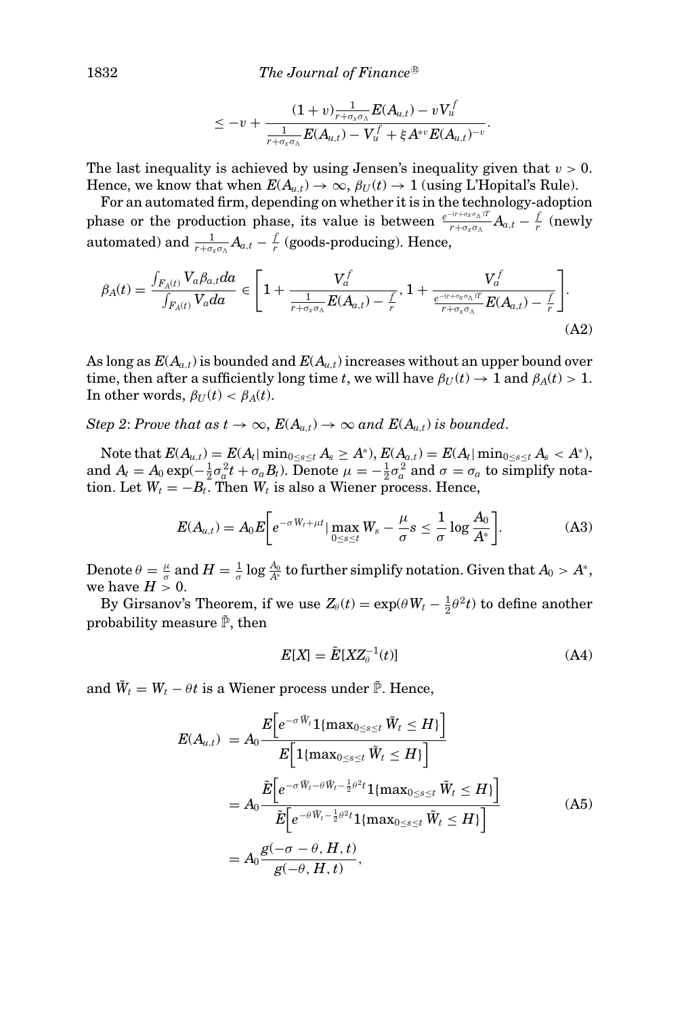$$
\leq -v + \frac{(1+v)\frac{1}{r+\sigma_x\sigma_{\Lambda}}E(A_{u,t})-vV_u^f}{\frac{1}{r+\sigma_x\sigma_{\Lambda}}E(A_{u,t})-V_u^f+\xi A^{*v}E(A_{u,t})^{-v}}.
$$

<span id="page-39-0"></span>The last inequality is achieved by using Jensen's inequality given that  $v > 0$ . Hence, we know that when  $E(A_{u,t}) \to \infty$ ,  $\beta_U(t) \to 1$  (using L'Hopital's Rule).

For an automated firm, depending on whether it is in the technology-adoption phase or the production phase, its value is between  $\frac{e^{-(r+\sigma_x\sigma_y)T}}{r+\sigma_x\sigma_y}A_{a,t} - \frac{f}{r}$  (newly  $\text{automated)} \text{ and } \frac{1}{r+\sigma_x\sigma_{\Lambda}}A_{a,t}-\frac{f}{r} \text{ (goods-producing). Hence,}$ 

$$
\beta_A(t) = \frac{\int_{F_A(t)} V_a \beta_{a,t} da}{\int_{F_A(t)} V_a da} \in \left[1 + \frac{V_a^f}{\frac{1}{r + \sigma_x \sigma_{\Lambda}} E(A_{a,t}) - \frac{f}{r}}, 1 + \frac{V_a^f}{\frac{e^{-(r + \sigma_x \sigma_{\Lambda})T}}{r + \sigma_x \sigma_{\Lambda}} E(A_{a,t}) - \frac{f}{r}}\right].
$$
\n(A2)

<span id="page-39-1"></span>As long as  $E(A_{a,t})$  is bounded and  $E(A_{u,t})$  increases without an upper bound over time, then after a sufficiently long time *t*, we will have  $\beta_U(t) \to 1$  and  $\beta_A(t) > 1$ . In other words,  $\beta_U(t) < \beta_A(t)$ .

*Step 2: Prove that as*  $t \to \infty$ *,*  $E(A_{u,t}) \to \infty$  *and*  $E(A_{u,t})$  *<i>is bounded.* 

Note that  $E(A_{u,t}) = E(A_t | \min_{0 \le s \le t} A_s \ge A^*)$ ,  $E(A_{a,t}) = E(A_t | \min_{0 \le s \le t} A_s < A^*)$ , and  $A_t = A_0 \exp(-\frac{1}{2}\sigma_a^2 t + \sigma_a B_t)$ . Denote  $\mu = -\frac{1}{2}\sigma_a^2$  and  $\sigma = \sigma_a$  to simplify notation. Let  $W_t = -B_t$ . Then  $W_t$  is also a Wiener process. Hence,

$$
E(A_{u,t}) = A_0 E \bigg[ e^{-\sigma W_t + \mu t} \big| \max_{0 \le s \le t} W_s - \frac{\mu}{\sigma} s \le \frac{1}{\sigma} \log \frac{A_0}{A^*} \bigg]. \tag{A3}
$$

Denote  $\theta = \frac{\mu}{\sigma}$  and  $H = \frac{1}{\sigma} \log \frac{A_0}{A^*}$  to further simplify notation. Given that  $A_0 > A^*$ , we have  $H > 0$ .

By Girsanov's Theorem, if we use  $Z_{\theta}(t) = \exp(\theta W_t - \frac{1}{2}\theta^2 t)$  to define another probability measure  $\tilde{P}$ , then

$$
E[X] = \tilde{E}[XZ_{\theta}^{-1}(t)] \tag{A4}
$$

and  $\tilde{W}_t = W_t - \theta t$  is a Wiener process under  $\tilde{\mathbb{P}}$ . Hence,

$$
E(A_{u,t}) = A_0 \frac{E\left[e^{-\sigma \tilde{W}_t} 1\{\max_{0 \le s \le t} \tilde{W}_t \le H\}\right]}{E\left[1\{\max_{0 \le s \le t} \tilde{W}_t \le H\}\right]}
$$
  

$$
= A_0 \frac{\tilde{E}\left[e^{-\sigma \tilde{W}_t - \theta \tilde{W}_t - \frac{1}{2}\theta^2 t} 1\{\max_{0 \le s \le t} \tilde{W}_t \le H\}\right]}{\tilde{E}\left[e^{-\theta \tilde{W}_t - \frac{1}{2}\theta^2 t} 1\{\max_{0 \le s \le t} \tilde{W}_t \le H\}\right]}
$$
  

$$
= A_0 \frac{g(-\sigma - \theta, H, t)}{g(-\theta, H, t)},
$$
(A5)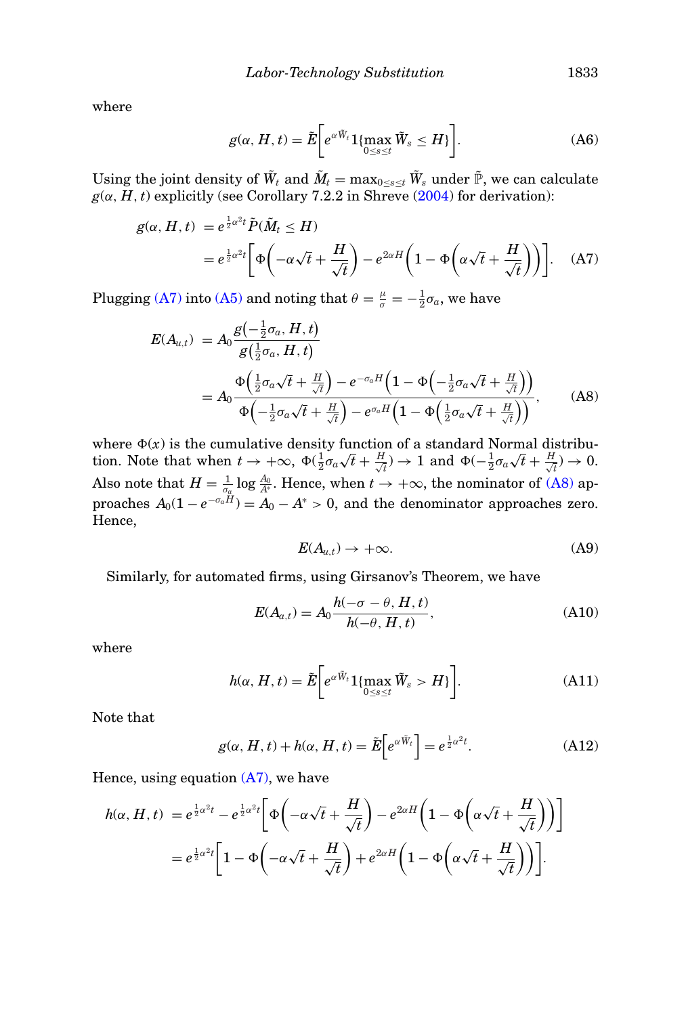<span id="page-40-1"></span>where

$$
g(\alpha, H, t) = \tilde{E}\bigg[e^{\alpha \tilde{W}_t} 1\{\max_{0 \le s \le t} \tilde{W}_s \le H\}\bigg].
$$
 (A6)

Using the joint density of  $\tilde{W}_t$  and  $\tilde{M}_t = \max_{0 \le s \le t} \tilde{W}_s$  under  $\tilde{\mathbb{P}}$ , we can calculate  $g(\alpha, H, t)$  explicitly (see Corollary 7.2.2 in Shreve [\(2004\)](#page-45-22) for derivation):

$$
g(\alpha, H, t) = e^{\frac{1}{2}\alpha^2 t} \tilde{P}(\tilde{M}_t \le H)
$$
  
=  $e^{\frac{1}{2}\alpha^2 t} \bigg[ \Phi\bigg( -\alpha\sqrt{t} + \frac{H}{\sqrt{t}} \bigg) - e^{2\alpha H} \bigg( 1 - \Phi\bigg( \alpha\sqrt{t} + \frac{H}{\sqrt{t}} \bigg) \bigg) \bigg].$  (A7)

<span id="page-40-0"></span>Plugging [\(A7\)](#page-40-0) into [\(A5\)](#page-40-1) and noting that  $\theta = \frac{\mu}{\sigma} = -\frac{1}{2}\sigma_a$ , we have

$$
E(A_{u,t}) = A_0 \frac{g(-\frac{1}{2}\sigma_a, H, t)}{g(\frac{1}{2}\sigma_a, H, t)}
$$
  
= 
$$
A_0 \frac{\Phi(\frac{1}{2}\sigma_a\sqrt{t} + \frac{H}{\sqrt{t}}) - e^{-\sigma_a H}\left(1 - \Phi(-\frac{1}{2}\sigma_a\sqrt{t} + \frac{H}{\sqrt{t}})\right)}{\Phi(-\frac{1}{2}\sigma_a\sqrt{t} + \frac{H}{\sqrt{t}}) - e^{\sigma_a H}\left(1 - \Phi(\frac{1}{2}\sigma_a\sqrt{t} + \frac{H}{\sqrt{t}})\right)},
$$
 (A8)

<span id="page-40-2"></span>where  $\Phi(x)$  is the cumulative density function of a standard Normal distribuwhere  $\psi(x)$  is the cumulative density function.<br>tion. Note that when  $t \to +\infty$ ,  $\Phi(\frac{1}{2}\sigma_a\sqrt{t} + \frac{H}{\sqrt{t}})$ *t*<sub> $\frac{t}{t}$ </sub>  $\rightarrow$  1 and  $\Phi(-\frac{1}{2}\sigma_a\sqrt{t} + \frac{H}{\sqrt{t}})$  $(\frac{1}{t}) \to 0.$ Also note that  $H = \frac{1}{\sigma_a} \log \frac{A_0}{A^*}$ . Hence, when  $t \to +\infty$ , the nominator of [\(A8\)](#page-40-2) approaches  $A_0(1 - e^{-\sigma_a H}) = A_0 - A^* > 0$ , and the denominator approaches zero. Hence,

$$
E(A_{u,t}) \to +\infty. \tag{A9}
$$

<span id="page-40-4"></span>Similarly, for automated firms, using Girsanov's Theorem, we have

$$
E(A_{a,t}) = A_0 \frac{h(-\sigma - \theta, H, t)}{h(-\theta, H, t)},
$$
\n(A10)

<span id="page-40-3"></span>where

$$
h(\alpha, H, t) = \tilde{E}\bigg[e^{\alpha \tilde{W}_t} 1\{\max_{0 \le s \le t} \tilde{W}_s > H\}\bigg].
$$
 (A11)

Note that

$$
g(\alpha, H, t) + h(\alpha, H, t) = \tilde{E}\left[e^{\alpha \tilde{W}_t}\right] = e^{\frac{1}{2}\alpha^2 t}.
$$
 (A12)

Hence, using equation  $(A7)$ , we have

$$
h(\alpha, H, t) = e^{\frac{1}{2}\alpha^2 t} - e^{\frac{1}{2}\alpha^2 t} \left[ \Phi\left(-\alpha\sqrt{t} + \frac{H}{\sqrt{t}}\right) - e^{2\alpha H} \left(1 - \Phi\left(\alpha\sqrt{t} + \frac{H}{\sqrt{t}}\right)\right) \right]
$$
  
=  $e^{\frac{1}{2}\alpha^2 t} \left[1 - \Phi\left(-\alpha\sqrt{t} + \frac{H}{\sqrt{t}}\right) + e^{2\alpha H} \left(1 - \Phi\left(\alpha\sqrt{t} + \frac{H}{\sqrt{t}}\right)\right)\right].$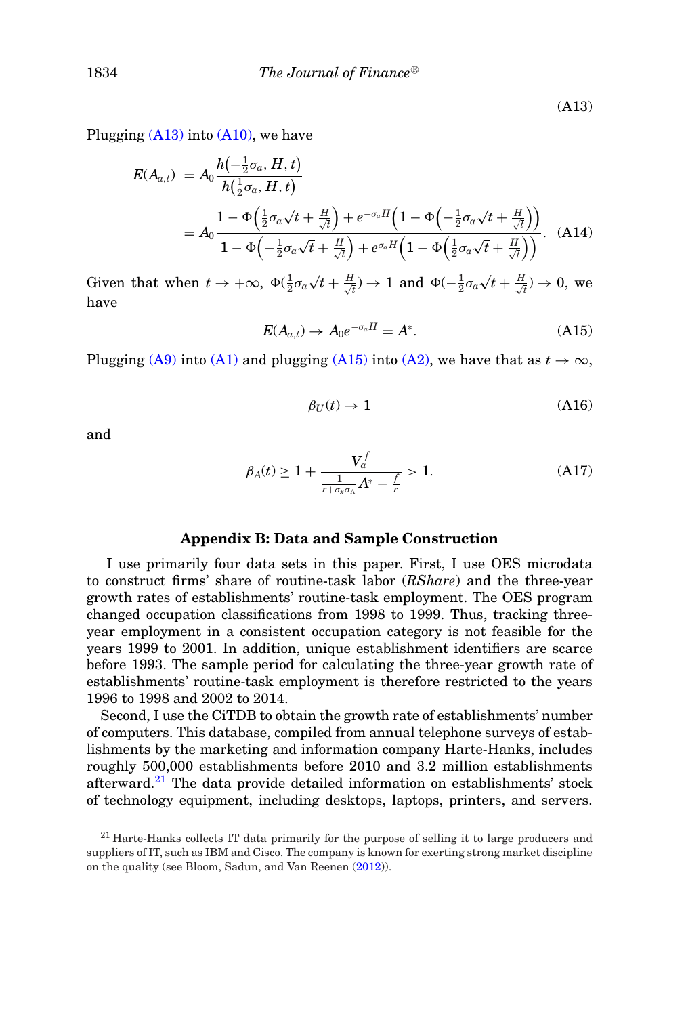<span id="page-41-0"></span>Plugging  $(A13)$  into  $(A10)$ , we have

$$
E(A_{a,t}) = A_0 \frac{h\left(-\frac{1}{2}\sigma_a, H, t\right)}{h\left(\frac{1}{2}\sigma_a, H, t\right)}
$$
  
= 
$$
A_0 \frac{1 - \Phi\left(\frac{1}{2}\sigma_a\sqrt{t} + \frac{H}{\sqrt{t}}\right) + e^{-\sigma_a H}\left(1 - \Phi\left(-\frac{1}{2}\sigma_a\sqrt{t} + \frac{H}{\sqrt{t}}\right)\right)}{1 - \Phi\left(-\frac{1}{2}\sigma_a\sqrt{t} + \frac{H}{\sqrt{t}}\right) + e^{\sigma_a H}\left(1 - \Phi\left(\frac{1}{2}\sigma_a\sqrt{t} + \frac{H}{\sqrt{t}}\right)\right)}.
$$
 (A14)

Given that when  $t \to +\infty$ ,  $\Phi(\frac{1}{2}\sigma_a\sqrt{t} + \frac{H}{\sqrt{t}})$  $\frac{d}{dt}$ )  $\rightarrow$  1 and  $\Phi(-\frac{1}{2}\sigma_a\sqrt{t} + \frac{H}{\sqrt{t}})$  $(\frac{1}{\overline{t}}) \rightarrow 0$ , we have

$$
E(A_{a,t}) \to A_0 e^{-\sigma_a H} = A^*.
$$
 (A15)

<span id="page-41-1"></span>Plugging [\(A9\)](#page-40-4) into [\(A1\)](#page-39-0) and plugging [\(A15\)](#page-41-1) into [\(A2\),](#page-39-1) we have that as  $t \to \infty$ ,

$$
\beta_U(t) \to 1 \tag{A16}
$$

and

$$
\beta_A(t) \ge 1 + \frac{V_d^f}{\frac{1}{r + \sigma_x \sigma_A} A^* - \frac{f}{r}} > 1.
$$
\n(A17)

# **Appendix B: Data and Sample Construction**

I use primarily four data sets in this paper. First, I use OES microdata to construct firms' share of routine-task labor (*RShare*) and the three-year growth rates of establishments' routine-task employment. The OES program changed occupation classifications from 1998 to 1999. Thus, tracking threeyear employment in a consistent occupation category is not feasible for the years 1999 to 2001. In addition, unique establishment identifiers are scarce before 1993. The sample period for calculating the three-year growth rate of establishments' routine-task employment is therefore restricted to the years 1996 to 1998 and 2002 to 2014.

Second, I use the CiTDB to obtain the growth rate of establishments' number of computers. This database, compiled from annual telephone surveys of establishments by the marketing and information company Harte-Hanks, includes roughly 500,000 establishments before 2010 and 3.2 million establishments afterward.<sup>[21](#page-41-2)</sup> The data provide detailed information on establishments' stock of technology equipment, including desktops, laptops, printers, and servers.

<span id="page-41-2"></span><sup>&</sup>lt;sup>21</sup> Harte-Hanks collects IT data primarily for the purpose of selling it to large producers and suppliers of IT, such as IBM and Cisco. The company is known for exerting strong market discipline on the quality (see Bloom, Sadun, and Van Reenen [\(2012\)](#page-44-18)).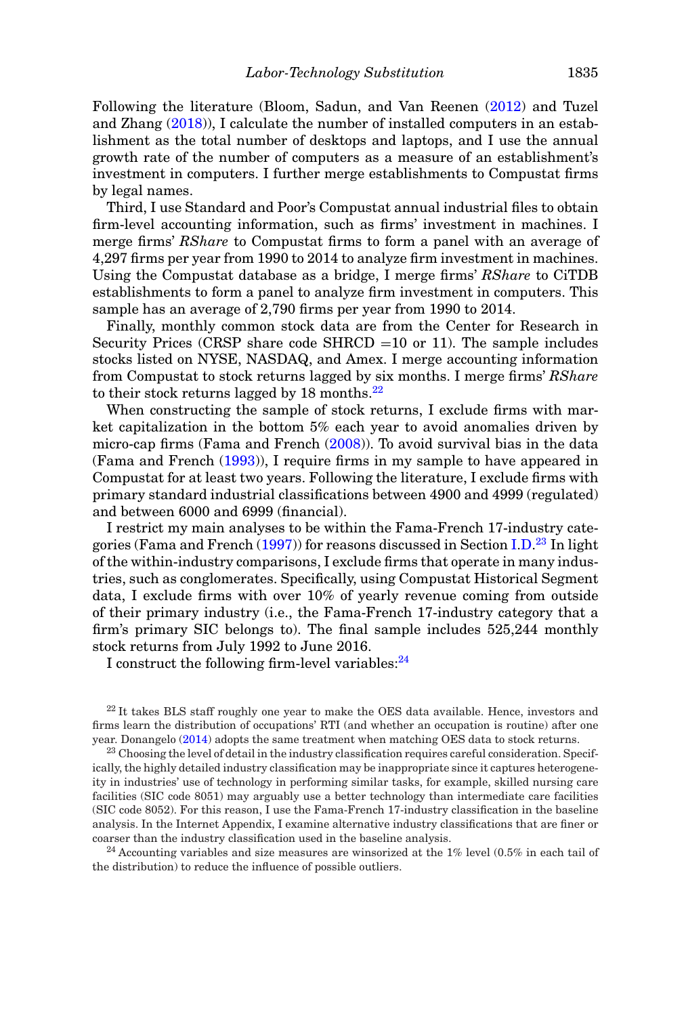Following the literature (Bloom, Sadun, and Van Reenen [\(2012\)](#page-44-18) and Tuzel and Zhang [\(2018\)](#page-45-23)), I calculate the number of installed computers in an establishment as the total number of desktops and laptops, and I use the annual growth rate of the number of computers as a measure of an establishment's investment in computers. I further merge establishments to Compustat firms by legal names.

Third, I use Standard and Poor's Compustat annual industrial files to obtain firm-level accounting information, such as firms' investment in machines. I merge firms' *RShare* to Compustat firms to form a panel with an average of 4,297 firms per year from 1990 to 2014 to analyze firm investment in machines. Using the Compustat database as a bridge, I merge firms' *RShare* to CiTDB establishments to form a panel to analyze firm investment in computers. This sample has an average of 2,790 firms per year from 1990 to 2014.

Finally, monthly common stock data are from the Center for Research in Security Prices (CRSP share code SHRCD  $=10$  or 11). The sample includes stocks listed on NYSE, NASDAQ, and Amex. I merge accounting information from Compustat to stock returns lagged by six months. I merge firms' *RShare* to their stock returns lagged by  $18$  months.<sup>22</sup>

When constructing the sample of stock returns, I exclude firms with market capitalization in the bottom 5% each year to avoid anomalies driven by micro-cap firms (Fama and French [\(2008\)](#page-44-22)). To avoid survival bias in the data (Fama and French [\(1993\)](#page-44-23)), I require firms in my sample to have appeared in Compustat for at least two years. Following the literature, I exclude firms with primary standard industrial classifications between 4900 and 4999 (regulated) and between 6000 and 6999 (financial).

I restrict my main analyses to be within the Fama-French 17-industry cate-gories (Fama and French [\(1997\)](#page-44-13)) for reasons discussed in Section I.D.<sup>[23](#page-42-1)</sup> In light of the within-industry comparisons, I exclude firms that operate in many industries, such as conglomerates. Specifically, using Compustat Historical Segment data, I exclude firms with over 10% of yearly revenue coming from outside of their primary industry (i.e., the Fama-French 17-industry category that a firm's primary SIC belongs to). The final sample includes 525,244 monthly stock returns from July 1992 to June 2016.

I construct the following firm-level variables:[24](#page-42-2)

<span id="page-42-0"></span> $22$  It takes BLS staff roughly one year to make the OES data available. Hence, investors and firms learn the distribution of occupations' RTI (and whether an occupation is routine) after one year. Donangelo [\(2014\)](#page-44-8) adopts the same treatment when matching OES data to stock returns.

<span id="page-42-1"></span><sup>23</sup> Choosing the level of detail in the industry classification requires careful consideration. Specifically, the highly detailed industry classification may be inappropriate since it captures heterogeneity in industries' use of technology in performing similar tasks, for example, skilled nursing care facilities (SIC code 8051) may arguably use a better technology than intermediate care facilities (SIC code 8052). For this reason, I use the Fama-French 17-industry classification in the baseline analysis. In the Internet Appendix, I examine alternative industry classifications that are finer or coarser than the industry classification used in the baseline analysis.

<span id="page-42-2"></span> $^{24}$  Accounting variables and size measures are winsorized at the 1% level (0.5% in each tail of the distribution) to reduce the influence of possible outliers.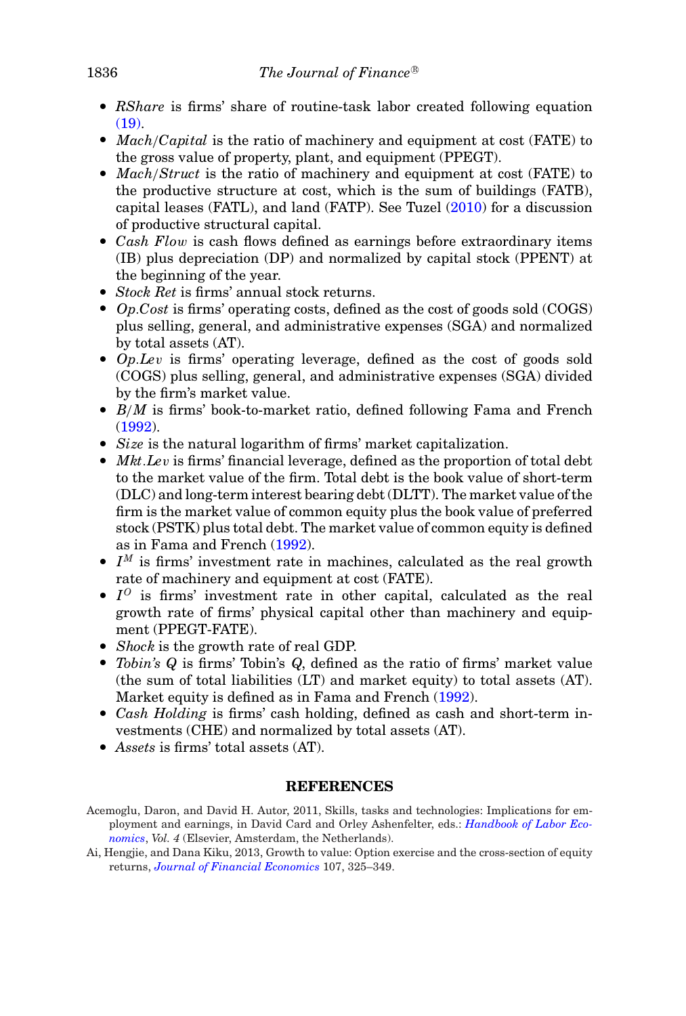- *RShare* is firms' share of routine-task labor created following equation
- [\(19\).](#page-12-1)  $Mach/Capital$  is the ratio of machinery and equipment at cost (FATE) to
- the gross value of property, plant, and equipment (PPEGT).<br> *Mach/Struct* is the ratio of machinery and equipment at cost (FATE) to the productive structure at cost, which is the sum of buildings (FATB), capital leases (FATL), and land (FATP). See Tuzel [\(2010\)](#page-45-24) for a discussion
- of productive structural capital.<br>
 *Cash Flow* is cash flows defined as earnings before extraordinary items (IB) plus depreciation (DP) and normalized by capital stock (PPENT) at
- the beginning of the year.<br>• Stock Ret is firms' annual stock returns.
- *Stock Ret* is firms' annual stock returns. *Op*.*Cost* is firms' operating costs, defined as the cost of goods sold (COGS) plus selling, general, and administrative expenses (SGA) and normalized
- by total assets (AT).<br> **•** *Op.Lev* is firms' operating leverage, defined as the cost of goods sold (COGS) plus selling, general, and administrative expenses (SGA) divided
- by the firm's market value.<br>  $\bullet$  *B/M* is firms' book-to-market ratio, defined following Fama and French
- [\(1992\)](#page-44-24).<br>• Size is the natural logarithm of firms' market capitalization.
- *Size* is the natural logarithm of firms' market capitalization. *Mkt*.*Le*v is firms' financial leverage, defined as the proportion of total debt to the market value of the firm. Total debt is the book value of short-term (DLC) and long-term interest bearing debt (DLTT). The market value of the firm is the market value of common equity plus the book value of preferred stock (PSTK) plus total debt. The market value of common equity is defined
- as in Fama and French [\(1992\)](#page-44-24).<br>  $I^M$  is firms' investment rate in machines, calculated as the real growth
- rate of machinery and equipment at cost (FATE).<br>  $I^O$  is firms' investment rate in other capital, calculated as the real growth rate of firms' physical capital other than machinery and equipment (PPEGT-FATE).<br>• Shock is the growth rate of real GDP.
- 
- *Shock* is the growth rate of real GDP. *Tobin's Q* is firms' Tobin's *Q*, defined as the ratio of firms' market value (the sum of total liabilities (LT) and market equity) to total assets (AT).
- Market equity is defined as in Fama and French [\(1992\)](#page-44-24).<br>Cash Holding is firms' cash holding, defined as cash and short-term investments (CHE) and normalized by total assets (AT).
- *Assets* is firms' total assets (AT).

# <span id="page-43-2"></span><span id="page-43-0"></span>**REFERENCES**

<span id="page-43-1"></span>Acemoglu, Daron, and David H. Autor, 2011, Skills, tasks and technologies: Implications for employment and earnings, in David Card and Orley Ashenfelter, eds.: *[Handbook of Labor Eco](http://dx.doi.org/10.1016/S0169-7218(11)02410-5)[nomics](http://dx.doi.org/10.1016/S0169-7218(11)02410-5)*, *Vol. 4* (Elsevier, Amsterdam, the Netherlands).

Ai, Hengjie, and Dana Kiku, 2013, Growth to value: Option exercise and the cross-section of equity returns, *[Journal of Financial Economics](http://dx.doi.org/10.1016/j.jfineco.2012.08.009)* 107, 325–349.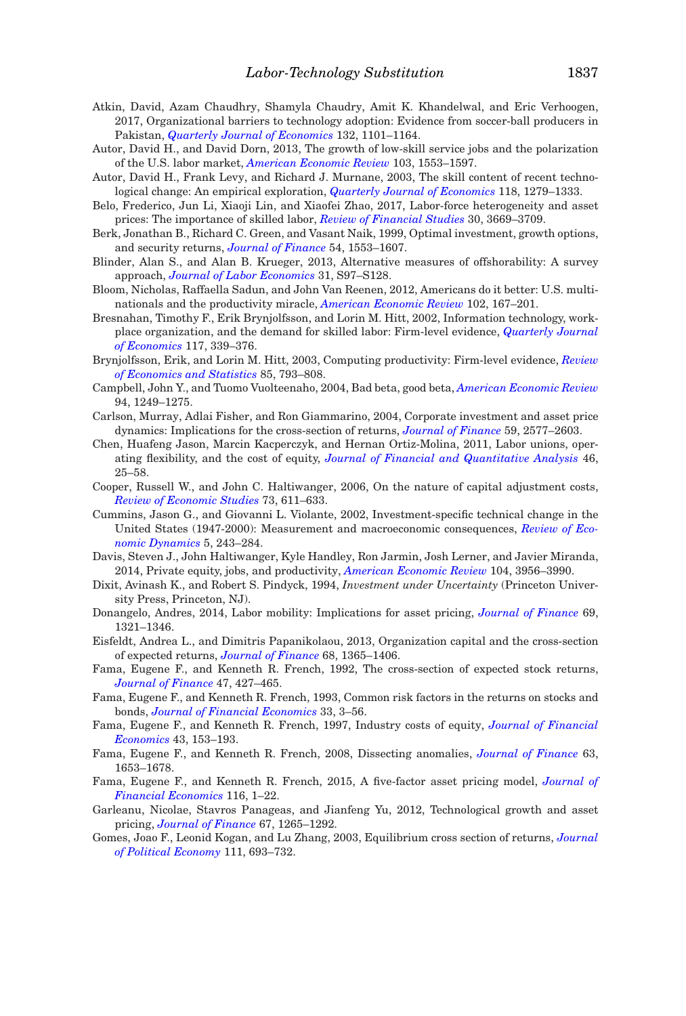- Atkin, David, Azam Chaudhry, Shamyla Chaudry, Amit K. Khandelwal, and Eric Verhoogen, 2017, Organizational barriers to technology adoption: Evidence from soccer-ball producers in Pakistan, *[Quarterly Journal of Economics](http://dx.doi.org/10.1093/qje/qjx010)* 132, 1101–1164.
- <span id="page-44-3"></span>Autor, David H., and David Dorn, 2013, The growth of low-skill service jobs and the polarization of the U.S. labor market, *[American Economic Review](http://dx.doi.org/10.1257/aer.103.5.1553)* 103, 1553–1597.
- Autor, David H., Frank Levy, and Richard J. Murnane, 2003, The skill content of recent technological change: An empirical exploration, *[Quarterly Journal of Economics](http://dx.doi.org/10.1162/003355303322552801)* 118, 1279–1333.
- <span id="page-44-12"></span><span id="page-44-9"></span>Belo, Frederico, Jun Li, Xiaoji Lin, and Xiaofei Zhao, 2017, Labor-force heterogeneity and asset prices: The importance of skilled labor, *[Review of Financial Studies](http://dx.doi.org/10.1093/rfs/hhx070)* 30, 3669–3709.
- <span id="page-44-0"></span>Berk, Jonathan B., Richard C. Green, and Vasant Naik, 1999, Optimal investment, growth options, and security returns, *[Journal of Finance](http://dx.doi.org/10.1111/0022-1082.00161)* 54, 1553–1607.
- <span id="page-44-14"></span>Blinder, Alan S., and Alan B. Krueger, 2013, Alternative measures of offshorability: A survey approach, *[Journal of Labor Economics](http://dx.doi.org/10.1086/669061)* 31, S97–S128.
- <span id="page-44-18"></span>Bloom, Nicholas, Raffaella Sadun, and John Van Reenen, 2012, Americans do it better: U.S. multinationals and the productivity miracle, *[American Economic Review](http://dx.doi.org/10.1257/aer.102.1.167)* 102, 167–201.
- <span id="page-44-2"></span>Bresnahan, Timothy F., Erik Brynjolfsson, and Lorin M. Hitt, 2002, Information technology, workplace organization, and the demand for skilled labor: Firm-level evidence, *[Quarterly Journal](http://dx.doi.org/10.1162/003355302753399526) [of Economics](http://dx.doi.org/10.1162/003355302753399526)* 117, 339–376.
- <span id="page-44-17"></span>Brynjolfsson, Erik, and Lorin M. Hitt, 2003, Computing productivity: Firm-level evidence, *[Review](http://dx.doi.org/10.1162/003465303772815736) [of Economics and Statistics](http://dx.doi.org/10.1162/003465303772815736)* 85, 793–808.
- <span id="page-44-16"></span>Campbell, John Y., and Tuomo Vuolteenaho, 2004, Bad beta, good beta, *[American Economic Review](http://dx.doi.org/10.1257/0002828043052240)* 94, 1249–1275.
- <span id="page-44-5"></span>Carlson, Murray, Adlai Fisher, and Ron Giammarino, 2004, Corporate investment and asset price dynamics: Implications for the cross-section of returns, *[Journal of Finance](http://dx.doi.org/10.1111/j.1540-6261.2004.00709.x)* 59, 2577–2603.
- <span id="page-44-6"></span>Chen, Huafeng Jason, Marcin Kacperczyk, and Hernan Ortiz-Molina, 2011, Labor unions, operating flexibility, and the cost of equity, *[Journal of Financial and Quantitative Analysis](http://dx.doi.org/10.1017/S0022109010000645)* 46, 25–58.
- <span id="page-44-1"></span>Cooper, Russell W., and John C. Haltiwanger, 2006, On the nature of capital adjustment costs, *[Review of Economic Studies](http://dx.doi.org/10.1111/j.1467-937X.2006.00389.x)* 73, 611–633.
- <span id="page-44-20"></span>Cummins, Jason G., and Giovanni L. Violante, 2002, Investment-specific technical change in the United States (1947-2000): Measurement and macroeconomic consequences, *[Review of Eco](http://dx.doi.org/10.1006/redy.2002.0168)[nomic Dynamics](http://dx.doi.org/10.1006/redy.2002.0168)* 5, 243–284.
- <span id="page-44-19"></span>Davis, Steven J., John Haltiwanger, Kyle Handley, Ron Jarmin, Josh Lerner, and Javier Miranda, 2014, Private equity, jobs, and productivity, *[American Economic Review](http://dx.doi.org/10.1257/aer.104.12.3956)* 104, 3956–3990.
- <span id="page-44-21"></span>Dixit, Avinash K., and Robert S. Pindyck, 1994, *Investment under Uncertainty* (Princeton University Press, Princeton, NJ).
- <span id="page-44-8"></span>Donangelo, Andres, 2014, Labor mobility: Implications for asset pricing, *[Journal of Finance](http://dx.doi.org/10.1111/jofi.12141)* 69, 1321–1346.
- <span id="page-44-7"></span>Eisfeldt, Andrea L., and Dimitris Papanikolaou, 2013, Organization capital and the cross-section of expected returns, *[Journal of Finance](http://dx.doi.org/10.1111/jofi.12034)* 68, 1365–1406.
- <span id="page-44-24"></span>Fama, Eugene F., and Kenneth R. French, 1992, The cross-section of expected stock returns, *[Journal of Finance](http://dx.doi.org/10.1111/j.1540-6261.1992.tb04398.x)* 47, 427–465.
- <span id="page-44-23"></span>Fama, Eugene F., and Kenneth R. French, 1993, Common risk factors in the returns on stocks and bonds, *[Journal of Financial Economics](http://dx.doi.org/10.1016/0304-405X(93)90023-5)* 33, 3–56.
- <span id="page-44-13"></span>Fama, Eugene F., and Kenneth R. French, 1997, Industry costs of equity, *[Journal of Financial](http://dx.doi.org/10.1016/S0304-405X(96)00896-3) [Economics](http://dx.doi.org/10.1016/S0304-405X(96)00896-3)* 43, 153–193.
- <span id="page-44-22"></span>Fama, Eugene F., and Kenneth R. French, 2008, Dissecting anomalies, *[Journal of Finance](http://dx.doi.org/10.1111/j.1540-6261.2008.01371.x)* 63, 1653–1678.
- <span id="page-44-15"></span>Fama, Eugene F., and Kenneth R. French, 2015, A five-factor asset pricing model, *[Journal of](http://dx.doi.org/10.1016/j.jfineco.2014.10.010) [Financial Economics](http://dx.doi.org/10.1016/j.jfineco.2014.10.010)* 116, 1–22.
- <span id="page-44-10"></span>Garleanu, Nicolae, Stavros Panageas, and Jianfeng Yu, 2012, Technological growth and asset pricing, *[Journal of Finance](http://dx.doi.org/10.1111/j.1540-6261.2012.01747.x)* 67, 1265–1292.
- <span id="page-44-11"></span><span id="page-44-4"></span>Gomes, Joao F., Leonid Kogan, and Lu Zhang, 2003, Equilibrium cross section of returns, *[Journal](http://dx.doi.org/10.1086/375379) [of Political Economy](http://dx.doi.org/10.1086/375379)* 111, 693–732.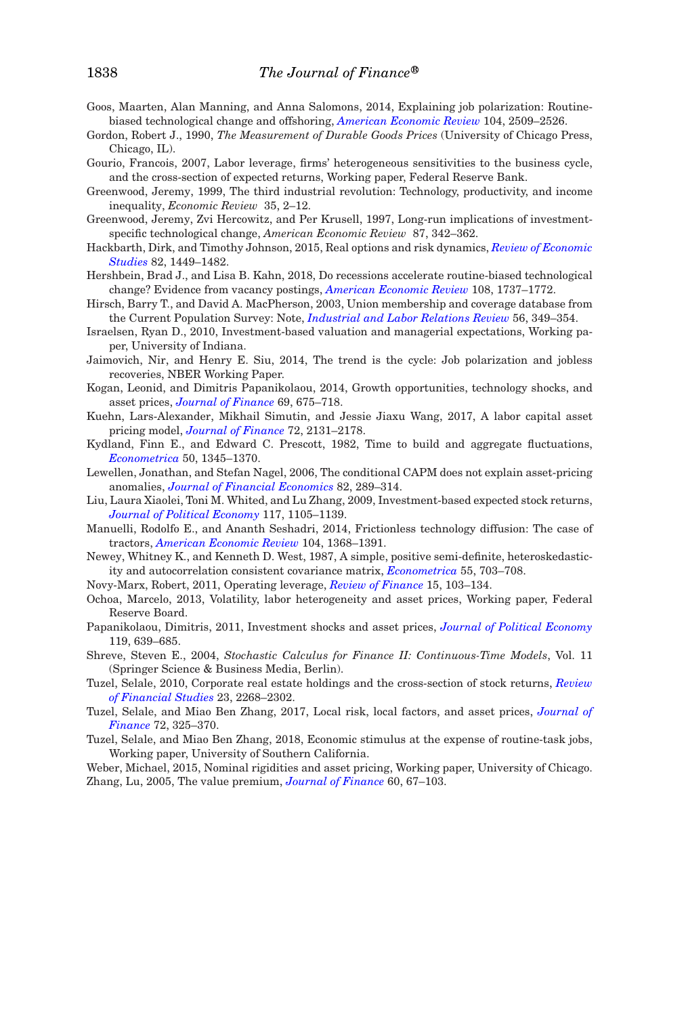- Goos, Maarten, Alan Manning, and Anna Salomons, 2014, Explaining job polarization: Routinebiased technological change and offshoring, *[American Economic Review](http://dx.doi.org/10.1257/aer.104.8.2509)* 104, 2509–2526.
- <span id="page-45-20"></span>Gordon, Robert J., 1990, *The Measurement of Durable Goods Prices* (University of Chicago Press, Chicago, IL).
- <span id="page-45-7"></span>Gourio, Francois, 2007, Labor leverage, firms' heterogeneous sensitivities to the business cycle, and the cross-section of expected returns, Working paper, Federal Reserve Bank.
- <span id="page-45-3"></span>Greenwood, Jeremy, 1999, The third industrial revolution: Technology, productivity, and income inequality, *Economic Review* 35, 2–12.
- <span id="page-45-5"></span>Greenwood, Jeremy, Zvi Hercowitz, and Per Krusell, 1997, Long-run implications of investmentspecific technological change, *American Economic Review* 87, 342–362.
- <span id="page-45-14"></span>Hackbarth, Dirk, and Timothy Johnson, 2015, Real options and risk dynamics, *[Review of Economic](http://dx.doi.org/10.1093/restud/rdv021) [Studies](http://dx.doi.org/10.1093/restud/rdv021)* 82, 1449–1482.
- <span id="page-45-11"></span>Hershbein, Brad J., and Lisa B. Kahn, 2018, Do recessions accelerate routine-biased technological change? Evidence from vacancy postings, *[American Economic Review](http://dx.doi.org/10.1257/aer.20161570)* 108, 1737–1772.
- <span id="page-45-15"></span>Hirsch, Barry T., and David A. MacPherson, 2003, Union membership and coverage database from the Current Population Survey: Note, *[Industrial and Labor Relations Review](http://dx.doi.org/10.1177/001979390305600208)* 56, 349–354.
- <span id="page-45-21"></span>Israelsen, Ryan D., 2010, Investment-based valuation and managerial expectations, Working paper, University of Indiana.
- <span id="page-45-0"></span>Jaimovich, Nir, and Henry E. Siu, 2014, The trend is the cycle: Job polarization and jobless recoveries, NBER Working Paper.
- <span id="page-45-2"></span>Kogan, Leonid, and Dimitris Papanikolaou, 2014, Growth opportunities, technology shocks, and asset prices, *[Journal of Finance](http://dx.doi.org/10.1111/jofi.12136)* 69, 675–718.
- <span id="page-45-8"></span>Kuehn, Lars-Alexander, Mikhail Simutin, and Jessie Jiaxu Wang, 2017, A labor capital asset pricing model, *[Journal of Finance](http://dx.doi.org/10.1111/jofi.12504)* 72, 2131–2178.
- <span id="page-45-19"></span>Kydland, Finn E., and Edward C. Prescott, 1982, Time to build and aggregate fluctuations, *[Econometrica](http://dx.doi.org/10.2307/1913386)* 50, 1345–1370.
- <span id="page-45-1"></span>Lewellen, Jonathan, and Stefan Nagel, 2006, The conditional CAPM does not explain asset-pricing anomalies, *[Journal of Financial Economics](http://dx.doi.org/10.1016/j.jfineco.2005.05.012)* 82, 289–314.
- <span id="page-45-16"></span>Liu, Laura Xiaolei, Toni M. Whited, and Lu Zhang, 2009, Investment-based expected stock returns, *[Journal of Political Economy](http://dx.doi.org/10.1086/649760)* 117, 1105–1139.
- <span id="page-45-4"></span>Manuelli, Rodolfo E., and Ananth Seshadri, 2014, Frictionless technology diffusion: The case of tractors, *[American Economic Review](http://dx.doi.org/10.1257/aer.104.4.1368)* 104, 1368–1391.
- <span id="page-45-17"></span>Newey, Whitney K., and Kenneth D. West, 1987, A simple, positive semi-definite, heteroskedasticity and autocorrelation consistent covariance matrix, *[Econometrica](http://dx.doi.org/10.2307/1913610)* 55, 703–708.
- <span id="page-45-13"></span>Novy-Marx, Robert, 2011, Operating leverage, *[Review of Finance](http://dx.doi.org/10.1093/rof/rfq019)* 15, 103–134.
- <span id="page-45-10"></span>Ochoa, Marcelo, 2013, Volatility, labor heterogeneity and asset prices, Working paper, Federal Reserve Board.
- <span id="page-45-6"></span>Papanikolaou, Dimitris, 2011, Investment shocks and asset prices, *[Journal of Political Economy](http://dx.doi.org/10.1086/662221)* 119, 639–685.
- <span id="page-45-22"></span>Shreve, Steven E., 2004, *Stochastic Calculus for Finance II: Continuous-Time Models*, Vol. 11 (Springer Science & Business Media, Berlin).
- <span id="page-45-24"></span>Tuzel, Selale, 2010, Corporate real estate holdings and the cross-section of stock returns, *[Review](http://dx.doi.org/10.1093/rfs/hhq006) [of Financial Studies](http://dx.doi.org/10.1093/rfs/hhq006)* 23, 2268–2302.
- <span id="page-45-9"></span>Tuzel, Selale, and Miao Ben Zhang, 2017, Local risk, local factors, and asset prices, *[Journal of](http://dx.doi.org/10.1111/jofi.12465) [Finance](http://dx.doi.org/10.1111/jofi.12465)* 72, 325–370.
- <span id="page-45-23"></span>Tuzel, Selale, and Miao Ben Zhang, 2018, Economic stimulus at the expense of routine-task jobs, Working paper, University of Southern California.

<span id="page-45-18"></span><span id="page-45-12"></span>Weber, Michael, 2015, Nominal rigidities and asset pricing, Working paper, University of Chicago. Zhang, Lu, 2005, The value premium, *[Journal of Finance](http://dx.doi.org/10.1111/j.1540-6261.2005.00725.x)* 60, 67–103.